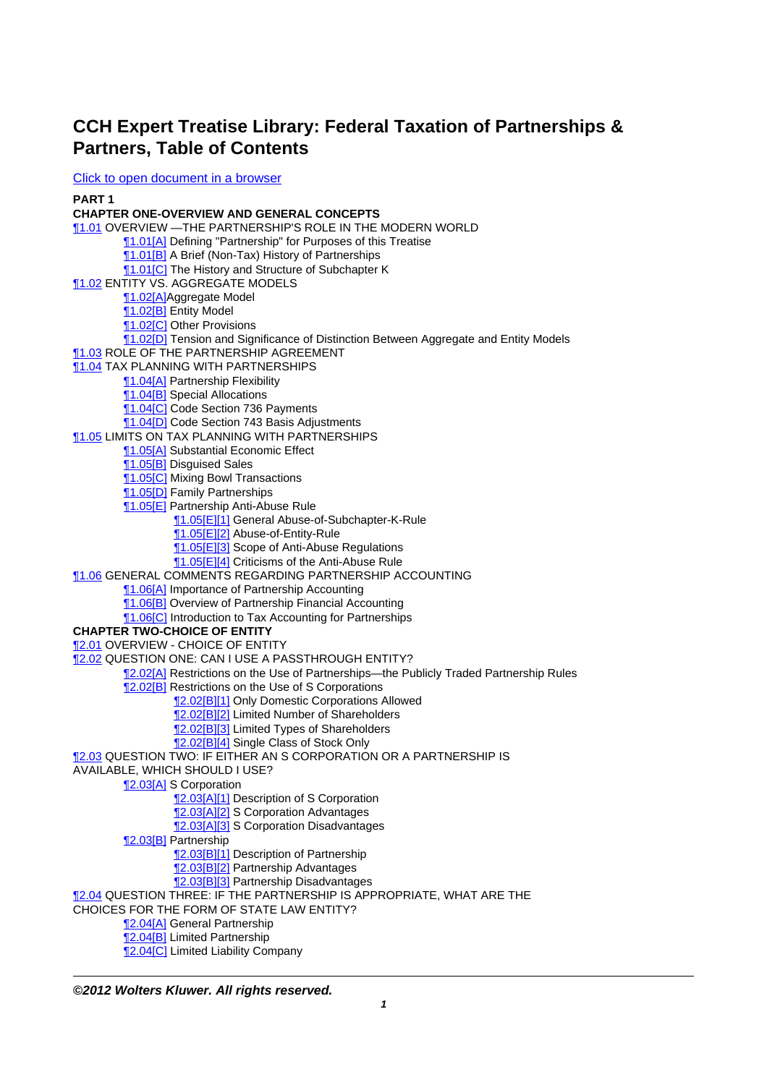## **CCH Expert Treatise Library: Federal Taxation of Partnerships & Partners, Table of Contents**

[Click to open document in a browser](http://prod.resource.cch.com/resource/scion/document/default/09013e2c87570c0c?cfu=TAA)

**PART 1**

**CHAPTER ONE-OVERVIEW AND GENERAL CONCEPTS** [¶1.01](http://prod.resource.cch.com/resource/scion/citation/pit/1.01/GLP01?cfu=TAA) OVERVIEW —THE PARTNERSHIP'S ROLE IN THE MODERN WORLD [¶1.01\[A\]](http://prod.resource.cch.com/resource/scion/citation/pit/1.01%5BA%5D/GLP01?cfu=TAA) Defining "Partnership" for Purposes of this Treatise **1.01[B]** A Brief (Non-Tax) History of Partnerships **T1.01[C]** The History and Structure of Subchapter K [¶1.02](http://prod.resource.cch.com/resource/scion/citation/pit/1.02/GLP01?cfu=TAA) ENTITY VS. AGGREGATE MODELS [¶1.02\[A\]](http://prod.resource.cch.com/resource/scion/citation/pit/1.02%5BA%5D/GLP01?cfu=TAA)Aggregate Model [¶1.02\[B\]](http://prod.resource.cch.com/resource/scion/citation/pit/1.02%5BB%5D/GLP01?cfu=TAA) Entity Model [¶1.02\[C\]](http://prod.resource.cch.com/resource/scion/citation/pit/1.02%5BC%5D/GLP01?cfu=TAA) Other Provisions [¶1.02\[D\]](http://prod.resource.cch.com/resource/scion/citation/pit/1.02%5BD%5D/GLP01?cfu=TAA) Tension and Significance of Distinction Between Aggregate and Entity Models **11.03 ROLE OF THE PARTNERSHIP AGREEMENT 11.04 TAX PLANNING WITH PARTNERSHIPS** [¶1.04\[A\]](http://prod.resource.cch.com/resource/scion/citation/pit/1.04%5BA%5D/GLP01?cfu=TAA) Partnership Flexibility [¶1.04\[B\]](http://prod.resource.cch.com/resource/scion/citation/pit/1.04%5BB%5D/GLP01?cfu=TAA) Special Allocations [¶1.04\[C\]](http://prod.resource.cch.com/resource/scion/citation/pit/1.04%5BC%5D/GLP01?cfu=TAA) Code Section 736 Payments [¶1.04\[D\]](http://prod.resource.cch.com/resource/scion/citation/pit/1.04%5BD%5D/GLP01?cfu=TAA) Code Section 743 Basis Adjustments [¶1.05](http://prod.resource.cch.com/resource/scion/citation/pit/1.05/GLP01?cfu=TAA) LIMITS ON TAX PLANNING WITH PARTNERSHIPS [¶1.05\[A\]](http://prod.resource.cch.com/resource/scion/citation/pit/1.05%5BA%5D/GLP01?cfu=TAA) Substantial Economic Effect [¶1.05\[B\]](http://prod.resource.cch.com/resource/scion/citation/pit/1.05%5BB%5D/GLP01?cfu=TAA) Disguised Sales **11.05 C** Mixing Bowl Transactions [¶1.05\[D\]](http://prod.resource.cch.com/resource/scion/citation/pit/1.05%5BD%5D/GLP01?cfu=TAA) Family Partnerships [¶1.05\[E\]](http://prod.resource.cch.com/resource/scion/citation/pit/1.05%5BE%5D/GLP01?cfu=TAA) Partnership Anti-Abuse Rule [¶1.05\[E\]\[1\]](http://prod.resource.cch.com/resource/scion/citation/pit/1.05%5BE%5D%5B1%5D/GLP01?cfu=TAA) General Abuse-of-Subchapter-K-Rule [¶1.05\[E\]\[2\]](http://prod.resource.cch.com/resource/scion/citation/pit/1.05%5BE%5D%5B2%5D/GLP01?cfu=TAA) Abuse-of-Entity-Rule **T1.05[E][3]** Scope of Anti-Abuse Regulations [¶1.05\[E\]\[4\]](http://prod.resource.cch.com/resource/scion/citation/pit/1.05%5BE%5D%5B4%5D/GLP01?cfu=TAA) Criticisms of the Anti-Abuse Rule [¶1.06](http://prod.resource.cch.com/resource/scion/citation/pit/1.06/GLP01?cfu=TAA) GENERAL COMMENTS REGARDING PARTNERSHIP ACCOUNTING [¶1.06\[A\]](http://prod.resource.cch.com/resource/scion/citation/pit/1.06%5BA%5D/GLP01?cfu=TAA) Importance of Partnership Accounting [¶1.06\[B\]](http://prod.resource.cch.com/resource/scion/citation/pit/1.06%5BB%5D/GLP01?cfu=TAA) Overview of Partnership Financial Accounting [¶1.06\[C\]](http://prod.resource.cch.com/resource/scion/citation/pit/1.06%5BC%5D/GLP01?cfu=TAA) Introduction to Tax Accounting for Partnerships **CHAPTER TWO-CHOICE OF ENTITY** [¶2.01](http://prod.resource.cch.com/resource/scion/citation/pit/2.01/GLP01?cfu=TAA) OVERVIEW - CHOICE OF ENTITY [¶2.02](http://prod.resource.cch.com/resource/scion/citation/pit/2.02/GLP01?cfu=TAA) QUESTION ONE: CAN I USE A PASSTHROUGH ENTITY? [¶2.02\[A\]](http://prod.resource.cch.com/resource/scion/citation/pit/2.02%5BA%5D/GLP01?cfu=TAA) Restrictions on the Use of Partnerships—the Publicly Traded Partnership Rules **T2.02[B]** Restrictions on the Use of S Corporations [¶2.02\[B\]\[1\]](http://prod.resource.cch.com/resource/scion/citation/pit/2.02%5BB%5D%5B1%5D/GLP01?cfu=TAA) Only Domestic Corporations Allowed **[2.02[B][2]** Limited Number of Shareholders [¶2.02\[B\]\[3\]](http://prod.resource.cch.com/resource/scion/citation/pit/2.02%5BB%5D%5B3%5D/GLP01?cfu=TAA) Limited Types of Shareholders [¶2.02\[B\]\[4\]](http://prod.resource.cch.com/resource/scion/citation/pit/2.02%5BB%5D%5B4%5D/GLP01?cfu=TAA) Single Class of Stock Only **12.03 QUESTION TWO: IF EITHER AN S CORPORATION OR A PARTNERSHIP IS** AVAILABLE, WHICH SHOULD I USE? [¶2.03\[A\]](http://prod.resource.cch.com/resource/scion/citation/pit/2.03%5BA%5D/GLP01?cfu=TAA) S Corporation [2.03[A][1] Description of S Corporation **[2.03[A][2] S Corporation Advantages** [¶2.03\[A\]\[3\]](http://prod.resource.cch.com/resource/scion/citation/pit/2.03%5BA%5D%5B3%5D/GLP01?cfu=TAA) S Corporation Disadvantages [¶2.03\[B\]](http://prod.resource.cch.com/resource/scion/citation/pit/2.03%5BB%5D/GLP01?cfu=TAA) Partnership [¶2.03\[B\]\[1\]](http://prod.resource.cch.com/resource/scion/citation/pit/2.03%5BB%5D%5B1%5D/GLP01?cfu=TAA) Description of Partnership [¶2.03\[B\]\[2\]](http://prod.resource.cch.com/resource/scion/citation/pit/2.03%5BB%5D%5B2%5D/GLP01?cfu=TAA) Partnership Advantages [¶2.03\[B\]\[3\]](http://prod.resource.cch.com/resource/scion/citation/pit/2.03%5BB%5D%5B3%5D/GLP01?cfu=TAA) Partnership Disadvantages **12.04 QUESTION THREE: IF THE PARTNERSHIP IS APPROPRIATE, WHAT ARE THE** CHOICES FOR THE FORM OF STATE LAW ENTITY? [¶2.04\[A\]](http://prod.resource.cch.com/resource/scion/citation/pit/2.04%5BA%5D/GLP01?cfu=TAA) General Partnership [¶2.04\[B\]](http://prod.resource.cch.com/resource/scion/citation/pit/2.04%5BB%5D/GLP01?cfu=TAA) Limited Partnership

[¶2.04\[C\]](http://prod.resource.cch.com/resource/scion/citation/pit/2.04%5BC%5D/GLP01?cfu=TAA) Limited Liability Company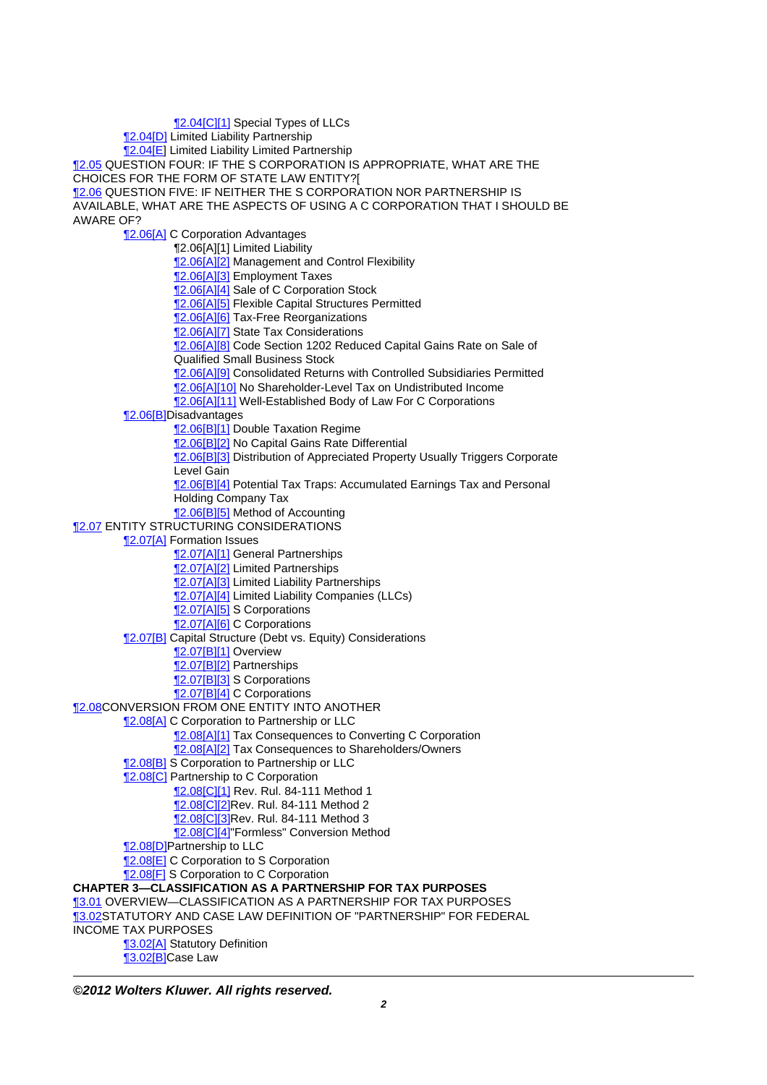[¶2.04\[C\]\[1\]](http://prod.resource.cch.com/resource/scion/citation/pit/2.04%5BC%5D%5B1%5D/GLP01?cfu=TAA) Special Types of LLCs [¶2.04\[D\]](http://prod.resource.cch.com/resource/scion/citation/pit/2.04%5BD%5D/GLP01?cfu=TAA) Limited Liability Partnership [¶2.04\[E\]](http://prod.resource.cch.com/resource/scion/citation/pit/2.04%5BE%5D/GLP01?cfu=TAA) Limited Liability Limited Partnership **12.05 QUESTION FOUR: IF THE S CORPORATION IS APPROPRIATE, WHAT ARE THE** CHOICES FOR THE FORM OF STATE LAW ENTITY?[ [¶2.06](http://prod.resource.cch.com/resource/scion/citation/pit/2.06/GLP01?cfu=TAA) QUESTION FIVE: IF NEITHER THE S CORPORATION NOR PARTNERSHIP IS AVAILABLE, WHAT ARE THE ASPECTS OF USING A C CORPORATION THAT I SHOULD BE AWARE OF? [¶2.06\[A\]](http://prod.resource.cch.com/resource/scion/citation/pit/2.06%5BA%5D/GLP01?cfu=TAA) C Corporation Advantages ¶2.06[A][1] Limited Liability [¶2.06\[A\]\[2\]](http://prod.resource.cch.com/resource/scion/citation/pit/2.06%5BA%5D%5B2%5D/GLP01?cfu=TAA) Management and Control Flexibility [¶2.06\[A\]\[3\]](http://prod.resource.cch.com/resource/scion/citation/pit/2.06%5BA%5D%5B3%5D/GLP01?cfu=TAA) Employment Taxes **T2.06[A][4]** Sale of C Corporation Stock [¶2.06\[A\]\[5\]](http://prod.resource.cch.com/resource/scion/citation/pit/2.06%5BA%5D%5B5%5D/GLP01?cfu=TAA) Flexible Capital Structures Permitted **[2.06[A][6]** Tax-Free Reorganizations [¶2.06\[A\]\[7\]](http://prod.resource.cch.com/resource/scion/citation/pit/2.06%5BA%5D%5B7%5D/GLP01?cfu=TAA) State Tax Considerations **12.06[A][8]** Code Section 1202 Reduced Capital Gains Rate on Sale of Qualified Small Business Stock **12.06[A][9]** Consolidated Returns with Controlled Subsidiaries Permitted [¶2.06\[A\]\[10\]](http://prod.resource.cch.com/resource/scion/citation/pit/2.06%5BA%5D%5B10%5D/GLP01?cfu=TAA) No Shareholder-Level Tax on Undistributed Income [¶2.06\[A\]\[11\]](http://prod.resource.cch.com/resource/scion/citation/pit/2.06%5BA%5D%5B11%5D/GLP01?cfu=TAA) Well-Established Body of Law For C Corporations 12.06[B]Disadvantages [¶2.06\[B\]\[1\]](http://prod.resource.cch.com/resource/scion/citation/pit/2.06%5BB%5D%5B1%5D/GLP01?cfu=TAA) Double Taxation Regime **[2.06[B][2] No Capital Gains Rate Differential [2.06[B][3]** Distribution of Appreciated Property Usually Triggers Corporate Level Gain [¶2.06\[B\]\[4\]](http://prod.resource.cch.com/resource/scion/citation/pit/2.06%5BB%5D%5B4%5D/GLP01?cfu=TAA) Potential Tax Traps: Accumulated Earnings Tax and Personal Holding Company Tax [¶2.06\[B\]\[5\]](http://prod.resource.cch.com/resource/scion/citation/pit/2.06%5BB%5D%5B5%5D/GLP01?cfu=TAA) Method of Accounting **12.07 ENTITY STRUCTURING CONSIDERATIONS [2.07[A] Formation Issues [2.07[A][1]** General Partnerships [¶2.07\[A\]\[2\]](http://prod.resource.cch.com/resource/scion/citation/pit/2.07%5BA%5D%5B2%5D/GLP01?cfu=TAA) Limited Partnerships [¶2.07\[A\]\[3\]](http://prod.resource.cch.com/resource/scion/citation/pit/2.07%5BA%5D%5B3%5D/GLP01?cfu=TAA) Limited Liability Partnerships [¶2.07\[A\]\[4\]](http://prod.resource.cch.com/resource/scion/citation/pit/2.07%5BA%5D%5B4%5D/GLP01?cfu=TAA) Limited Liability Companies (LLCs) [¶2.07\[A\]\[5\]](http://prod.resource.cch.com/resource/scion/citation/pit/2.07%5BA%5D%5B5%5D/GLP01?cfu=TAA) S Corporations [¶2.07\[A\]\[6\]](http://prod.resource.cch.com/resource/scion/citation/pit/2.07%5BA%5D%5B6%5D/GLP01?cfu=TAA) C Corporations [¶2.07\[B\]](http://prod.resource.cch.com/resource/scion/citation/pit/2.07%5BB%5D/GLP01?cfu=TAA) Capital Structure (Debt vs. Equity) Considerations 12.07[B][1] Overview [¶2.07\[B\]\[2\]](http://prod.resource.cch.com/resource/scion/citation/pit/2.07%5BB%5D%5B2%5D/GLP01?cfu=TAA) Partnerships **12.07[B][3] S Corporations** [¶2.07\[B\]\[4\]](http://prod.resource.cch.com/resource/scion/citation/pit/2.07%5BB%5D%5B4%5D/GLP01?cfu=TAA) C Corporations **12.08CONVERSION FROM ONE ENTITY INTO ANOTHER [2.08[A] C Corporation to Partnership or LLC [2.08[A][1]** Tax Consequences to Converting C Corporation **[2.08[A][2]** Tax Consequences to Shareholders/Owners **T2.08[B] S Corporation to Partnership or LLC 12.08[C]** Partnership to C Corporation **12.08 C | 11 Rev. Rul. 84-111 Method 1 12.08 C 2 Rev. Rul. 84-111 Method 2** [2.08[C][3]Rev. Rul. 84-111 Method 3 **[2.08[C][4]"Formless" Conversion Method** [¶2.08\[D\]P](http://prod.resource.cch.com/resource/scion/citation/pit/2.08%5BD%5D/GLP01?cfu=TAA)artnership to LLC [¶2.08\[E\]](http://prod.resource.cch.com/resource/scion/citation/pit/2.08%5BE%5D/GLP01?cfu=TAA) C Corporation to S Corporation **12.08[F]** S Corporation to C Corporation **CHAPTER 3—CLASSIFICATION AS A PARTNERSHIP FOR TAX PURPOSES** [¶3.01](http://prod.resource.cch.com/resource/scion/citation/pit/3.01/GLP01?cfu=TAA) OVERVIEW—CLASSIFICATION AS A PARTNERSHIP FOR TAX PURPOSES [¶3.02](http://prod.resource.cch.com/resource/scion/citation/pit/3.02/GLP01?cfu=TAA)STATUTORY AND CASE LAW DEFINITION OF "PARTNERSHIP" FOR FEDERAL INCOME TAX PURPOSES [¶3.02\[A\]](http://prod.resource.cch.com/resource/scion/citation/pit/3.02%5BA%5D/GLP01?cfu=TAA) Statutory Definition [¶3.02\[B\]](http://prod.resource.cch.com/resource/scion/citation/pit/3.02%5BB%5D/GLP01?cfu=TAA)Case Law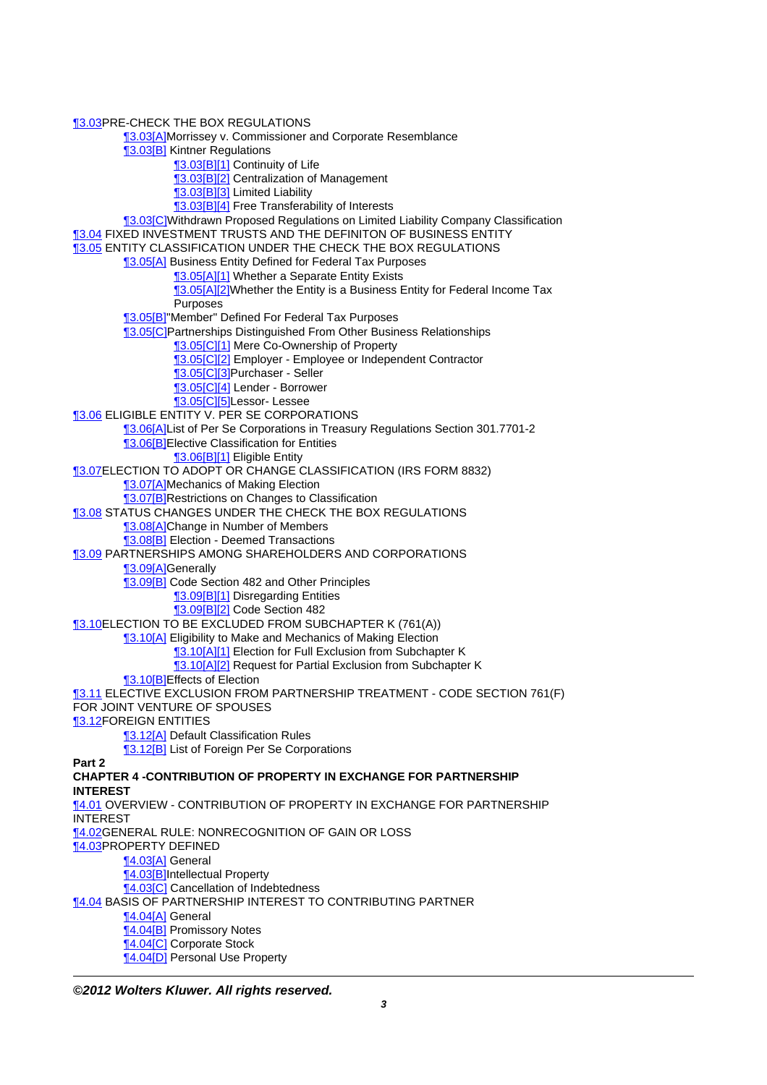[¶3.03](http://prod.resource.cch.com/resource/scion/citation/pit/3.03/GLP01?cfu=TAA)PRE-CHECK THE BOX REGULATIONS [¶3.03\[A\]](http://prod.resource.cch.com/resource/scion/citation/pit/3.03%5BA%5D/GLP01?cfu=TAA)Morrissey v. Commissioner and Corporate Resemblance [¶3.03\[B\]](http://prod.resource.cch.com/resource/scion/citation/pit/3.03%5BB%5D/GLP01?cfu=TAA) Kintner Regulations **13.03[B][1]** Continuity of Life [¶3.03\[B\]\[2\]](http://prod.resource.cch.com/resource/scion/citation/pit/3.03%5BB%5D%5B2%5D/GLP01?cfu=TAA) Centralization of Management [¶3.03\[B\]\[3\]](http://prod.resource.cch.com/resource/scion/citation/pit/3.03%5BB%5D%5B3%5D/GLP01?cfu=TAA) Limited Liability [¶3.03\[B\]\[4\]](http://prod.resource.cch.com/resource/scion/citation/pit/3.03%5BB%5D%5B4%5D/GLP01?cfu=TAA) Free Transferability of Interests [¶3.03\[C\]W](http://prod.resource.cch.com/resource/scion/citation/pit/3.03%5BC%5D/GLP01?cfu=TAA)ithdrawn Proposed Regulations on Limited Liability Company Classification [¶3.04](http://prod.resource.cch.com/resource/scion/citation/pit/3.04/GLP01?cfu=TAA) FIXED INVESTMENT TRUSTS AND THE DEFINITON OF BUSINESS ENTITY [¶3.05](http://prod.resource.cch.com/resource/scion/citation/pit/3.05/GLP01?cfu=TAA) ENTITY CLASSIFICATION UNDER THE CHECK THE BOX REGULATIONS [¶3.05\[A\]](http://prod.resource.cch.com/resource/scion/citation/pit/3.05%5BA%5D/GLP01?cfu=TAA) Business Entity Defined for Federal Tax Purposes **13.05[A][1] Whether a Separate Entity Exists** 13.05[A][2]Whether the Entity is a Business Entity for Federal Income Tax Purposes [¶3.05\[B\]](http://prod.resource.cch.com/resource/scion/citation/pit/3.05%5BB%5D/GLP01?cfu=TAA)"Member" Defined For Federal Tax Purposes [¶3.05\[C\]P](http://prod.resource.cch.com/resource/scion/citation/pit/3.05%5BC%5D/GLP01?cfu=TAA)artnerships Distinguished From Other Business Relationships **13.05[C][1]** Mere Co-Ownership of Property [¶3.05\[C\]\[2\]](http://prod.resource.cch.com/resource/scion/citation/pit/3.05%5BC%5D%5B2%5D/GLP01?cfu=TAA) Employer - Employee or Independent Contractor [¶3.05\[C\]\[3\]P](http://prod.resource.cch.com/resource/scion/citation/pit/3.05%5BC%5D%5B3%5D/GLP01?cfu=TAA)urchaser - Seller [¶3.05\[C\]\[4\]](http://prod.resource.cch.com/resource/scion/citation/pit/3.05%5BC%5D%5B4%5D/GLP01?cfu=TAA) Lender - Borrower [¶3.05\[C\]\[5\]L](http://prod.resource.cch.com/resource/scion/citation/pit/3.05%5BC%5D%5B5%5D/GLP01?cfu=TAA)essor- Lessee [¶3.06](http://prod.resource.cch.com/resource/scion/citation/pit/3.06/GLP01?cfu=TAA) ELIGIBLE ENTITY V. PER SE CORPORATIONS [¶3.06\[A\]](http://prod.resource.cch.com/resource/scion/citation/pit/3.06%5BA%5D/GLP01?cfu=TAA)List of Per Se Corporations in Treasury Regulations Section 301.7701-2 **13.06[B]Elective Classification for Entities** [¶3.06\[B\]\[1\]](http://prod.resource.cch.com/resource/scion/citation/pit/3.06%5BB%5D%5B1%5D/GLP01?cfu=TAA) Eligible Entity [¶3.07](http://prod.resource.cch.com/resource/scion/citation/pit/3.07/GLP01?cfu=TAA)ELECTION TO ADOPT OR CHANGE CLASSIFICATION (IRS FORM 8832) [¶3.07\[A\]](http://prod.resource.cch.com/resource/scion/citation/pit/3.07%5BA%5D/GLP01?cfu=TAA)Mechanics of Making Election **13.07[B]Restrictions on Changes to Classification 13.08 STATUS CHANGES UNDER THE CHECK THE BOX REGULATIONS 13.08[A]Change in Number of Members 13.08[B]** Election - Deemed Transactions [¶3.09](http://prod.resource.cch.com/resource/scion/citation/pit/3.09/GLP01?cfu=TAA) PARTNERSHIPS AMONG SHAREHOLDERS AND CORPORATIONS [¶3.09\[A\]](http://prod.resource.cch.com/resource/scion/citation/pit/3.09%5BA%5D/GLP01?cfu=TAA)Generally [¶3.09\[B\]](http://prod.resource.cch.com/resource/scion/citation/pit/3.09%5BB%5D/GLP01?cfu=TAA) Code Section 482 and Other Principles [¶3.09\[B\]\[1\]](http://prod.resource.cch.com/resource/scion/citation/pit/3.09%5BB%5D%5B1%5D/GLP01?cfu=TAA) Disregarding Entities [¶3.09\[B\]\[2\]](http://prod.resource.cch.com/resource/scion/citation/pit/3.09%5BB%5D%5B2%5D/GLP01?cfu=TAA) Code Section 482 [¶3.10](http://prod.resource.cch.com/resource/scion/citation/pit/3.10/GLP01?cfu=TAA)ELECTION TO BE EXCLUDED FROM SUBCHAPTER K (761(A)) **[3.10[A] Eligibility to Make and Mechanics of Making Election 13.10[A][1] Election for Full Exclusion from Subchapter K** [¶3.10\[A\]\[2\]](http://prod.resource.cch.com/resource/scion/citation/pit/3.10%5BA%5D%5B2%5D/GLP01?cfu=TAA) Request for Partial Exclusion from Subchapter K [¶3.10\[B\]](http://prod.resource.cch.com/resource/scion/citation/pit/3.10%5BB%5D/GLP01?cfu=TAA)Effects of Election [¶3.11](http://prod.resource.cch.com/resource/scion/citation/pit/3.11/GLP01?cfu=TAA) ELECTIVE EXCLUSION FROM PARTNERSHIP TREATMENT - CODE SECTION 761(F) FOR JOINT VENTURE OF SPOUSES [¶3.12](http://prod.resource.cch.com/resource/scion/citation/pit/3.12/GLP01?cfu=TAA)FOREIGN ENTITIES [¶3.12\[A\]](http://prod.resource.cch.com/resource/scion/citation/pit/3.12%5BA%5D/GLP01?cfu=TAA) Default Classification Rules **[3.12[B] List of Foreign Per Se Corporations Part 2 CHAPTER 4 -CONTRIBUTION OF PROPERTY IN EXCHANGE FOR PARTNERSHIP INTEREST** [¶4.01](http://prod.resource.cch.com/resource/scion/citation/pit/4.01/GLP01?cfu=TAA) OVERVIEW - CONTRIBUTION OF PROPERTY IN EXCHANGE FOR PARTNERSHIP INTEREST [¶4.02](http://prod.resource.cch.com/resource/scion/citation/pit/4.02/GLP01?cfu=TAA)GENERAL RULE: NONRECOGNITION OF GAIN OR LOSS [¶4.03](http://prod.resource.cch.com/resource/scion/citation/pit/4.03/GLP01?cfu=TAA)PROPERTY DEFINED [¶4.03\[A\]](http://prod.resource.cch.com/resource/scion/citation/pit/4.03%5BA%5D/GLP01?cfu=TAA) General [¶4.03\[B\]](http://prod.resource.cch.com/resource/scion/citation/pit/4.03%5BB%5D/GLP01?cfu=TAA)Intellectual Property **[4.03[C]** Cancellation of Indebtedness [¶4.04](http://prod.resource.cch.com/resource/scion/citation/pit/4.04/GLP01?cfu=TAA) BASIS OF PARTNERSHIP INTEREST TO CONTRIBUTING PARTNER [¶4.04\[A\]](http://prod.resource.cch.com/resource/scion/citation/pit/4.04%5BA%5D/GLP01?cfu=TAA) General [¶4.04\[B\]](http://prod.resource.cch.com/resource/scion/citation/pit/4.04%5BB%5D/GLP01?cfu=TAA) Promissory Notes [¶4.04\[C\]](http://prod.resource.cch.com/resource/scion/citation/pit/4.04%5BC%5D/GLP01?cfu=TAA) Corporate Stock **14.04 [D]** Personal Use Property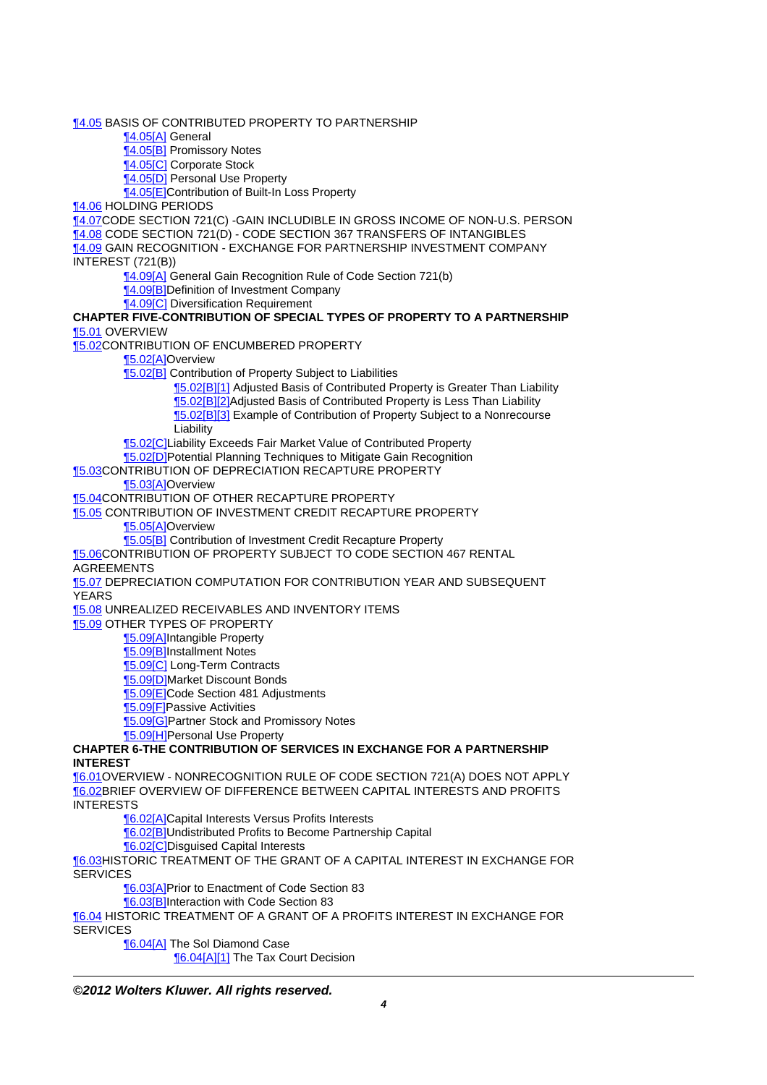[¶4.05](http://prod.resource.cch.com/resource/scion/citation/pit/4.05/GLP01?cfu=TAA) BASIS OF CONTRIBUTED PROPERTY TO PARTNERSHIP

[¶4.05\[A\]](http://prod.resource.cch.com/resource/scion/citation/pit/4.05%5BA%5D/GLP01?cfu=TAA) General

[¶4.05\[B\]](http://prod.resource.cch.com/resource/scion/citation/pit/4.05%5BB%5D/GLP01?cfu=TAA) Promissory Notes

[¶4.05\[C\]](http://prod.resource.cch.com/resource/scion/citation/pit/4.05%5BC%5D/GLP01?cfu=TAA) Corporate Stock

[¶4.05\[D\]](http://prod.resource.cch.com/resource/scion/citation/pit/4.05%5BD%5D/GLP01?cfu=TAA) Personal Use Property

[¶4.05\[E\]](http://prod.resource.cch.com/resource/scion/citation/pit/4.05%5BE%5D/GLP01?cfu=TAA)Contribution of Built-In Loss Property

[¶4.06](http://prod.resource.cch.com/resource/scion/citation/pit/4.06/GLP01?cfu=TAA) HOLDING PERIODS

[¶4.07](http://prod.resource.cch.com/resource/scion/citation/pit/4.07/GLP01?cfu=TAA)CODE SECTION 721(C) -GAIN INCLUDIBLE IN GROSS INCOME OF NON-U.S. PERSON [¶4.08](http://prod.resource.cch.com/resource/scion/citation/pit/4.08/GLP01?cfu=TAA) CODE SECTION 721(D) - CODE SECTION 367 TRANSFERS OF INTANGIBLES **14.09 GAIN RECOGNITION - EXCHANGE FOR PARTNERSHIP INVESTMENT COMPANY** 

INTEREST (721(B))

[¶4.09\[A\]](http://prod.resource.cch.com/resource/scion/citation/pit/4.09%5BA%5D/GLP01?cfu=TAA) General Gain Recognition Rule of Code Section 721(b)

[¶4.09\[B\]](http://prod.resource.cch.com/resource/scion/citation/pit/4.09%5BB%5D/GLP01?cfu=TAA)Definition of Investment Company

**14.09[C]** Diversification Requirement

## **CHAPTER FIVE-CONTRIBUTION OF SPECIAL TYPES OF PROPERTY TO A PARTNERSHIP** [¶5.01](http://prod.resource.cch.com/resource/scion/citation/pit/5.01/GLP01?cfu=TAA) OVERVIEW

[¶5.02](http://prod.resource.cch.com/resource/scion/citation/pit/5.02/GLP01?cfu=TAA)CONTRIBUTION OF ENCUMBERED PROPERTY

[¶5.02\[A\]](http://prod.resource.cch.com/resource/scion/citation/pit/5.02%5BA%5D/GLP01?cfu=TAA)Overview

**[5.02[B]** Contribution of Property Subject to Liabilities

[¶5.02\[B\]\[1\]](http://prod.resource.cch.com/resource/scion/citation/pit/5.02%5BB%5D%5B1%5D/GLP01?cfu=TAA) Adjusted Basis of Contributed Property is Greater Than Liability [¶5.02\[B\]\[2\]](http://prod.resource.cch.com/resource/scion/citation/pit/5.02%5BB%5D%5B2%5D/GLP01?cfu=TAA)Adjusted Basis of Contributed Property is Less Than Liability [¶5.02\[B\]\[3\]](http://prod.resource.cch.com/resource/scion/citation/pit/5.02%5BB%5D%5B3%5D/GLP01?cfu=TAA) Example of Contribution of Property Subject to a Nonrecourse Liability

**15.02[C]Liability Exceeds Fair Market Value of Contributed Property** [¶5.02\[D\]P](http://prod.resource.cch.com/resource/scion/citation/pit/5.02%5BD%5D/GLP01?cfu=TAA)otential Planning Techniques to Mitigate Gain Recognition

[¶5.03](http://prod.resource.cch.com/resource/scion/citation/pit/5.03/GLP01?cfu=TAA)CONTRIBUTION OF DEPRECIATION RECAPTURE PROPERTY

[¶5.03\[A\]](http://prod.resource.cch.com/resource/scion/citation/pit/5.03%5BA%5D/GLP01?cfu=TAA)Overview

**15.04CONTRIBUTION OF OTHER RECAPTURE PROPERTY** 

[¶5.05](http://prod.resource.cch.com/resource/scion/citation/pit/5.05/GLP01?cfu=TAA) CONTRIBUTION OF INVESTMENT CREDIT RECAPTURE PROPERTY

[¶5.05\[A\]](http://prod.resource.cch.com/resource/scion/citation/pit/5.05%5BA%5D/GLP01?cfu=TAA)Overview

[¶5.05\[B\]](http://prod.resource.cch.com/resource/scion/citation/pit/5.05%5BB%5D/GLP01?cfu=TAA) Contribution of Investment Credit Recapture Property

[¶5.06](http://prod.resource.cch.com/resource/scion/citation/pit/5.06/GLP01?cfu=TAA)CONTRIBUTION OF PROPERTY SUBJECT TO CODE SECTION 467 RENTAL

**AGREEMENTS** 

[¶5.07](http://prod.resource.cch.com/resource/scion/citation/pit/5.07/GLP01?cfu=TAA) DEPRECIATION COMPUTATION FOR CONTRIBUTION YEAR AND SUBSEQUENT YEARS

**15.08 UNREALIZED RECEIVABLES AND INVENTORY ITEMS** 

**15.09 OTHER TYPES OF PROPERTY** 

[¶5.09\[A\]](http://prod.resource.cch.com/resource/scion/citation/pit/5.09%5BA%5D/GLP01?cfu=TAA)Intangible Property

[¶5.09\[B\]](http://prod.resource.cch.com/resource/scion/citation/pit/5.09%5BB%5D/GLP01?cfu=TAA)Installment Notes

[¶5.09\[C\]](http://prod.resource.cch.com/resource/scion/citation/pit/5.09%5BC%5D/GLP01?cfu=TAA) Long-Term Contracts

[¶5.09\[D\]M](http://prod.resource.cch.com/resource/scion/citation/pit/5.09%5BD%5D/GLP01?cfu=TAA)arket Discount Bonds

[¶5.09\[E\]](http://prod.resource.cch.com/resource/scion/citation/pit/5.09%5BE%5D/GLP01?cfu=TAA)Code Section 481 Adjustments

[¶5.09\[F\]P](http://prod.resource.cch.com/resource/scion/citation/pit/5.09%5BF%5D/GLP01?cfu=TAA)assive Activities

**15.09[G]Partner Stock and Promissory Notes** 

[¶5.09\[H\]P](http://prod.resource.cch.com/resource/scion/citation/pit/5.09%5BH%5D/GLP01?cfu=TAA)ersonal Use Property

**CHAPTER 6-THE CONTRIBUTION OF SERVICES IN EXCHANGE FOR A PARTNERSHIP INTEREST**

[¶6.01](http://prod.resource.cch.com/resource/scion/citation/pit/6.01/GLP01?cfu=TAA)OVERVIEW - NONRECOGNITION RULE OF CODE SECTION 721(A) DOES NOT APPLY [¶6.02](http://prod.resource.cch.com/resource/scion/citation/pit/6.02/GLP01?cfu=TAA)BRIEF OVERVIEW OF DIFFERENCE BETWEEN CAPITAL INTERESTS AND PROFITS **INTERESTS** 

[¶6.02\[A\]](http://prod.resource.cch.com/resource/scion/citation/pit/6.02%5BA%5D/GLP01?cfu=TAA)Capital Interests Versus Profits Interests

[¶6.02\[B\]](http://prod.resource.cch.com/resource/scion/citation/pit/6.02%5BB%5D/GLP01?cfu=TAA)Undistributed Profits to Become Partnership Capital

[¶6.02\[C\]D](http://prod.resource.cch.com/resource/scion/citation/pit/6.02%5BC%5D/GLP01?cfu=TAA)isguised Capital Interests

[¶6.03](http://prod.resource.cch.com/resource/scion/citation/pit/6.03/GLP01?cfu=TAA)HISTORIC TREATMENT OF THE GRANT OF A CAPITAL INTEREST IN EXCHANGE FOR **SERVICES** 

[¶6.03\[A\]](http://prod.resource.cch.com/resource/scion/citation/pit/6.03%5BA%5D/GLP01?cfu=TAA)Prior to Enactment of Code Section 83

[¶6.03\[B\]](http://prod.resource.cch.com/resource/scion/citation/pit/6.03%5BB%5D/GLP01?cfu=TAA)Interaction with Code Section 83

[¶6.04](http://prod.resource.cch.com/resource/scion/citation/pit/6.04/GLP01?cfu=TAA) HISTORIC TREATMENT OF A GRANT OF A PROFITS INTEREST IN EXCHANGE FOR **SERVICES** 

[¶6.04\[A\]](http://prod.resource.cch.com/resource/scion/citation/pit/6.04%5BA%5D/GLP01?cfu=TAA) The Sol Diamond Case

**[6.04[A][1]** The Tax Court Decision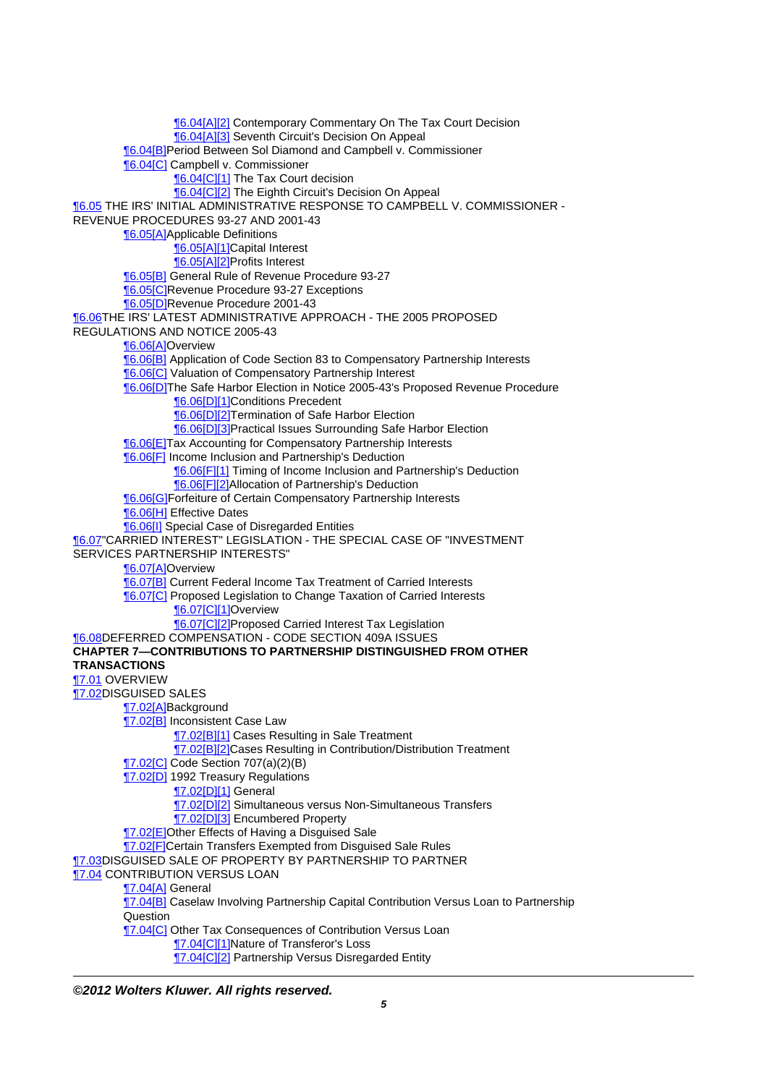[¶6.04\[A\]\[2\]](http://prod.resource.cch.com/resource/scion/citation/pit/6.04%5BA%5D%5B2%5D/GLP01?cfu=TAA) Contemporary Commentary On The Tax Court Decision [¶6.04\[A\]\[3\]](http://prod.resource.cch.com/resource/scion/citation/pit/6.04%5BA%5D%5B3%5D/GLP01?cfu=TAA) Seventh Circuit's Decision On Appeal [¶6.04\[B\]](http://prod.resource.cch.com/resource/scion/citation/pit/6.04%5BB%5D/GLP01?cfu=TAA)Period Between Sol Diamond and Campbell v. Commissioner [¶6.04\[C\]](http://prod.resource.cch.com/resource/scion/citation/pit/6.04%5BC%5D/GLP01?cfu=TAA) Campbell v. Commissioner [¶6.04\[C\]\[1\]](http://prod.resource.cch.com/resource/scion/citation/pit/6.04%5BC%5D%5B1%5D/GLP01?cfu=TAA) The Tax Court decision [¶6.04\[C\]\[2\]](http://prod.resource.cch.com/resource/scion/citation/pit/6.04%5BC%5D%5B2%5D/GLP01?cfu=TAA) The Eighth Circuit's Decision On Appeal [¶6.05](http://prod.resource.cch.com/resource/scion/citation/pit/6.05/GLP01?cfu=TAA) THE IRS' INITIAL ADMINISTRATIVE RESPONSE TO CAMPBELL V. COMMISSIONER - REVENUE PROCEDURES 93-27 AND 2001-43 [¶6.05\[A\]](http://prod.resource.cch.com/resource/scion/citation/pit/6.05%5BA%5D/GLP01?cfu=TAA)Applicable Definitions [¶6.05\[A\]\[1\]](http://prod.resource.cch.com/resource/scion/citation/pit/6.05%5BA%5D%5B1%5D/GLP01?cfu=TAA)Capital Interest [¶6.05\[A\]\[2\]](http://prod.resource.cch.com/resource/scion/citation/pit/6.05%5BA%5D%5B2%5D/GLP01?cfu=TAA)Profits Interest [¶6.05\[B\]](http://prod.resource.cch.com/resource/scion/citation/pit/6.05%5BB%5D/GLP01?cfu=TAA) General Rule of Revenue Procedure 93-27 **[6.05[C]**Revenue Procedure 93-27 Exceptions [¶6.05\[D\]R](http://prod.resource.cch.com/resource/scion/citation/pit/6.05%5BD%5D/GLP01?cfu=TAA)evenue Procedure 2001-43 **16.06THE IRS' LATEST ADMINISTRATIVE APPROACH - THE 2005 PROPOSED** REGULATIONS AND NOTICE 2005-43 [¶6.06\[A\]](http://prod.resource.cch.com/resource/scion/citation/pit/6.06%5BA%5D/GLP01?cfu=TAA)Overview [¶6.06\[B\]](http://prod.resource.cch.com/resource/scion/citation/pit/6.06%5BB%5D/GLP01?cfu=TAA) Application of Code Section 83 to Compensatory Partnership Interests **[6.06[C]** Valuation of Compensatory Partnership Interest [¶6.06\[D\]T](http://prod.resource.cch.com/resource/scion/citation/pit/6.06%5BD%5D/GLP01?cfu=TAA)he Safe Harbor Election in Notice 2005-43's Proposed Revenue Procedure [¶6.06\[D\]\[1\]C](http://prod.resource.cch.com/resource/scion/citation/pit/6.06%5BD%5D%5B1%5D/GLP01?cfu=TAA)onditions Precedent **[6.06[D][2]Termination of Safe Harbor Election** [¶6.06\[D\]\[3\]P](http://prod.resource.cch.com/resource/scion/citation/pit/6.06%5BD%5D%5B3%5D/GLP01?cfu=TAA)ractical Issues Surrounding Safe Harbor Election **[6.06[E]Tax Accounting for Compensatory Partnership Interests** [¶6.06\[F\]](http://prod.resource.cch.com/resource/scion/citation/pit/6.06%5BF%5D/GLP01?cfu=TAA) Income Inclusion and Partnership's Deduction **[6.06[F][1]** Timing of Income Inclusion and Partnership's Deduction [¶6.06\[F\]\[2\]A](http://prod.resource.cch.com/resource/scion/citation/pit/6.06%5BF%5D%5B2%5D/GLP01?cfu=TAA)llocation of Partnership's Deduction [¶6.06\[G\]](http://prod.resource.cch.com/resource/scion/citation/pit/6.06%5BG%5D/GLP01?cfu=TAA)Forfeiture of Certain Compensatory Partnership Interests [¶6.06\[H\]](http://prod.resource.cch.com/resource/scion/citation/pit/6.06%5BH%5D/GLP01?cfu=TAA) Effective Dates **[6.06[I]** Special Case of Disregarded Entities **16.07"CARRIED INTEREST" LEGISLATION - THE SPECIAL CASE OF "INVESTMENT** SERVICES PARTNERSHIP INTERESTS" [¶6.07\[A\]](http://prod.resource.cch.com/resource/scion/citation/pit/6.07%5BA%5D/GLP01?cfu=TAA)Overview [¶6.07\[B\]](http://prod.resource.cch.com/resource/scion/citation/pit/6.07%5BB%5D/GLP01?cfu=TAA) Current Federal Income Tax Treatment of Carried Interests **[6.07[C]** Proposed Legislation to Change Taxation of Carried Interests **[6.07[C][1]Overview** [¶6.07\[C\]\[2\]P](http://prod.resource.cch.com/resource/scion/citation/pit/6.07%5BC%5D%5B2%5D/GLP01?cfu=TAA)roposed Carried Interest Tax Legislation [¶6.08](http://prod.resource.cch.com/resource/scion/citation/pit/6.08/GLP01?cfu=TAA)DEFERRED COMPENSATION - CODE SECTION 409A ISSUES **CHAPTER 7—CONTRIBUTIONS TO PARTNERSHIP DISTINGUISHED FROM OTHER TRANSACTIONS** [¶7.01](http://prod.resource.cch.com/resource/scion/citation/pit/7.01/GLP01?cfu=TAA) OVERVIEW [¶7.02](http://prod.resource.cch.com/resource/scion/citation/pit/7.02/GLP01?cfu=TAA)DISGUISED SALES [¶7.02\[A\]](http://prod.resource.cch.com/resource/scion/citation/pit/7.02%5BA%5D/GLP01?cfu=TAA)Background **T7.02[B]** Inconsistent Case Law [¶7.02\[B\]\[1\]](http://prod.resource.cch.com/resource/scion/citation/pit/7.02%5BB%5D%5B1%5D/GLP01?cfu=TAA) Cases Resulting in Sale Treatment [¶7.02\[B\]\[2\]](http://prod.resource.cch.com/resource/scion/citation/pit/7.02%5BB%5D%5B2%5D/GLP01?cfu=TAA)Cases Resulting in Contribution/Distribution Treatment [¶7.02\[C\]](http://prod.resource.cch.com/resource/scion/citation/pit/7.02%5BC%5D/GLP01?cfu=TAA) Code Section 707(a)(2)(B) **17.02[D]** 1992 Treasury Regulations [¶7.02\[D\]\[1\]](http://prod.resource.cch.com/resource/scion/citation/pit/7.02%5BD%5D%5B1%5D/GLP01?cfu=TAA) General **T7.02[D][2]** Simultaneous versus Non-Simultaneous Transfers **17.02[D][3] Encumbered Property** [¶7.02\[E\]](http://prod.resource.cch.com/resource/scion/citation/pit/7.02%5BE%5D/GLP01?cfu=TAA)Other Effects of Having a Disguised Sale [¶7.02\[F\]C](http://prod.resource.cch.com/resource/scion/citation/pit/7.02%5BF%5D/GLP01?cfu=TAA)ertain Transfers Exempted from Disguised Sale Rules [¶7.03](http://prod.resource.cch.com/resource/scion/citation/pit/7.03/GLP01?cfu=TAA)DISGUISED SALE OF PROPERTY BY PARTNERSHIP TO PARTNER **17.04 CONTRIBUTION VERSUS LOAN** [¶7.04\[A\]](http://prod.resource.cch.com/resource/scion/citation/pit/7.04%5BA%5D/GLP01?cfu=TAA) General **17.04[B]** Caselaw Involving Partnership Capital Contribution Versus Loan to Partnership Question **T7.04[C]** Other Tax Consequences of Contribution Versus Loan [¶7.04\[C\]\[1\]N](http://prod.resource.cch.com/resource/scion/citation/pit/7.04%5BC%5D%5B1%5D/GLP01?cfu=TAA)ature of Transferor's Loss **17.04[C][2] Partnership Versus Disregarded Entity**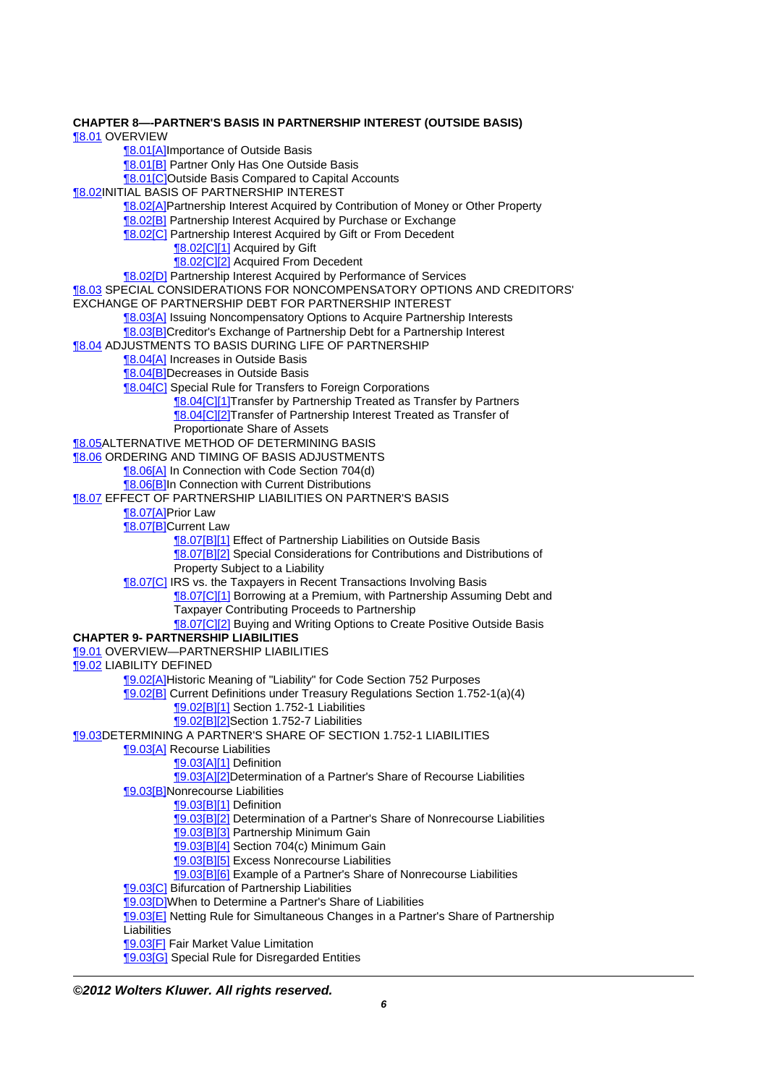**CHAPTER 8—-PARTNER'S BASIS IN PARTNERSHIP INTEREST (OUTSIDE BASIS)** [¶8.01](http://prod.resource.cch.com/resource/scion/citation/pit/8.01/GLP01?cfu=TAA) OVERVIEW **18.01[A]Importance of Outside Basis** [¶8.01\[B\]](http://prod.resource.cch.com/resource/scion/citation/pit/8.01%5BB%5D/GLP01?cfu=TAA) Partner Only Has One Outside Basis [¶8.01\[C\]O](http://prod.resource.cch.com/resource/scion/citation/pit/8.01%5BC%5D/GLP01?cfu=TAA)utside Basis Compared to Capital Accounts [¶8.02](http://prod.resource.cch.com/resource/scion/citation/pit/8.02/GLP01?cfu=TAA)INITIAL BASIS OF PARTNERSHIP INTEREST [¶8.02\[A\]](http://prod.resource.cch.com/resource/scion/citation/pit/8.02%5BA%5D/GLP01?cfu=TAA)Partnership Interest Acquired by Contribution of Money or Other Property [¶8.02\[B\]](http://prod.resource.cch.com/resource/scion/citation/pit/8.02%5BB%5D/GLP01?cfu=TAA) Partnership Interest Acquired by Purchase or Exchange [¶8.02\[C\]](http://prod.resource.cch.com/resource/scion/citation/pit/8.02%5BC%5D/GLP01?cfu=TAA) Partnership Interest Acquired by Gift or From Decedent [¶8.02\[C\]\[1\]](http://prod.resource.cch.com/resource/scion/citation/pit/8.02%5BC%5D%5B1%5D/GLP01?cfu=TAA) Acquired by Gift [¶8.02\[C\]\[2\]](http://prod.resource.cch.com/resource/scion/citation/pit/8.02%5BC%5D%5B2%5D/GLP01?cfu=TAA) Acquired From Decedent [¶8.02\[D\]](http://prod.resource.cch.com/resource/scion/citation/pit/8.02%5BD%5D/GLP01?cfu=TAA) Partnership Interest Acquired by Performance of Services [¶8.03](http://prod.resource.cch.com/resource/scion/citation/pit/8.03/GLP01?cfu=TAA) SPECIAL CONSIDERATIONS FOR NONCOMPENSATORY OPTIONS AND CREDITORS' EXCHANGE OF PARTNERSHIP DEBT FOR PARTNERSHIP INTEREST **[8.03[A]** Issuing Noncompensatory Options to Acquire Partnership Interests [¶8.03\[B\]](http://prod.resource.cch.com/resource/scion/citation/pit/8.03%5BB%5D/GLP01?cfu=TAA)Creditor's Exchange of Partnership Debt for a Partnership Interest [¶8.04](http://prod.resource.cch.com/resource/scion/citation/pit/8.04/GLP01?cfu=TAA) ADJUSTMENTS TO BASIS DURING LIFE OF PARTNERSHIP [¶8.04\[A\]](http://prod.resource.cch.com/resource/scion/citation/pit/8.04%5BA%5D/GLP01?cfu=TAA) Increases in Outside Basis [¶8.04\[B\]](http://prod.resource.cch.com/resource/scion/citation/pit/8.04%5BB%5D/GLP01?cfu=TAA)Decreases in Outside Basis [¶8.04\[C\]](http://prod.resource.cch.com/resource/scion/citation/pit/8.04%5BC%5D/GLP01?cfu=TAA) Special Rule for Transfers to Foreign Corporations [¶8.04\[C\]\[1\]T](http://prod.resource.cch.com/resource/scion/citation/pit/8.04%5BC%5D%5B1%5D/GLP01?cfu=TAA)ransfer by Partnership Treated as Transfer by Partners **[8.04[C][2]Transfer of Partnership Interest Treated as Transfer of** Proportionate Share of Assets **18.05ALTERNATIVE METHOD OF DETERMINING BASIS 18.06 ORDERING AND TIMING OF BASIS ADJUSTMENTS** [¶8.06\[A\]](http://prod.resource.cch.com/resource/scion/citation/pit/8.06%5BA%5D/GLP01?cfu=TAA) In Connection with Code Section 704(d) [¶8.06\[B\]](http://prod.resource.cch.com/resource/scion/citation/pit/8.06%5BB%5D/GLP01?cfu=TAA)In Connection with Current Distributions [¶8.07](http://prod.resource.cch.com/resource/scion/citation/pit/8.07/GLP01?cfu=TAA) EFFECT OF PARTNERSHIP LIABILITIES ON PARTNER'S BASIS [¶8.07\[A\]](http://prod.resource.cch.com/resource/scion/citation/pit/8.07%5BA%5D/GLP01?cfu=TAA)Prior Law **18.07 B**Current Law **[8.07[B][1]** Effect of Partnership Liabilities on Outside Basis **[8.07[B][2]** Special Considerations for Contributions and Distributions of Property Subject to a Liability [¶8.07\[C\]](http://prod.resource.cch.com/resource/scion/citation/pit/8.07%5BC%5D/GLP01?cfu=TAA) IRS vs. the Taxpayers in Recent Transactions Involving Basis **18.07[C][1]** Borrowing at a Premium, with Partnership Assuming Debt and Taxpayer Contributing Proceeds to Partnership **18.07[C][2]** Buying and Writing Options to Create Positive Outside Basis **CHAPTER 9- PARTNERSHIP LIABILITIES** [¶9.01](http://prod.resource.cch.com/resource/scion/citation/pit/9.01/GLP01?cfu=TAA) OVERVIEW—PARTNERSHIP LIABILITIES [¶9.02](http://prod.resource.cch.com/resource/scion/citation/pit/9.02/GLP01?cfu=TAA) LIABILITY DEFINED [¶9.02\[A\]](http://prod.resource.cch.com/resource/scion/citation/pit/9.02%5BA%5D/GLP01?cfu=TAA)Historic Meaning of "Liability" for Code Section 752 Purposes [¶9.02\[B\]](http://prod.resource.cch.com/resource/scion/citation/pit/9.02%5BB%5D/GLP01?cfu=TAA) Current Definitions under Treasury Regulations Section 1.752-1(a)(4) **[9.02[B][1]** Section 1.752-1 Liabilities [¶9.02\[B\]\[2\]](http://prod.resource.cch.com/resource/scion/citation/pit/9.02%5BB%5D%5B2%5D/GLP01?cfu=TAA)Section 1.752-7 Liabilities [¶9.03](http://prod.resource.cch.com/resource/scion/citation/pit/9.03/GLP01?cfu=TAA)DETERMINING A PARTNER'S SHARE OF SECTION 1.752-1 LIABILITIES **[9.03[A]** Recourse Liabilities [¶9.03\[A\]\[1\]](http://prod.resource.cch.com/resource/scion/citation/pit/9.03%5BA%5D%5B1%5D/GLP01?cfu=TAA) Definition [¶9.03\[A\]\[2\]](http://prod.resource.cch.com/resource/scion/citation/pit/9.03%5BA%5D%5B2%5D/GLP01?cfu=TAA)Determination of a Partner's Share of Recourse Liabilities [¶9.03\[B\]](http://prod.resource.cch.com/resource/scion/citation/pit/9.03%5BB%5D/GLP01?cfu=TAA)Nonrecourse Liabilities [¶9.03\[B\]\[1\]](http://prod.resource.cch.com/resource/scion/citation/pit/9.03%5BB%5D%5B1%5D/GLP01?cfu=TAA) Definition [9.03[B][2] Determination of a Partner's Share of Nonrecourse Liabilities **[9.03[B][3] Partnership Minimum Gain** [¶9.03\[B\]\[4\]](http://prod.resource.cch.com/resource/scion/citation/pit/9.03%5BB%5D%5B4%5D/GLP01?cfu=TAA) Section 704(c) Minimum Gain [¶9.03\[B\]\[5\]](http://prod.resource.cch.com/resource/scion/citation/pit/9.03%5BB%5D%5B5%5D/GLP01?cfu=TAA) Excess Nonrecourse Liabilities [¶9.03\[B\]\[6\]](http://prod.resource.cch.com/resource/scion/citation/pit/9.03%5BB%5D%5B6%5D/GLP01?cfu=TAA) Example of a Partner's Share of Nonrecourse Liabilities [¶9.03\[C\]](http://prod.resource.cch.com/resource/scion/citation/pit/9.03%5BC%5D/GLP01?cfu=TAA) Bifurcation of Partnership Liabilities [¶9.03\[D\]W](http://prod.resource.cch.com/resource/scion/citation/pit/9.03%5BD%5D/GLP01?cfu=TAA)hen to Determine a Partner's Share of Liabilities [¶9.03\[E\]](http://prod.resource.cch.com/resource/scion/citation/pit/9.03%5BE%5D/GLP01?cfu=TAA) Netting Rule for Simultaneous Changes in a Partner's Share of Partnership Liabilities [¶9.03\[F\]](http://prod.resource.cch.com/resource/scion/citation/pit/9.03%5BF%5D/GLP01?cfu=TAA) Fair Market Value Limitation **[9.03[G]** Special Rule for Disregarded Entities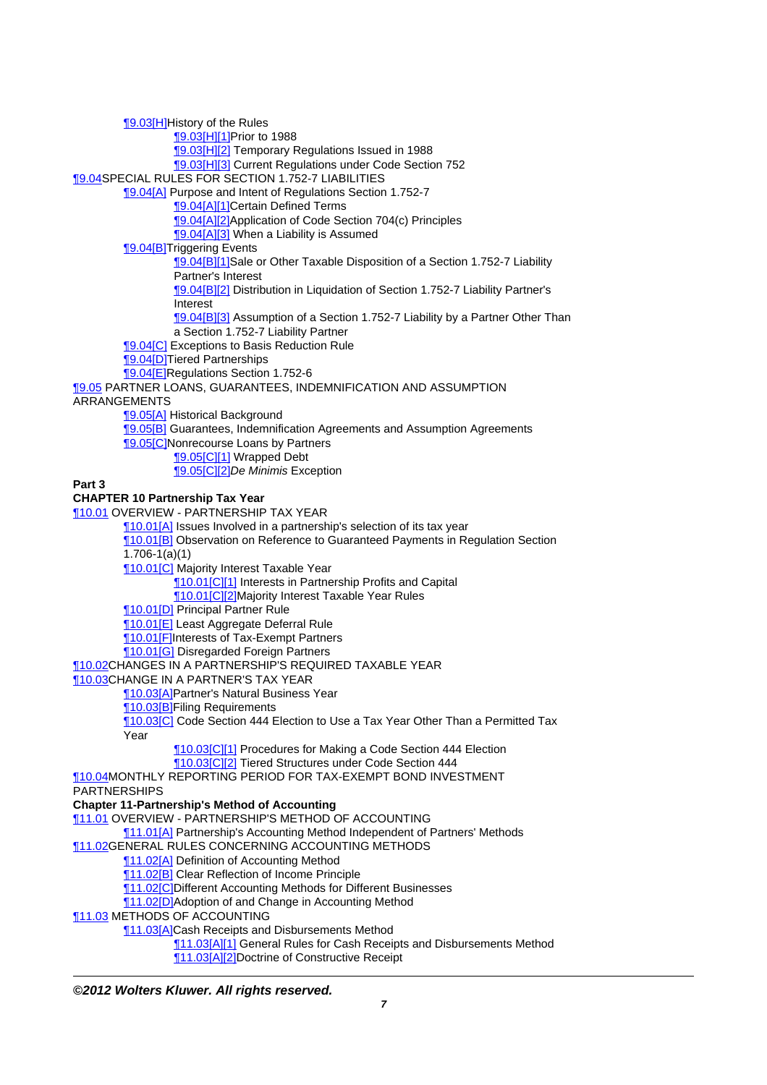[¶9.03\[H\]H](http://prod.resource.cch.com/resource/scion/citation/pit/9.03%5BH%5D/GLP01?cfu=TAA)istory of the Rules [¶9.03\[H\]\[1\]P](http://prod.resource.cch.com/resource/scion/citation/pit/9.03%5BH%5D%5B1%5D/GLP01?cfu=TAA)rior to 1988 **[9.03[H][2]** Temporary Regulations Issued in 1988 [¶9.03\[H\]\[3\]](http://prod.resource.cch.com/resource/scion/citation/pit/9.03%5BH%5D%5B3%5D/GLP01?cfu=TAA) Current Regulations under Code Section 752 [¶9.04](http://prod.resource.cch.com/resource/scion/citation/pit/9.04/GLP01?cfu=TAA)SPECIAL RULES FOR SECTION 1.752-7 LIABILITIES [¶9.04\[A\]](http://prod.resource.cch.com/resource/scion/citation/pit/9.04%5BA%5D/GLP01?cfu=TAA) Purpose and Intent of Regulations Section 1.752-7 [¶9.04\[A\]\[1\]](http://prod.resource.cch.com/resource/scion/citation/pit/9.04%5BA%5D%5B1%5D/GLP01?cfu=TAA)Certain Defined Terms [¶9.04\[A\]\[2\]](http://prod.resource.cch.com/resource/scion/citation/pit/9.04%5BA%5D%5B2%5D/GLP01?cfu=TAA)Application of Code Section 704(c) Principles [¶9.04\[A\]\[3\]](http://prod.resource.cch.com/resource/scion/citation/pit/9.04%5BA%5D%5B3%5D/GLP01?cfu=TAA) When a Liability is Assumed [¶9.04\[B\]](http://prod.resource.cch.com/resource/scion/citation/pit/9.04%5BB%5D/GLP01?cfu=TAA)Triggering Events [¶9.04\[B\]\[1\]](http://prod.resource.cch.com/resource/scion/citation/pit/9.04%5BB%5D%5B1%5D/GLP01?cfu=TAA)Sale or Other Taxable Disposition of a Section 1.752-7 Liability Partner's Interest [¶9.04\[B\]\[2\]](http://prod.resource.cch.com/resource/scion/citation/pit/9.04%5BB%5D%5B2%5D/GLP01?cfu=TAA) Distribution in Liquidation of Section 1.752-7 Liability Partner's Interest [9.04[B][3] Assumption of a Section 1.752-7 Liability by a Partner Other Than a Section 1.752-7 Liability Partner **[9.04[C]** Exceptions to Basis Reduction Rule [¶9.04\[D\]T](http://prod.resource.cch.com/resource/scion/citation/pit/9.04%5BD%5D/GLP01?cfu=TAA)iered Partnerships [¶9.04\[E\]](http://prod.resource.cch.com/resource/scion/citation/pit/9.04%5BE%5D/GLP01?cfu=TAA)Regulations Section 1.752-6 [¶9.05](http://prod.resource.cch.com/resource/scion/citation/pit/9.05/GLP01?cfu=TAA) PARTNER LOANS, GUARANTEES, INDEMNIFICATION AND ASSUMPTION ARRANGEMENTS [¶9.05\[A\]](http://prod.resource.cch.com/resource/scion/citation/pit/9.05%5BA%5D/GLP01?cfu=TAA) Historical Background [¶9.05\[B\]](http://prod.resource.cch.com/resource/scion/citation/pit/9.05%5BB%5D/GLP01?cfu=TAA) Guarantees, Indemnification Agreements and Assumption Agreements **19.05[C]Nonrecourse Loans by Partners** [¶9.05\[C\]\[1\]](http://prod.resource.cch.com/resource/scion/citation/pit/9.05%5BC%5D%5B1%5D/GLP01?cfu=TAA) Wrapped Debt **[9.05[C][2]De Minimis Exception Part 3 CHAPTER 10 Partnership Tax Year** [¶10.01](http://prod.resource.cch.com/resource/scion/citation/pit/10.01/GLP01?cfu=TAA) OVERVIEW - PARTNERSHIP TAX YEAR **10.01[A]** Issues Involved in a partnership's selection of its tax year [¶10.01\[B\]](http://prod.resource.cch.com/resource/scion/citation/pit/10.01%5BB%5D/GLP01?cfu=TAA) Observation on Reference to Guaranteed Payments in Regulation Section 1.706-1(a)(1) **10.01[C]** Majority Interest Taxable Year [¶10.01\[C\]\[1\]](http://prod.resource.cch.com/resource/scion/citation/pit/10.01%5BC%5D%5B1%5D/GLP01?cfu=TAA) Interests in Partnership Profits and Capital [¶10.01\[C\]\[2\]M](http://prod.resource.cch.com/resource/scion/citation/pit/10.01%5BC%5D%5B2%5D/GLP01?cfu=TAA)ajority Interest Taxable Year Rules **[10.01[D]** Principal Partner Rule [¶10.01\[E\]](http://prod.resource.cch.com/resource/scion/citation/pit/10.01%5BE%5D/GLP01?cfu=TAA) Least Aggregate Deferral Rule [¶10.01\[F\]I](http://prod.resource.cch.com/resource/scion/citation/pit/10.01%5BF%5D/GLP01?cfu=TAA)nterests of Tax-Exempt Partners [¶10.01\[G\]](http://prod.resource.cch.com/resource/scion/citation/pit/10.01%5BG%5D/GLP01?cfu=TAA) Disregarded Foreign Partners [¶10.02](http://prod.resource.cch.com/resource/scion/citation/pit/10.02/GLP01?cfu=TAA)CHANGES IN A PARTNERSHIP'S REQUIRED TAXABLE YEAR [¶10.03](http://prod.resource.cch.com/resource/scion/citation/pit/10.03/GLP01?cfu=TAA)CHANGE IN A PARTNER'S TAX YEAR [¶10.03\[A\]](http://prod.resource.cch.com/resource/scion/citation/pit/10.03%5BA%5D/GLP01?cfu=TAA)Partner's Natural Business Year [¶10.03\[B\]](http://prod.resource.cch.com/resource/scion/citation/pit/10.03%5BB%5D/GLP01?cfu=TAA)Filing Requirements **[10.03[C]** Code Section 444 Election to Use a Tax Year Other Than a Permitted Tax Year **10.03[C][1] Procedures for Making a Code Section 444 Election** [¶10.03\[C\]\[2\]](http://prod.resource.cch.com/resource/scion/citation/pit/10.03%5BC%5D%5B2%5D/GLP01?cfu=TAA) Tiered Structures under Code Section 444 [¶10.04](http://prod.resource.cch.com/resource/scion/citation/pit/10.04/GLP01?cfu=TAA)MONTHLY REPORTING PERIOD FOR TAX-EXEMPT BOND INVESTMENT PARTNERSHIPS **Chapter 11-Partnership's Method of Accounting** [¶11.01](http://prod.resource.cch.com/resource/scion/citation/pit/11.01/GLP01?cfu=TAA) OVERVIEW - PARTNERSHIP'S METHOD OF ACCOUNTING [¶11.01\[A\]](http://prod.resource.cch.com/resource/scion/citation/pit/11.01%5BA%5D/GLP01?cfu=TAA) Partnership's Accounting Method Independent of Partners' Methods [¶11.02](http://prod.resource.cch.com/resource/scion/citation/pit/11.02/GLP01?cfu=TAA)GENERAL RULES CONCERNING ACCOUNTING METHODS [¶11.02\[A\]](http://prod.resource.cch.com/resource/scion/citation/pit/11.02%5BA%5D/GLP01?cfu=TAA) Definition of Accounting Method [¶11.02\[B\]](http://prod.resource.cch.com/resource/scion/citation/pit/11.02%5BB%5D/GLP01?cfu=TAA) Clear Reflection of Income Principle [¶11.02\[C\]D](http://prod.resource.cch.com/resource/scion/citation/pit/11.02%5BC%5D/GLP01?cfu=TAA)ifferent Accounting Methods for Different Businesses [¶11.02\[D\]A](http://prod.resource.cch.com/resource/scion/citation/pit/11.02%5BD%5D/GLP01?cfu=TAA)doption of and Change in Accounting Method [¶11.03](http://prod.resource.cch.com/resource/scion/citation/pit/11.03/GLP01?cfu=TAA) METHODS OF ACCOUNTING [¶11.03\[A\]](http://prod.resource.cch.com/resource/scion/citation/pit/11.03%5BA%5D/GLP01?cfu=TAA)Cash Receipts and Disbursements Method [¶11.03\[A\]\[1\]](http://prod.resource.cch.com/resource/scion/citation/pit/11.03%5BA%5D%5B1%5D/GLP01?cfu=TAA) General Rules for Cash Receipts and Disbursements Method [¶11.03\[A\]\[2\]](http://prod.resource.cch.com/resource/scion/citation/pit/11.03%5BA%5D%5B2%5D/GLP01?cfu=TAA)Doctrine of Constructive Receipt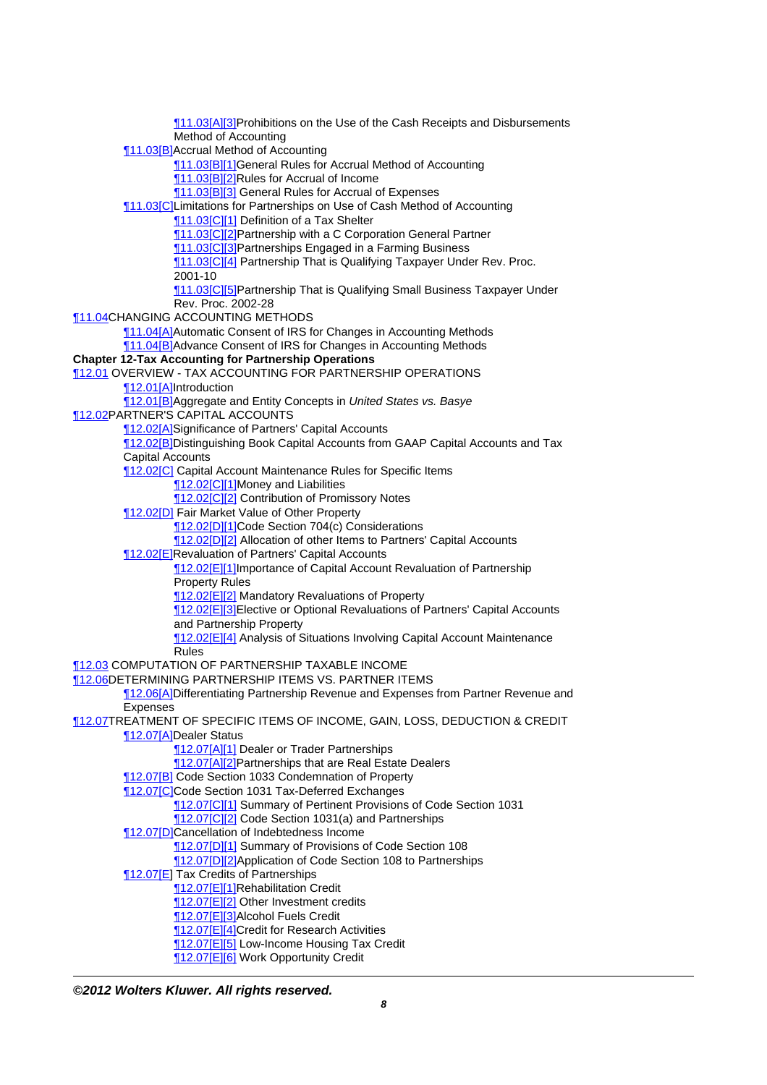[¶11.03\[A\]\[3\]](http://prod.resource.cch.com/resource/scion/citation/pit/11.03%5BA%5D%5B3%5D/GLP01?cfu=TAA)Prohibitions on the Use of the Cash Receipts and Disbursements Method of Accounting [¶11.03\[B\]](http://prod.resource.cch.com/resource/scion/citation/pit/11.03B/GLP01?cfu=TAA)Accrual Method of Accounting [¶11.03\[B\]\[1\]](http://prod.resource.cch.com/resource/scion/citation/pit/11.03%5BB%5D%5B1%5D/GLP01?cfu=TAA)General Rules for Accrual Method of Accounting [¶11.03\[B\]\[2\]](http://prod.resource.cch.com/resource/scion/citation/pit/11.03%5BB%5D%5B2%5D/GLP01?cfu=TAA)Rules for Accrual of Income [¶11.03\[B\]\[3\]](http://prod.resource.cch.com/resource/scion/citation/pit/11.03%5BB%5D%5B3%5D/GLP01?cfu=TAA) General Rules for Accrual of Expenses [¶11.03\[C\]L](http://prod.resource.cch.com/resource/scion/citation/pit/11.03%5BC%5D/GLP01?cfu=TAA)imitations for Partnerships on Use of Cash Method of Accounting [¶11.03\[C\]\[1\]](http://prod.resource.cch.com/resource/scion/citation/pit/11.03%5BC%5D%5B1%5D/GLP01?cfu=TAA) Definition of a Tax Shelter [¶11.03\[C\]\[2\]P](http://prod.resource.cch.com/resource/scion/citation/pit/11.03%5BC%5D%5B2%5D/GLP01?cfu=TAA)artnership with a C Corporation General Partner [¶11.03\[C\]\[3\]P](http://prod.resource.cch.com/resource/scion/citation/pit/11.03%5BC%5D%5B3%5D/GLP01?cfu=TAA)artnerships Engaged in a Farming Business **11.03[C][4] Partnership That is Qualifying Taxpayer Under Rev. Proc.** 2001-10 [¶11.03\[C\]\[5\]P](http://prod.resource.cch.com/resource/scion/citation/pit/11.03%5BC%5D%5B5%5D/GLP01?cfu=TAA)artnership That is Qualifying Small Business Taxpayer Under Rev. Proc. 2002-28 [¶11.04](http://prod.resource.cch.com/resource/scion/citation/pit/11.04/GLP01?cfu=TAA)CHANGING ACCOUNTING METHODS [¶11.04\[A\]](http://prod.resource.cch.com/resource/scion/citation/pit/11.04%5BA%5D/GLP01?cfu=TAA)Automatic Consent of IRS for Changes in Accounting Methods [¶11.04\[B\]](http://prod.resource.cch.com/resource/scion/citation/pit/11.04%5BB%5D/GLP01?cfu=TAA)Advance Consent of IRS for Changes in Accounting Methods **Chapter 12-Tax Accounting for Partnership Operations** [¶12.01](http://prod.resource.cch.com/resource/scion/citation/pit/12.01/GLP01?cfu=TAA) OVERVIEW - TAX ACCOUNTING FOR PARTNERSHIP OPERATIONS [¶12.01\[A\]](http://prod.resource.cch.com/resource/scion/citation/pit/12.01%5BA%5D/GLP01?cfu=TAA)Introduction [¶12.01\[B\]](http://prod.resource.cch.com/resource/scion/citation/pit/12.01%5BB%5D/GLP01?cfu=TAA)Aggregate and Entity Concepts in United States vs. Basye [¶12.02](http://prod.resource.cch.com/resource/scion/citation/pit/12.02/GLP01?cfu=TAA)PARTNER'S CAPITAL ACCOUNTS [¶12.02\[A\]](http://prod.resource.cch.com/resource/scion/citation/pit/12.02%5BA%5D/GLP01?cfu=TAA)Significance of Partners' Capital Accounts [¶12.02\[B\]](http://prod.resource.cch.com/resource/scion/citation/pit/12.02%5BB%5D/GLP01?cfu=TAA)Distinguishing Book Capital Accounts from GAAP Capital Accounts and Tax Capital Accounts **12.02[C]** Capital Account Maintenance Rules for Specific Items [¶12.02\[C\]\[1\]M](http://prod.resource.cch.com/resource/scion/citation/pit/12.02%5BC%5D%5B1%5D/GLP01?cfu=TAA)oney and Liabilities **12.02[C][2] Contribution of Promissory Notes** [¶12.02\[D\]](http://prod.resource.cch.com/resource/scion/citation/pit/12.02%5BD%5D/GLP01?cfu=TAA) Fair Market Value of Other Property [¶12.02\[D\]\[1\]C](http://prod.resource.cch.com/resource/scion/citation/pit/12.02%5BD%5D%5B1%5D/GLP01?cfu=TAA)ode Section 704(c) Considerations 12.02[D][2] Allocation of other Items to Partners' Capital Accounts [¶12.02\[E\]](http://prod.resource.cch.com/resource/scion/citation/pit/12.02%5BE%5D/GLP01?cfu=TAA)Revaluation of Partners' Capital Accounts [¶12.02\[E\]\[1\]](http://prod.resource.cch.com/resource/scion/citation/pit/12.02%5BE%5D%5B1%5D/GLP01?cfu=TAA)Importance of Capital Account Revaluation of Partnership Property Rules [¶12.02\[E\]\[2\]](http://prod.resource.cch.com/resource/scion/citation/pit/12.02%5BE%5D%5B2%5D/GLP01?cfu=TAA) Mandatory Revaluations of Property **12.02[E][3]**Elective or Optional Revaluations of Partners' Capital Accounts and Partnership Property [¶12.02\[E\]\[4\]](http://prod.resource.cch.com/resource/scion/citation/pit/12.02%5BE%5D%5B4%5D/GLP01?cfu=TAA) Analysis of Situations Involving Capital Account Maintenance Rules [¶12.03](http://prod.resource.cch.com/resource/scion/citation/pit/12.03/GLP01?cfu=TAA) COMPUTATION OF PARTNERSHIP TAXABLE INCOME [¶12.06](http://prod.resource.cch.com/resource/scion/citation/pit/12.06/GLP01?cfu=TAA)DETERMINING PARTNERSHIP ITEMS VS. PARTNER ITEMS [¶12.06\[A\]](http://prod.resource.cch.com/resource/scion/citation/pit/12.06%5BA%5D/GLP01?cfu=TAA)Differentiating Partnership Revenue and Expenses from Partner Revenue and Expenses [¶12.07](http://prod.resource.cch.com/resource/scion/citation/pit/12.07/GLP01?cfu=TAA)TREATMENT OF SPECIFIC ITEMS OF INCOME, GAIN, LOSS, DEDUCTION & CREDIT [¶12.07\[A\]](http://prod.resource.cch.com/resource/scion/citation/pit/12.07%5BA%5D/GLP01?cfu=TAA)Dealer Status [¶12.07\[A\]\[1\]](http://prod.resource.cch.com/resource/scion/citation/pit/12.07%5BA%5D%5B1%5D/GLP01?cfu=TAA) Dealer or Trader Partnerships [¶12.07\[A\]\[2\]](http://prod.resource.cch.com/resource/scion/citation/pit/12.07%5BA%5D%5B2%5D/GLP01?cfu=TAA)Partnerships that are Real Estate Dealers [¶12.07\[B\]](http://prod.resource.cch.com/resource/scion/citation/pit/12.07%5BB%5D/GLP01?cfu=TAA) Code Section 1033 Condemnation of Property [¶12.07\[C\]C](http://prod.resource.cch.com/resource/scion/citation/pit/12.07%5BC%5D/GLP01?cfu=TAA)ode Section 1031 Tax-Deferred Exchanges **12.07[C][1] Summary of Pertinent Provisions of Code Section 1031** 12.07<sup>[C][2]</sup> Code Section 1031(a) and Partnerships **112.07[D]Cancellation of Indebtedness Income** [¶12.07\[D\]\[1\]](http://prod.resource.cch.com/resource/scion/citation/pit/12.07%5BD%5D%5B1%5D/GLP01?cfu=TAA) Summary of Provisions of Code Section 108 [¶12.07\[D\]\[2\]A](http://prod.resource.cch.com/resource/scion/citation/pit/12.07%5BD%5D%5B2%5D/GLP01?cfu=TAA)pplication of Code Section 108 to Partnerships [¶12.07\[E\]](http://prod.resource.cch.com/resource/scion/citation/pit/12.07%5BE%5D/GLP01?cfu=TAA) Tax Credits of Partnerships [¶12.07\[E\]\[1\]](http://prod.resource.cch.com/resource/scion/citation/pit/12.07%5BE%5D%5B1%5D/GLP01?cfu=TAA)Rehabilitation Credit [¶12.07\[E\]\[2\]](http://prod.resource.cch.com/resource/scion/citation/pit/12.07%5BE%5D%5B2%5D/GLP01?cfu=TAA) Other Investment credits [¶12.07\[E\]\[3\]](http://prod.resource.cch.com/resource/scion/citation/pit/12.07%5BE%5D%5B3%5D/GLP01?cfu=TAA)Alcohol Fuels Credit **T12.07[E][4]Credit for Research Activities** [¶12.07\[E\]\[5\]](http://prod.resource.cch.com/resource/scion/citation/pit/12.07%5BE%5D%5B5%5D/GLP01?cfu=TAA) Low-Income Housing Tax Credit [¶12.07\[E\]\[6\]](http://prod.resource.cch.com/resource/scion/citation/pit/12.07%5BE%5D%5B6%5D/GLP01?cfu=TAA) Work Opportunity Credit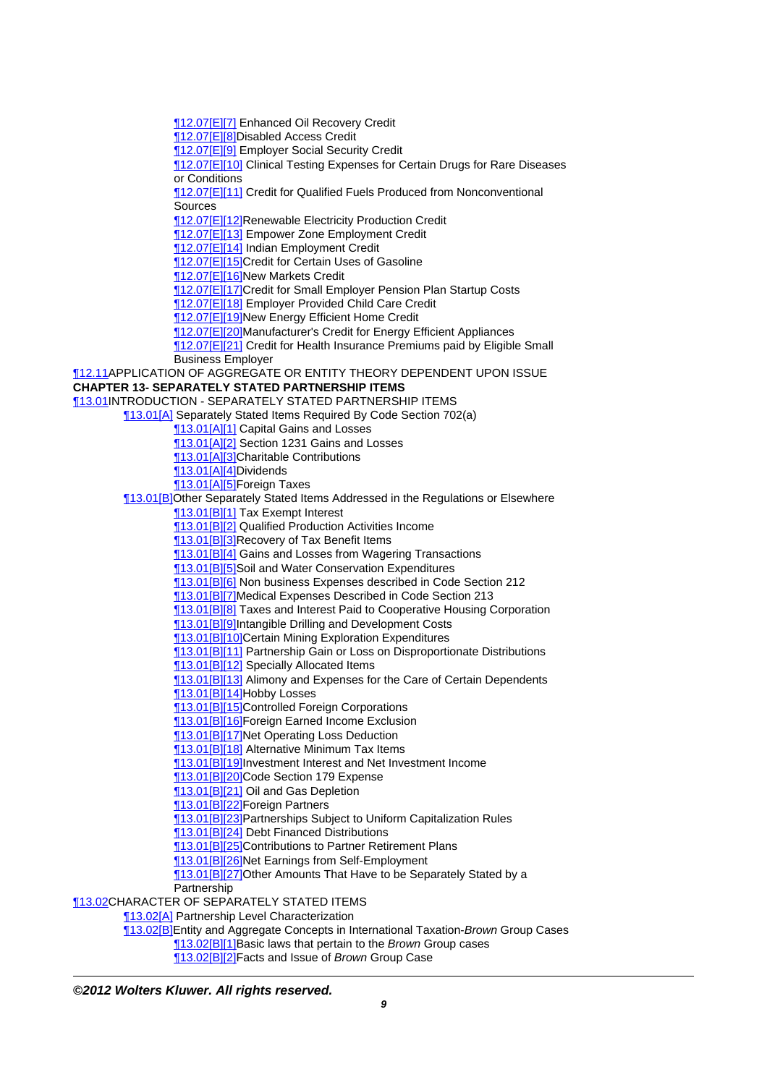[¶12.07\[E\]\[7\]](http://prod.resource.cch.com/resource/scion/citation/pit/12.07%5BE%5D%5B7%5D/GLP01?cfu=TAA) Enhanced Oil Recovery Credit

[¶12.07\[E\]\[8\]](http://prod.resource.cch.com/resource/scion/citation/pit/12.07%5BE%5D%5B8%5B%5D/GLP01?cfu=TAA)Disabled Access Credit

[¶12.07\[E\]\[9\]](http://prod.resource.cch.com/resource/scion/citation/pit/12.07%5BE%5D%5B9%5D/GLP01?cfu=TAA) Employer Social Security Credit

[¶12.07\[E\]\[10\]](http://prod.resource.cch.com/resource/scion/citation/pit/12.07%5BE%5D%5B10%5D/GLP01?cfu=TAA) Clinical Testing Expenses for Certain Drugs for Rare Diseases or Conditions

[¶12.07\[E\]\[11\]](http://prod.resource.cch.com/resource/scion/citation/pit/12.07%5BE%5D%5B11%5D/GLP01?cfu=TAA) Credit for Qualified Fuels Produced from Nonconventional Sources

[¶12.07\[E\]\[12\]](http://prod.resource.cch.com/resource/scion/citation/pit/12.07%5BE%5D%5B12%5D/GLP01?cfu=TAA)Renewable Electricity Production Credit

[¶12.07\[E\]\[13\]](http://prod.resource.cch.com/resource/scion/citation/pit/12.07%5BE%5D%5B13%5D/GLP01?cfu=TAA) Empower Zone Employment Credit

[¶12.07\[E\]\[14\]](http://prod.resource.cch.com/resource/scion/citation/pit/12.07%5BE%5D%5B14%5D/GLP01?cfu=TAA) Indian Employment Credit

[¶12.07\[E\]\[15\]](http://prod.resource.cch.com/resource/scion/citation/pit/12.07%5BE%5D%5B15%5D/GLP01?cfu=TAA)Credit for Certain Uses of Gasoline

[¶12.07\[E\]\[16\]](http://prod.resource.cch.com/resource/scion/citation/pit/12.07%5BE%5D%5B16%5D/GLP01?cfu=TAA)New Markets Credit

**12.07[E][17]Credit for Small Employer Pension Plan Startup Costs** 

[¶12.07\[E\]\[18\]](http://prod.resource.cch.com/resource/scion/citation/pit/12.07%5BE%5D%5B18%5D/GLP01?cfu=TAA) Employer Provided Child Care Credit

**12.07[E][19]New Energy Efficient Home Credit** 

[¶12.07\[E\]\[20\]](http://prod.resource.cch.com/resource/scion/citation/pit/12.07%5BE%5D%5B20%5D/GLP01?cfu=TAA)Manufacturer's Credit for Energy Efficient Appliances

**12.07[E][21]** Credit for Health Insurance Premiums paid by Eligible Small Business Employer

[¶12.11](http://prod.resource.cch.com/resource/scion/citation/pit/12.11/GLP01?cfu=TAA)APPLICATION OF AGGREGATE OR ENTITY THEORY DEPENDENT UPON ISSUE **CHAPTER 13- SEPARATELY STATED PARTNERSHIP ITEMS**

[¶13.01](http://prod.resource.cch.com/resource/scion/citation/pit/13.01/GLP01?cfu=TAA)INTRODUCTION - SEPARATELY STATED PARTNERSHIP ITEMS

[¶13.01\[A\]](http://prod.resource.cch.com/resource/scion/citation/pit/13.01%5BA%5D/GLP01?cfu=TAA) Separately Stated Items Required By Code Section 702(a)

[¶13.01\[A\]\[1\]](http://prod.resource.cch.com/resource/scion/citation/pit/13.01%5BA%5D%5B1%5D/GLP01?cfu=TAA) Capital Gains and Losses

**13.01[A][2]** Section 1231 Gains and Losses

**13.01[A][3]Charitable Contributions** 

[¶13.01\[A\]\[4\]](http://prod.resource.cch.com/resource/scion/citation/pit/13.01%5BA%5D%5B4%5D/GLP01?cfu=TAA)Dividends

[¶13.01\[A\]\[5\]](http://prod.resource.cch.com/resource/scion/citation/pit/13.01%5BA%5D%5B5%5D/GLP01?cfu=TAA)Foreign Taxes

[¶13.01\[B\]](http://prod.resource.cch.com/resource/scion/citation/pit/13.01%5BB%5D/GLP01?cfu=TAA)Other Separately Stated Items Addressed in the Regulations or Elsewhere

[¶13.01\[B\]\[1\]](http://prod.resource.cch.com/resource/scion/citation/pit/13.01%5BB%5D%5B1%5D/GLP01?cfu=TAA) Tax Exempt Interest

[¶13.01\[B\]\[2\]](http://prod.resource.cch.com/resource/scion/citation/pit/13.01%5BB%5D%5B2%5D/GLP01?cfu=TAA) Qualified Production Activities Income

13.01[B][3]Recovery of Tax Benefit Items

[¶13.01\[B\]\[4\]](http://prod.resource.cch.com/resource/scion/citation/pit/13.01%5BB%5D%5B4%5D/GLP01?cfu=TAA) Gains and Losses from Wagering Transactions

[¶13.01\[B\]\[5\]](http://prod.resource.cch.com/resource/scion/citation/pit/13.01%5BB%5D%5B5%5D/GLP01?cfu=TAA)Soil and Water Conservation Expenditures

[¶13.01\[B\]\[6\]](http://prod.resource.cch.com/resource/scion/citation/pit/13.01%5BB%5D%5B6%5D/GLP01?cfu=TAA) Non business Expenses described in Code Section 212

[¶13.01\[B\]\[7\]](http://prod.resource.cch.com/resource/scion/citation/pit/13.01%5BB%5D%5B7%5D/GLP01?cfu=TAA)Medical Expenses Described in Code Section 213

**13.01[B][8]** Taxes and Interest Paid to Cooperative Housing Corporation

[¶13.01\[B\]\[9\]](http://prod.resource.cch.com/resource/scion/citation/pit/13.01%5BB%5D%5B9%5D/GLP01?cfu=TAA)Intangible Drilling and Development Costs

[¶13.01\[B\]\[10\]](http://prod.resource.cch.com/resource/scion/citation/pit/13.01%5BB%5D%5B10%5D/GLP01?cfu=TAA)Certain Mining Exploration Expenditures

[¶13.01\[B\]\[11\]](http://prod.resource.cch.com/resource/scion/citation/pit/13.01%5BB%5D%5B11%5D/GLP01?cfu=TAA) Partnership Gain or Loss on Disproportionate Distributions

**13.01[B][12]** Specially Allocated Items

**13.01[B][13] Alimony and Expenses for the Care of Certain Dependents** 

[¶13.01\[B\]\[14\]](http://prod.resource.cch.com/resource/scion/citation/pit/13.01%5BB%5D%5B14%5D/GLP01?cfu=TAA)Hobby Losses

[¶13.01\[B\]\[15\]](http://prod.resource.cch.com/resource/scion/citation/pit/13.01%5BB%5D%5B15%5D/GLP01?cfu=TAA)Controlled Foreign Corporations

[¶13.01\[B\]\[16\]](http://prod.resource.cch.com/resource/scion/citation/pit/13.01%5BB%5D%5B16%5D/GLP01?cfu=TAA)Foreign Earned Income Exclusion

[¶13.01\[B\]\[17\]](http://prod.resource.cch.com/resource/scion/citation/pit/13.01%5BB%5D%5B17%5D/GLP01?cfu=TAA)Net Operating Loss Deduction

[¶13.01\[B\]\[18\]](http://prod.resource.cch.com/resource/scion/citation/pit/13.01%5BB%5D%5B18%5D/GLP01?cfu=TAA) Alternative Minimum Tax Items

[¶13.01\[B\]\[19\]](http://prod.resource.cch.com/resource/scion/citation/pit/13.01%5BB%5D%5B19%5D/GLP01?cfu=TAA)Investment Interest and Net Investment Income

[¶13.01\[B\]\[20\]](http://prod.resource.cch.com/resource/scion/citation/pit/13.01%5BB%5D%5B20%5D/GLP01?cfu=TAA)Code Section 179 Expense

**13.01[B][21] Oil and Gas Depletion** 

[¶13.01\[B\]\[22\]](http://prod.resource.cch.com/resource/scion/citation/pit/13.01%5BB%5D%5B22%5D/GLP01?cfu=TAA)Foreign Partners

[¶13.01\[B\]\[23\]](http://prod.resource.cch.com/resource/scion/citation/pit/13.01%5BB%5D%5B23%5D/GLP01?cfu=TAA)Partnerships Subject to Uniform Capitalization Rules

[¶13.01\[B\]\[24\]](http://prod.resource.cch.com/resource/scion/citation/pit/13.01%5BB%5D%5B24%5D/GLP01?cfu=TAA) Debt Financed Distributions

[¶13.01\[B\]\[25\]](http://prod.resource.cch.com/resource/scion/citation/pit/13.01%5BB%5D%5B25%5D/GLP01?cfu=TAA)Contributions to Partner Retirement Plans

[¶13.01\[B\]\[26\]](http://prod.resource.cch.com/resource/scion/citation/pit/13.01%5BB%5D%5B26%5D/GLP01?cfu=TAA)Net Earnings from Self-Employment

[¶13.01\[B\]\[27\]](http://prod.resource.cch.com/resource/scion/citation/pit/13.01%5BB%5D%5B27%5D/GLP01?cfu=TAA)Other Amounts That Have to be Separately Stated by a

Partnership

[¶13.02](http://prod.resource.cch.com/resource/scion/citation/pit/13.02/GLP01?cfu=TAA)CHARACTER OF SEPARATELY STATED ITEMS

[¶13.02\[A\]](http://prod.resource.cch.com/resource/scion/citation/pit/13.02%5BA%5D/GLP01?cfu=TAA) Partnership Level Characterization

[¶13.02\[B\]](http://prod.resource.cch.com/resource/scion/citation/pit/13.02%5BB%5D/GLP01?cfu=TAA)Entity and Aggregate Concepts in International Taxation-Brown Group Cases

**[13.02[B][1]Basic laws that pertain to the Brown Group cases** 

**13.02[B][2]Facts and Issue of Brown Group Case**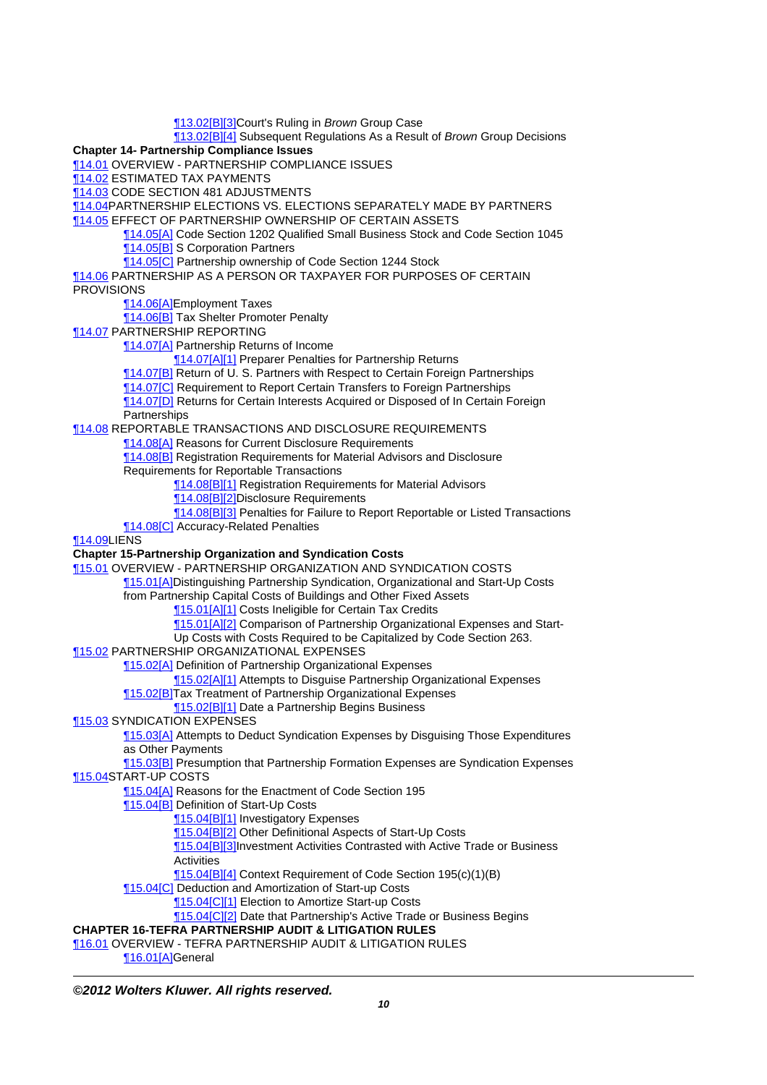[¶13.02\[B\]\[3\]](http://prod.resource.cch.com/resource/scion/citation/pit/13.02%5BB%5D%5B3%5D/GLP01?cfu=TAA)Court's Ruling in Brown Group Case **13.02[B][4]** Subsequent Regulations As a Result of Brown Group Decisions **Chapter 14- Partnership Compliance Issues** [¶14.01](http://prod.resource.cch.com/resource/scion/citation/pit/14.01/GLP01?cfu=TAA) OVERVIEW - PARTNERSHIP COMPLIANCE ISSUES [¶14.02](http://prod.resource.cch.com/resource/scion/citation/pit/14.02/GLP01?cfu=TAA) ESTIMATED TAX PAYMENTS [¶14.03](http://prod.resource.cch.com/resource/scion/citation/pit/14.03/GLP01?cfu=TAA) CODE SECTION 481 ADJUSTMENTS [¶14.04](http://prod.resource.cch.com/resource/scion/citation/pit/14.04/GLP01?cfu=TAA)PARTNERSHIP ELECTIONS VS. ELECTIONS SEPARATELY MADE BY PARTNERS [¶14.05](http://prod.resource.cch.com/resource/scion/citation/pit/14.05/GLP01?cfu=TAA) EFFECT OF PARTNERSHIP OWNERSHIP OF CERTAIN ASSETS [¶14.05\[A\]](http://prod.resource.cch.com/resource/scion/citation/pit/14.05%5BA%5D/GLP01?cfu=TAA) Code Section 1202 Qualified Small Business Stock and Code Section 1045 [¶14.05\[B\]](http://prod.resource.cch.com/resource/scion/citation/pit/14.05%5BB%5D/GLP01?cfu=TAA) S Corporation Partners [¶14.05\[C\]](http://prod.resource.cch.com/resource/scion/citation/pit/14.05%5BC%5D/GLP01?cfu=TAA) Partnership ownership of Code Section 1244 Stock [¶14.06](http://prod.resource.cch.com/resource/scion/citation/pit/14.06/GLP01?cfu=TAA) PARTNERSHIP AS A PERSON OR TAXPAYER FOR PURPOSES OF CERTAIN **PROVISIONS** [¶14.06\[A\]](http://prod.resource.cch.com/resource/scion/citation/pit/14.06%5BA%5D/GLP01?cfu=TAA)Employment Taxes [¶14.06\[B\]](http://prod.resource.cch.com/resource/scion/citation/pit/14.06%5BB%5D/GLP01?cfu=TAA) Tax Shelter Promoter Penalty [¶14.07](http://prod.resource.cch.com/resource/scion/citation/pit/14.07/GLP01?cfu=TAA) PARTNERSHIP REPORTING [¶14.07\[A\]](http://prod.resource.cch.com/resource/scion/citation/pit/14.07%5BA%5D/GLP01?cfu=TAA) Partnership Returns of Income [¶14.07\[A\]\[1\]](http://prod.resource.cch.com/resource/scion/citation/pit/14.07%5BA%5D%5B1%5D/GLP01?cfu=TAA) Preparer Penalties for Partnership Returns [¶14.07\[B\]](http://prod.resource.cch.com/resource/scion/citation/pit/14.07%5BB%5D/GLP01?cfu=TAA) Return of U. S. Partners with Respect to Certain Foreign Partnerships [¶14.07\[C\]](http://prod.resource.cch.com/resource/scion/citation/pit/14.07%5BC%5D/GLP01?cfu=TAA) Requirement to Report Certain Transfers to Foreign Partnerships [¶14.07\[D\]](http://prod.resource.cch.com/resource/scion/citation/pit/14.07%5BD%5D/GLP01?cfu=TAA) Returns for Certain Interests Acquired or Disposed of In Certain Foreign **Partnerships** [¶14.08](http://prod.resource.cch.com/resource/scion/citation/pit/14.08/GLP01?cfu=TAA) REPORTABLE TRANSACTIONS AND DISCLOSURE REQUIREMENTS [¶14.08\[A\]](http://prod.resource.cch.com/resource/scion/citation/pit/14.08%5BA%5D/GLP01?cfu=TAA) Reasons for Current Disclosure Requirements [¶14.08\[B\]](http://prod.resource.cch.com/resource/scion/citation/pit/14.08%5BB%5D/GLP01?cfu=TAA) Registration Requirements for Material Advisors and Disclosure Requirements for Reportable Transactions [¶14.08\[B\]\[1\]](http://prod.resource.cch.com/resource/scion/citation/pit/14.08%5BB%5D%5B1%5D/GLP01?cfu=TAA) Registration Requirements for Material Advisors [¶14.08\[B\]\[2\]](http://prod.resource.cch.com/resource/scion/citation/pit/14.08%5BB%5D%5B2%5D/GLP01?cfu=TAA)Disclosure Requirements **14.08[B][3]** Penalties for Failure to Report Reportable or Listed Transactions **14.08[C]** Accuracy-Related Penalties [¶14.09](http://prod.resource.cch.com/resource/scion/citation/pit/14.09/GLP01?cfu=TAA)LIENS **Chapter 15-Partnership Organization and Syndication Costs** [¶15.01](http://prod.resource.cch.com/resource/scion/citation/pit/15.01/GLP01?cfu=TAA) OVERVIEW - PARTNERSHIP ORGANIZATION AND SYNDICATION COSTS [¶15.01\[A\]](http://prod.resource.cch.com/resource/scion/citation/pit/15.01%5BA%5D/GLP01?cfu=TAA)Distinguishing Partnership Syndication, Organizational and Start-Up Costs from Partnership Capital Costs of Buildings and Other Fixed Assets **15.01[A][1]** Costs Ineligible for Certain Tax Credits **15.01[A][2]** Comparison of Partnership Organizational Expenses and Start-Up Costs with Costs Required to be Capitalized by Code Section 263. [¶15.02](http://prod.resource.cch.com/resource/scion/citation/pit/15.02/GLP01?cfu=TAA) PARTNERSHIP ORGANIZATIONAL EXPENSES [¶15.02\[A\]](http://prod.resource.cch.com/resource/scion/citation/pit/15.02%5BA%5D/GLP01?cfu=TAA) Definition of Partnership Organizational Expenses [¶15.02\[A\]\[1\]](http://prod.resource.cch.com/resource/scion/citation/pit/15.02%5BA%5D%5B1%5D/GLP01?cfu=TAA) Attempts to Disguise Partnership Organizational Expenses [¶15.02\[B\]](http://prod.resource.cch.com/resource/scion/citation/pit/15.02%5BB%5D/GLP01?cfu=TAA)Tax Treatment of Partnership Organizational Expenses **15.02[B][1]** Date a Partnership Begins Business [¶15.03](http://prod.resource.cch.com/resource/scion/citation/pit/15.03/GLP01?cfu=TAA) SYNDICATION EXPENSES [¶15.03\[A\]](http://prod.resource.cch.com/resource/scion/citation/pit/15.03%5BA%5D/GLP01?cfu=TAA) Attempts to Deduct Syndication Expenses by Disguising Those Expenditures as Other Payments [¶15.03\[B\]](http://prod.resource.cch.com/resource/scion/citation/pit/15.03%5BB%5D/GLP01?cfu=TAA) Presumption that Partnership Formation Expenses are Syndication Expenses [¶15.04](http://prod.resource.cch.com/resource/scion/citation/pit/15.04/GLP01?cfu=TAA)START-UP COSTS **T15.04[A] Reasons for the Enactment of Code Section 195** [¶15.04\[B\]](http://prod.resource.cch.com/resource/scion/citation/pit/15.04%5BB%5D/GLP01?cfu=TAA) Definition of Start-Up Costs [¶15.04\[B\]\[1\]](http://prod.resource.cch.com/resource/scion/citation/pit/15.04%5BB%5D%5B1%5D/GLP01?cfu=TAA) Investigatory Expenses [¶15.04\[B\]\[2\]](http://prod.resource.cch.com/resource/scion/citation/pit/15.04%5BB%5D%5B2%5D/GLP01?cfu=TAA) Other Definitional Aspects of Start-Up Costs [¶15.04\[B\]\[3\]](http://prod.resource.cch.com/resource/scion/citation/pit/15.04%5BB%5D%5B3%5D/GLP01?cfu=TAA)Investment Activities Contrasted with Active Trade or Business **Activities** [¶15.04\[B\]\[4\]](http://prod.resource.cch.com/resource/scion/citation/pit/15.04%5BB%5D%5B4%5D/GLP01?cfu=TAA) Context Requirement of Code Section 195(c)(1)(B) [¶15.04\[C\]](http://prod.resource.cch.com/resource/scion/citation/pit/15.04%5BC%5D/GLP01?cfu=TAA) Deduction and Amortization of Start-up Costs [¶15.04\[C\]\[1\]](http://prod.resource.cch.com/resource/scion/citation/pit/15.04%5BC%5D%5B1%5D/GLP01?cfu=TAA) Election to Amortize Start-up Costs [¶15.04\[C\]\[2\]](http://prod.resource.cch.com/resource/scion/citation/pit/15.04%5BC%5D%5B2%5D/GLP01?cfu=TAA) Date that Partnership's Active Trade or Business Begins **CHAPTER 16-TEFRA PARTNERSHIP AUDIT & LITIGATION RULES** [¶16.01](http://prod.resource.cch.com/resource/scion/citation/pit/16.01/GLP01?cfu=TAA) OVERVIEW - TEFRA PARTNERSHIP AUDIT & LITIGATION RULES [¶16.01\[A\]](http://prod.resource.cch.com/resource/scion/citation/pit/16.01%5BA%5D/GLP01?cfu=TAA)General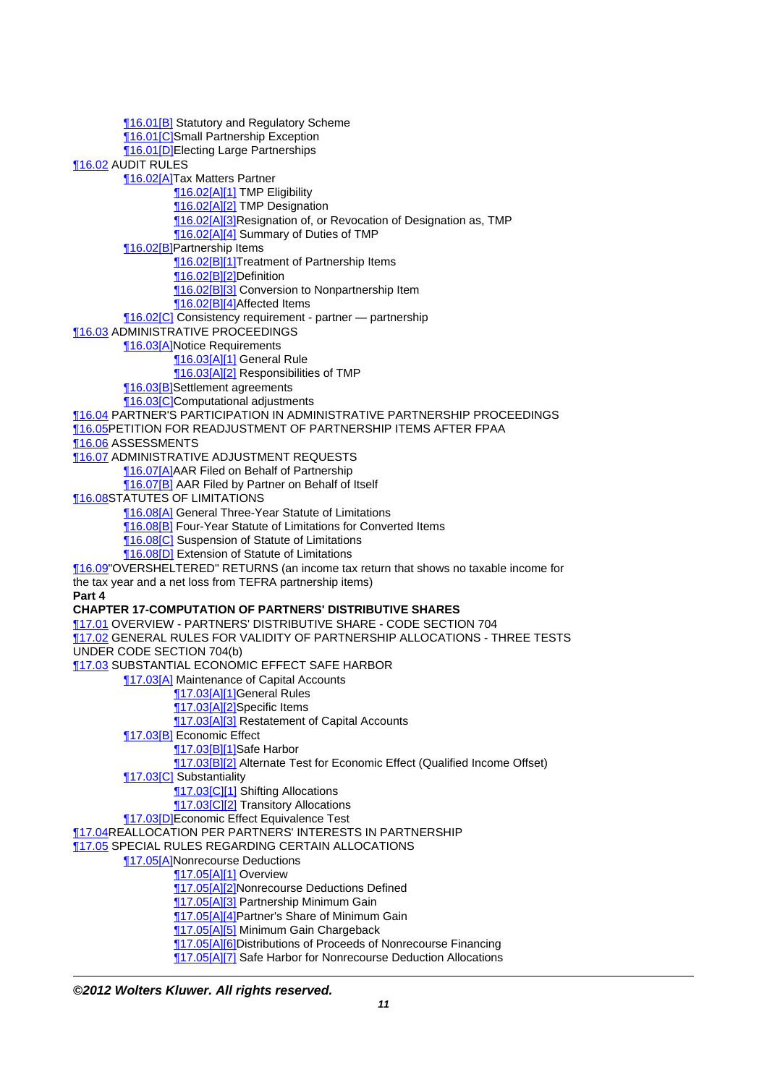[¶16.01\[B\]](http://prod.resource.cch.com/resource/scion/citation/pit/16.01%5BB%5D/GLP01?cfu=TAA) Statutory and Regulatory Scheme **16.01 [C]Small Partnership Exception 16.01DElecting Large Partnerships** [¶16.02](http://prod.resource.cch.com/resource/scion/citation/pit/16.02/GLP01?cfu=TAA) AUDIT RULES [¶16.02\[A\]](http://prod.resource.cch.com/resource/scion/citation/pit/16.02%5BA%5D/GLP01?cfu=TAA)Tax Matters Partner [¶16.02\[A\]\[1\]](http://prod.resource.cch.com/resource/scion/citation/pit/16.02%5BA%5D%5B1%5D/GLP01?cfu=TAA) TMP Eligibility [¶16.02\[A\]\[2\]](http://prod.resource.cch.com/resource/scion/citation/pit/16.02%5BA%5D%5B2%5D/GLP01?cfu=TAA) TMP Designation [¶16.02\[A\]\[3\]](http://prod.resource.cch.com/resource/scion/citation/pit/16.02%5BA%5D%5B3%5D/GLP01?cfu=TAA)Resignation of, or Revocation of Designation as, TMP [¶16.02\[A\]\[4\]](http://prod.resource.cch.com/resource/scion/citation/pit/16.02%5BA%5D%5B4%5D/GLP01?cfu=TAA) Summary of Duties of TMP [¶16.02\[B\]](http://prod.resource.cch.com/resource/scion/citation/pit/16.02%5BB%5D/GLP01?cfu=TAA)Partnership Items [¶16.02\[B\]\[1\]](http://prod.resource.cch.com/resource/scion/citation/pit/16.02%5BB%5D%5B1%5D/GLP01?cfu=TAA)Treatment of Partnership Items [¶16.02\[B\]\[2\]](http://prod.resource.cch.com/resource/scion/citation/pit/16.02%5BB%5D%5B2%5D/GLP01?cfu=TAA)Definition **16.02[B][3]** Conversion to Nonpartnership Item [¶16.02\[B\]\[4\]](http://prod.resource.cch.com/resource/scion/citation/pit/16.02%5BB%5D%5B4%5D/GLP01?cfu=TAA)Affected Items **16.02[C]** Consistency requirement - partner — partnership [¶16.03](http://prod.resource.cch.com/resource/scion/citation/pit/16.03/GLP01?cfu=TAA) ADMINISTRATIVE PROCEEDINGS [¶16.03\[A\]](http://prod.resource.cch.com/resource/scion/citation/pit/16.03%5BA%5D/GLP01?cfu=TAA)Notice Requirements [¶16.03\[A\]\[1\]](http://prod.resource.cch.com/resource/scion/citation/pit/16.03%5BA%5D%5B1%5D/GLP01?cfu=TAA) General Rule [¶16.03\[A\]\[2\]](http://prod.resource.cch.com/resource/scion/citation/pit/16.03%5BA%5D%5B2%5D/GLP01?cfu=TAA) Responsibilities of TMP [¶16.03\[B\]](http://prod.resource.cch.com/resource/scion/citation/pit/16.03%5BB%5D/GLP01?cfu=TAA)Settlement agreements [¶16.03\[C\]C](http://prod.resource.cch.com/resource/scion/citation/pit/16.03%5BC%5D/GLP01?cfu=TAA)omputational adjustments [¶16.04](http://prod.resource.cch.com/resource/scion/citation/pit/16.04/GLP01?cfu=TAA) PARTNER'S PARTICIPATION IN ADMINISTRATIVE PARTNERSHIP PROCEEDINGS [¶16.05](http://prod.resource.cch.com/resource/scion/citation/pit/16.05/GLP01?cfu=TAA)PETITION FOR READJUSTMENT OF PARTNERSHIP ITEMS AFTER FPAA [¶16.06](http://prod.resource.cch.com/resource/scion/citation/pit/16.06/GLP01?cfu=TAA) ASSESSMENTS [¶16.07](http://prod.resource.cch.com/resource/scion/citation/pit/16.07/GLP01?cfu=TAA) ADMINISTRATIVE ADJUSTMENT REQUESTS [¶16.07\[A\]](http://prod.resource.cch.com/resource/scion/citation/pit/16.07%5BA%5D/GLP01?cfu=TAA)AAR Filed on Behalf of Partnership [¶16.07\[B\]](http://prod.resource.cch.com/resource/scion/citation/pit/16.07%5BB%5D/GLP01?cfu=TAA) AAR Filed by Partner on Behalf of Itself [¶16.08](http://prod.resource.cch.com/resource/scion/citation/pit/16.08/GLP01?cfu=TAA)STATUTES OF LIMITATIONS [¶16.08\[A\]](http://prod.resource.cch.com/resource/scion/citation/pit/16.08%5BA%5D/GLP01?cfu=TAA) General Three-Year Statute of Limitations [¶16.08\[B\]](http://prod.resource.cch.com/resource/scion/citation/pit/16.08%5BB%5D/GLP01?cfu=TAA) Four-Year Statute of Limitations for Converted Items **16.08[C]** Suspension of Statute of Limitations [¶16.08\[D\]](http://prod.resource.cch.com/resource/scion/citation/pit/16.08%5BD%5D/GLP01?cfu=TAA) Extension of Statute of Limitations [¶16.09](http://prod.resource.cch.com/resource/scion/citation/pit/16.09/GLP01?cfu=TAA)"OVERSHELTERED" RETURNS (an income tax return that shows no taxable income for the tax year and a net loss from TEFRA partnership items) **Part 4 CHAPTER 17-COMPUTATION OF PARTNERS' DISTRIBUTIVE SHARES** [¶17.01](http://prod.resource.cch.com/resource/scion/citation/pit/17.01/GLP01?cfu=TAA) OVERVIEW - PARTNERS' DISTRIBUTIVE SHARE - CODE SECTION 704 [¶17.02](http://prod.resource.cch.com/resource/scion/citation/pit/17.02/GLP01?cfu=TAA) GENERAL RULES FOR VALIDITY OF PARTNERSHIP ALLOCATIONS - THREE TESTS UNDER CODE SECTION 704(b) [¶17.03](http://prod.resource.cch.com/resource/scion/citation/pit/17.03/GLP01?cfu=TAA) SUBSTANTIAL ECONOMIC EFFECT SAFE HARBOR **17.03[A]** Maintenance of Capital Accounts **17.03[A][1]General Rules** [¶17.03\[A\]\[2\]](http://prod.resource.cch.com/resource/scion/citation/pit/17.03%5BA%5D%5B2%5D/GLP01?cfu=TAA)Specific Items **T17.03[A][3] Restatement of Capital Accounts** [¶17.03\[B\]](http://prod.resource.cch.com/resource/scion/citation/pit/17.03%5BB%5D/GLP01?cfu=TAA) Economic Effect [¶17.03\[B\]\[1\]](http://prod.resource.cch.com/resource/scion/citation/pit/17.03%5BB%5D%5B1%5D/GLP01?cfu=TAA)Safe Harbor [¶17.03\[B\]\[2\]](http://prod.resource.cch.com/resource/scion/citation/pit/17.03%5BB%5D%5B2%5D/GLP01?cfu=TAA) Alternate Test for Economic Effect (Qualified Income Offset) [¶17.03\[C\]](http://prod.resource.cch.com/resource/scion/citation/pit/17.03%5BC%5D/GLP01?cfu=TAA) Substantiality [¶17.03\[C\]\[1\]](http://prod.resource.cch.com/resource/scion/citation/pit/17.03%5BC%5D%5B1%5D/GLP01?cfu=TAA) Shifting Allocations **T17.03 CI21** Transitory Allocations [¶17.03\[D\]E](http://prod.resource.cch.com/resource/scion/citation/pit/17.03%5BD%5D/GLP01?cfu=TAA)conomic Effect Equivalence Test [¶17.04](http://prod.resource.cch.com/resource/scion/citation/pit/17.04/GLP01?cfu=TAA)REALLOCATION PER PARTNERS' INTERESTS IN PARTNERSHIP [¶17.05](http://prod.resource.cch.com/resource/scion/citation/pit/17.05/GLP01?cfu=TAA) SPECIAL RULES REGARDING CERTAIN ALLOCATIONS [¶17.05\[A\]](http://prod.resource.cch.com/resource/scion/citation/pit/17.05%5BA%5D/GLP01?cfu=TAA)Nonrecourse Deductions [¶17.05\[A\]\[1\]](http://prod.resource.cch.com/resource/scion/citation/pit/17.05%5BA%5D%5B1%5D/GLP01?cfu=TAA) Overview **17.05[A][2]Nonrecourse Deductions Defined** [¶17.05\[A\]\[3\]](http://prod.resource.cch.com/resource/scion/citation/pit/17.05%5BA%5D%5B3%5D/GLP01?cfu=TAA) Partnership Minimum Gain [¶17.05\[A\]\[4\]](http://prod.resource.cch.com/resource/scion/citation/pit/17.05%5BA%5D%5B4%5D/GLP01?cfu=TAA)Partner's Share of Minimum Gain [¶17.05\[A\]\[5\]](http://prod.resource.cch.com/resource/scion/citation/pit/17.05%5BA%5D%5B5%5D/GLP01?cfu=TAA) Minimum Gain Chargeback [¶17.05\[A\]\[6\]](http://prod.resource.cch.com/resource/scion/citation/pit/17.05%5BA%5D%5B6%5D/GLP01?cfu=TAA)Distributions of Proceeds of Nonrecourse Financing [¶17.05\[A\]\[7\]](http://prod.resource.cch.com/resource/scion/citation/pit/17.05%5BA%5D%5B7%5D/GLP01?cfu=TAA) Safe Harbor for Nonrecourse Deduction Allocations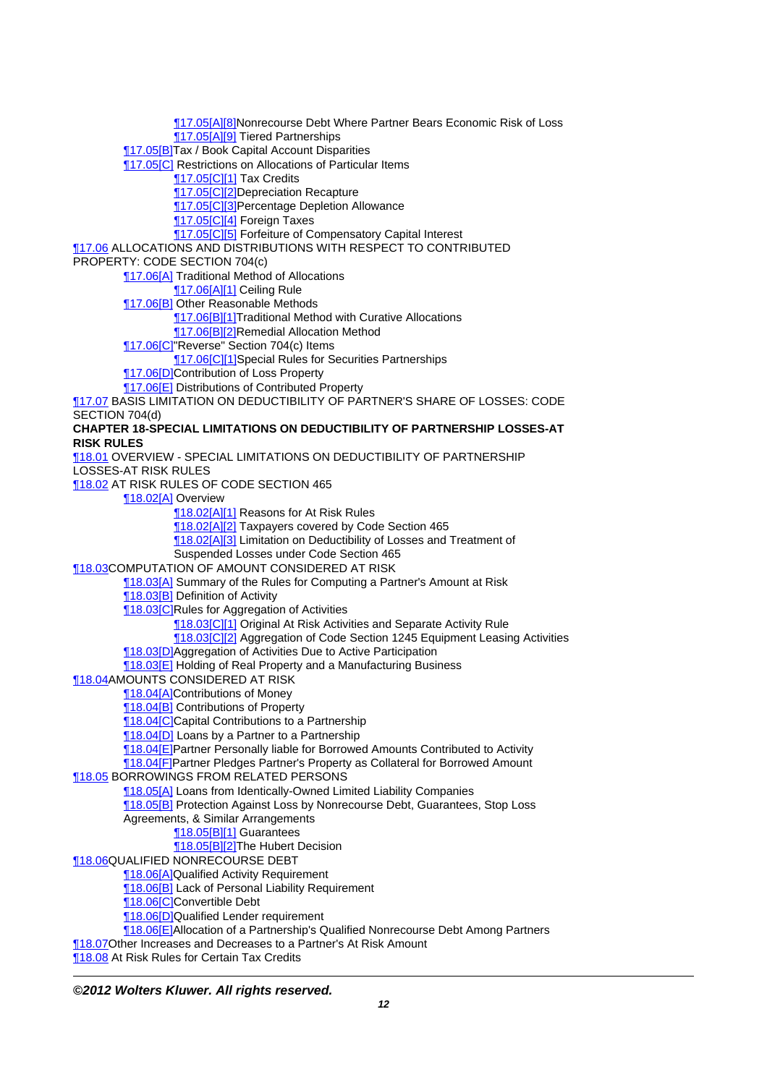[¶17.05\[A\]\[8\]](http://prod.resource.cch.com/resource/scion/citation/pit/17.05%5BA%5D%5B8%5D/GLP01?cfu=TAA)Nonrecourse Debt Where Partner Bears Economic Risk of Loss [¶17.05\[A\]\[9\]](http://prod.resource.cch.com/resource/scion/citation/pit/17.05%5BA%5D%5B9%5D/GLP01?cfu=TAA) Tiered Partnerships [¶17.05\[B\]](http://prod.resource.cch.com/resource/scion/citation/pit/17.05%5BB%5D/GLP01?cfu=TAA)Tax / Book Capital Account Disparities [¶17.05\[C\]](http://prod.resource.cch.com/resource/scion/citation/pit/17.05%5BC%5D/GLP01?cfu=TAA) Restrictions on Allocations of Particular Items **117.05[C][1] Tax Credits** [¶17.05\[C\]\[2\]D](http://prod.resource.cch.com/resource/scion/citation/pit/17.05%5BC%5D%5B2%5D/GLP01?cfu=TAA)epreciation Recapture [¶17.05\[C\]\[3\]P](http://prod.resource.cch.com/resource/scion/citation/pit/17.05%5BC%5D%5B3%5D/GLP01?cfu=TAA)ercentage Depletion Allowance [¶17.05\[C\]\[4\]](http://prod.resource.cch.com/resource/scion/citation/pit/17.05%5BC%5D%5B4%5D/GLP01?cfu=TAA) Foreign Taxes [¶17.05\[C\]\[5\]](http://prod.resource.cch.com/resource/scion/citation/pit/17.05%5BC%5D%5B5%5D/GLP01?cfu=TAA) Forfeiture of Compensatory Capital Interest [¶17.06](http://prod.resource.cch.com/resource/scion/citation/pit/17.06/GLP01?cfu=TAA) ALLOCATIONS AND DISTRIBUTIONS WITH RESPECT TO CONTRIBUTED PROPERTY: CODE SECTION 704(c) [¶17.06\[A\]](http://prod.resource.cch.com/resource/scion/citation/pit/17.06%5BA%5D/GLP01?cfu=TAA) Traditional Method of Allocations [¶17.06\[A\]\[1\]](http://prod.resource.cch.com/resource/scion/citation/pit/17.06%5BA%5D%5B1%5D/GLP01?cfu=TAA) Ceiling Rule [¶17.06\[B\]](http://prod.resource.cch.com/resource/scion/citation/pit/17.06%5BB%5D/GLP01?cfu=TAA) Other Reasonable Methods **17.06[B][1]Traditional Method with Curative Allocations** [¶17.06\[B\]\[2\]](http://prod.resource.cch.com/resource/scion/citation/pit/17.06%5BB%5D%5B2%5D/GLP01?cfu=TAA)Remedial Allocation Method [¶17.06\[C\]"](http://prod.resource.cch.com/resource/scion/citation/pit/17.06%5BC%5D/GLP01?cfu=TAA)Reverse" Section 704(c) Items **17.06[C][1]Special Rules for Securities Partnerships 17.06[D]Contribution of Loss Property** [¶17.06\[E\]](http://prod.resource.cch.com/resource/scion/citation/pit/17.06%5BE%5D/GLP01?cfu=TAA) Distributions of Contributed Property [¶17.07](http://prod.resource.cch.com/resource/scion/citation/pit/17.07/GLP01?cfu=TAA) BASIS LIMITATION ON DEDUCTIBILITY OF PARTNER'S SHARE OF LOSSES: CODE SECTION 704(d) **CHAPTER 18-SPECIAL LIMITATIONS ON DEDUCTIBILITY OF PARTNERSHIP LOSSES-AT RISK RULES** [¶18.01](http://prod.resource.cch.com/resource/scion/citation/pit/18.01/GLP01?cfu=TAA) OVERVIEW - SPECIAL LIMITATIONS ON DEDUCTIBILITY OF PARTNERSHIP LOSSES-AT RISK RULES [¶18.02](http://prod.resource.cch.com/resource/scion/citation/pit/18.02/GLP01?cfu=TAA) AT RISK RULES OF CODE SECTION 465 [¶18.02\[A\]](http://prod.resource.cch.com/resource/scion/citation/pit/18.02%5BA%5D/GLP01?cfu=TAA) Overview [¶18.02\[A\]\[1\]](http://prod.resource.cch.com/resource/scion/citation/pit/18.02%5BA%5D%5B1%5D/GLP01?cfu=TAA) Reasons for At Risk Rules [¶18.02\[A\]\[2\]](http://prod.resource.cch.com/resource/scion/citation/pit/18.02%5BA%5D%5B2%5D/GLP01?cfu=TAA) Taxpayers covered by Code Section 465 **18.02[A][3]** Limitation on Deductibility of Losses and Treatment of Suspended Losses under Code Section 465 [¶18.03](http://prod.resource.cch.com/resource/scion/citation/pit/18.03/GLP01?cfu=TAA)COMPUTATION OF AMOUNT CONSIDERED AT RISK [¶18.03\[A\]](http://prod.resource.cch.com/resource/scion/citation/pit/18.03%5BA%5D/GLP01?cfu=TAA) Summary of the Rules for Computing a Partner's Amount at Risk [¶18.03\[B\]](http://prod.resource.cch.com/resource/scion/citation/pit/18.03%5BB%5D/GLP01?cfu=TAA) Definition of Activity **18.03[C]Rules for Aggregation of Activities 18.03[C][1]** Original At Risk Activities and Separate Activity Rule [¶18.03\[C\]\[2\]](http://prod.resource.cch.com/resource/scion/citation/pit/18.03%5BC%5D%5B2%5D/GLP01?cfu=TAA) Aggregation of Code Section 1245 Equipment Leasing Activities [¶18.03\[D\]A](http://prod.resource.cch.com/resource/scion/citation/pit/18.03%5BD%5D/GLP01?cfu=TAA)ggregation of Activities Due to Active Participation [¶18.03\[E\]](http://prod.resource.cch.com/resource/scion/citation/pit/18.03%5BE%5D/GLP01?cfu=TAA) Holding of Real Property and a Manufacturing Business [¶18.04](http://prod.resource.cch.com/resource/scion/citation/pit/18.04/GLP01?cfu=TAA)AMOUNTS CONSIDERED AT RISK [¶18.04\[A\]](http://prod.resource.cch.com/resource/scion/citation/pit/18.04%5BA%5D/GLP01?cfu=TAA)Contributions of Money [¶18.04\[B\]](http://prod.resource.cch.com/resource/scion/citation/pit/18.04%5BB%5D/GLP01?cfu=TAA) Contributions of Property **18.04 C** Capital Contributions to a Partnership **[18.04[D]** Loans by a Partner to a Partnership [¶18.04\[E\]](http://prod.resource.cch.com/resource/scion/citation/pit/18.04%5BE%5D/GLP01?cfu=TAA)Partner Personally liable for Borrowed Amounts Contributed to Activity [¶18.04\[F\]P](http://prod.resource.cch.com/resource/scion/citation/pit/18.04%5BF%5D/GLP01?cfu=TAA)artner Pledges Partner's Property as Collateral for Borrowed Amount [¶18.05](http://prod.resource.cch.com/resource/scion/citation/pit/18.05/GLP01?cfu=TAA) BORROWINGS FROM RELATED PERSONS [¶18.05\[A\]](http://prod.resource.cch.com/resource/scion/citation/pit/18.05%5BA%5D/GLP01?cfu=TAA) Loans from Identically-Owned Limited Liability Companies [¶18.05\[B\]](http://prod.resource.cch.com/resource/scion/citation/pit/18.05%5BB%5D/GLP01?cfu=TAA) Protection Against Loss by Nonrecourse Debt, Guarantees, Stop Loss Agreements, & Similar Arrangements [¶18.05\[B\]\[1\]](http://prod.resource.cch.com/resource/scion/citation/pit/18.05%5BB%5D%5B1%5D/GLP01?cfu=TAA) Guarantees [¶18.05\[B\]\[2\]](http://prod.resource.cch.com/resource/scion/citation/pit/18.05%5BB%5D%5B2%5D/GLP01?cfu=TAA)The Hubert Decision [¶18.06](http://prod.resource.cch.com/resource/scion/citation/pit/18.06/GLP01?cfu=TAA)QUALIFIED NONRECOURSE DEBT **18.06[A]Qualified Activity Requirement** [¶18.06\[B\]](http://prod.resource.cch.com/resource/scion/citation/pit/18.06%5BB%5D/GLP01?cfu=TAA) Lack of Personal Liability Requirement [¶18.06\[C\]C](http://prod.resource.cch.com/resource/scion/citation/pit/18.06%5BC%5D/GLP01?cfu=TAA)onvertible Debt [¶18.06\[D\]Q](http://prod.resource.cch.com/resource/scion/citation/pit/18.06%5BD%5D/GLP01?cfu=TAA)ualified Lender requirement [¶18.06\[E\]](http://prod.resource.cch.com/resource/scion/citation/pit/18.06%5BE%5D/GLP01?cfu=TAA)Allocation of a Partnership's Qualified Nonrecourse Debt Among Partners [¶18.07](http://prod.resource.cch.com/resource/scion/citation/pit/18.07/GLP01?cfu=TAA)Other Increases and Decreases to a Partner's At Risk Amount **18.08** At Risk Rules for Certain Tax Credits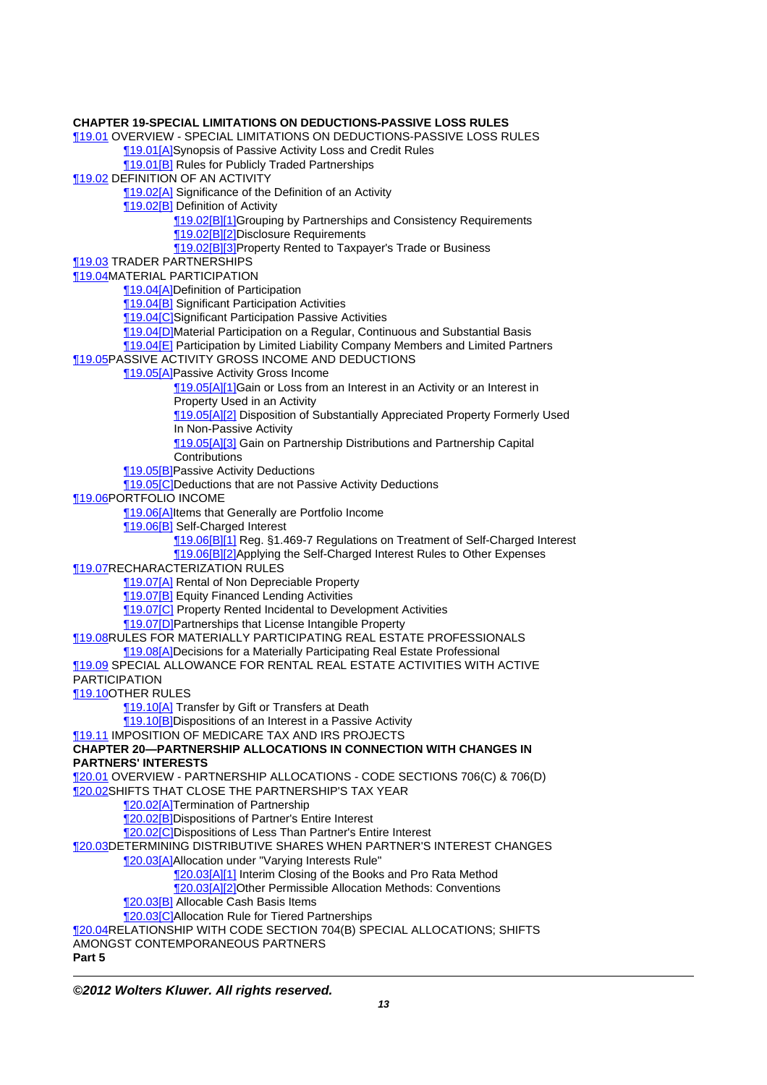**CHAPTER 19-SPECIAL LIMITATIONS ON DEDUCTIONS-PASSIVE LOSS RULES** [¶19.01](http://prod.resource.cch.com/resource/scion/citation/pit/19.01/GLP01?cfu=TAA) OVERVIEW - SPECIAL LIMITATIONS ON DEDUCTIONS-PASSIVE LOSS RULES [¶19.01\[A\]](http://prod.resource.cch.com/resource/scion/citation/pit/19.01%5BA%5D/GLP01?cfu=TAA)Synopsis of Passive Activity Loss and Credit Rules [¶19.01\[B\]](http://prod.resource.cch.com/resource/scion/citation/pit/19.01%5BB%5D/GLP01?cfu=TAA) Rules for Publicly Traded Partnerships [¶19.02](http://prod.resource.cch.com/resource/scion/citation/pit/19.02/GLP01?cfu=TAA) DEFINITION OF AN ACTIVITY [¶19.02\[A\]](http://prod.resource.cch.com/resource/scion/citation/pit/19.02%5BA%5D/GLP01?cfu=TAA) Significance of the Definition of an Activity [¶19.02\[B\]](http://prod.resource.cch.com/resource/scion/citation/pit/19.02%5BB%5D/GLP01?cfu=TAA) Definition of Activity [¶19.02\[B\]\[1\]](http://prod.resource.cch.com/resource/scion/citation/pit/19.02%5BB%5D%5B1%5D/GLP01?cfu=TAA)Grouping by Partnerships and Consistency Requirements [¶19.02\[B\]\[2\]](http://prod.resource.cch.com/resource/scion/citation/pit/19.02%5BB%5D%5B2%5D/GLP01?cfu=TAA)Disclosure Requirements [¶19.02\[B\]\[3\]](http://prod.resource.cch.com/resource/scion/citation/pit/19.02%5BB%5D%5B3%5D/GLP01?cfu=TAA)Property Rented to Taxpayer's Trade or Business [¶19.03](http://prod.resource.cch.com/resource/scion/citation/pit/19.03/GLP01?cfu=TAA) TRADER PARTNERSHIPS [¶19.04](http://prod.resource.cch.com/resource/scion/citation/pit/19.04/GLP01?cfu=TAA)MATERIAL PARTICIPATION [¶19.04\[A\]](http://prod.resource.cch.com/resource/scion/citation/pit/19.04%5BA%5D/GLP01?cfu=TAA)Definition of Participation [¶19.04\[B\]](http://prod.resource.cch.com/resource/scion/citation/pit/19.04%5BB%5D/GLP01?cfu=TAA) Significant Participation Activities [¶19.04\[C\]S](http://prod.resource.cch.com/resource/scion/citation/pit/19.04%5BC%5D/GLP01?cfu=TAA)ignificant Participation Passive Activities [¶19.04\[D\]M](http://prod.resource.cch.com/resource/scion/citation/pit/19.04%5BD%5D/GLP01?cfu=TAA)aterial Participation on a Regular, Continuous and Substantial Basis [¶19.04\[E\]](http://prod.resource.cch.com/resource/scion/citation/pit/19.04%5BE%5D/GLP01?cfu=TAA) Participation by Limited Liability Company Members and Limited Partners [¶19.05](http://prod.resource.cch.com/resource/scion/citation/pit/19.05/GLP01?cfu=TAA)PASSIVE ACTIVITY GROSS INCOME AND DEDUCTIONS [¶19.05\[A\]](http://prod.resource.cch.com/resource/scion/citation/pit/19.05%5BA%5D/GLP01?cfu=TAA)Passive Activity Gross Income [¶19.05\[A\]\[1\]](http://prod.resource.cch.com/resource/scion/citation/pit/19.05%5BA%5D%5B1%5D/GLP01?cfu=TAA)Gain or Loss from an Interest in an Activity or an Interest in Property Used in an Activity **19.05[A][2]** Disposition of Substantially Appreciated Property Formerly Used In Non-Passive Activity 19.05[A][3] Gain on Partnership Distributions and Partnership Capital **Contributions** [¶19.05\[B\]](http://prod.resource.cch.com/resource/scion/citation/pit/19.05%5BB%5D/GLP01?cfu=TAA)Passive Activity Deductions [¶19.05\[C\]D](http://prod.resource.cch.com/resource/scion/citation/pit/19.05%5BC%5D/GLP01?cfu=TAA)eductions that are not Passive Activity Deductions [¶19.06](http://prod.resource.cch.com/resource/scion/citation/pit/19.06/GLP01?cfu=TAA)PORTFOLIO INCOME **19.06[A]Items that Generally are Portfolio Income** [¶19.06\[B\]](http://prod.resource.cch.com/resource/scion/citation/pit/19.06%5BB%5D/GLP01?cfu=TAA) Self-Charged Interest [¶19.06\[B\]\[1\]](http://prod.resource.cch.com/resource/scion/citation/pit/19.06%5BB%5D%5B1%5D/GLP01?cfu=TAA) Reg. §1.469-7 Regulations on Treatment of Self-Charged Interest 19.06[B][2]Applying the Self-Charged Interest Rules to Other Expenses [¶19.07](http://prod.resource.cch.com/resource/scion/citation/pit/19.07/GLP01?cfu=TAA)RECHARACTERIZATION RULES [¶19.07\[A\]](http://prod.resource.cch.com/resource/scion/citation/pit/19.07%5BA%5D/GLP01?cfu=TAA) Rental of Non Depreciable Property **19.07[B] Equity Financed Lending Activities 19.07[C]** Property Rented Incidental to Development Activities [¶19.07\[D\]P](http://prod.resource.cch.com/resource/scion/citation/pit/19.07%5BD%5D/GLP01?cfu=TAA)artnerships that License Intangible Property [¶19.08](http://prod.resource.cch.com/resource/scion/citation/pit/19.08/GLP01?cfu=TAA)RULES FOR MATERIALLY PARTICIPATING REAL ESTATE PROFESSIONALS [¶19.08\[A\]](http://prod.resource.cch.com/resource/scion/citation/pit/19.08%5BA%5D/GLP01?cfu=TAA)Decisions for a Materially Participating Real Estate Professional [¶19.09](http://prod.resource.cch.com/resource/scion/citation/pit/19.09/GLP01?cfu=TAA) SPECIAL ALLOWANCE FOR RENTAL REAL ESTATE ACTIVITIES WITH ACTIVE PARTICIPATION [¶19.10](http://prod.resource.cch.com/resource/scion/citation/pit/19.10/GLP01?cfu=TAA)OTHER RULES **19.10[A]** Transfer by Gift or Transfers at Death [¶19.10\[B\]](http://prod.resource.cch.com/resource/scion/citation/pit/19.10%5BB%5D/GLP01?cfu=TAA)Dispositions of an Interest in a Passive Activity [¶19.11](http://prod.resource.cch.com/resource/scion/citation/pit/19.11/GLP01?cfu=TAA) IMPOSITION OF MEDICARE TAX AND IRS PROJECTS **CHAPTER 20—PARTNERSHIP ALLOCATIONS IN CONNECTION WITH CHANGES IN PARTNERS' INTERESTS** [¶20.01](http://prod.resource.cch.com/resource/scion/citation/pit/20.01/GLP01?cfu=TAA) OVERVIEW - PARTNERSHIP ALLOCATIONS - CODE SECTIONS 706(C) & 706(D) [¶20.02](http://prod.resource.cch.com/resource/scion/citation/pit/20.02/GLP01?cfu=TAA)SHIFTS THAT CLOSE THE PARTNERSHIP'S TAX YEAR [¶20.02\[A\]](http://prod.resource.cch.com/resource/scion/citation/pit/20.02%5BA%5D/GLP01?cfu=TAA)Termination of Partnership [¶20.02\[B\]](http://prod.resource.cch.com/resource/scion/citation/pit/20.02%5BB%5D/GLP01?cfu=TAA)Dispositions of Partner's Entire Interest [¶20.02\[C\]D](http://prod.resource.cch.com/resource/scion/citation/pit/20.02%5BC%5D/GLP01?cfu=TAA)ispositions of Less Than Partner's Entire Interest [¶20.03](http://prod.resource.cch.com/resource/scion/citation/pit/20.03/GLP01?cfu=TAA)DETERMINING DISTRIBUTIVE SHARES WHEN PARTNER'S INTEREST CHANGES [¶20.03\[A\]](http://prod.resource.cch.com/resource/scion/citation/pit/20.03%5BA%5D/GLP01?cfu=TAA)Allocation under "Varying Interests Rule" **120.03[A][1] Interim Closing of the Books and Pro Rata Method** [¶20.03\[A\]\[2\]](http://prod.resource.cch.com/resource/scion/citation/pit/20.03%5BA%5D%5B2%5D/GLP01?cfu=TAA)Other Permissible Allocation Methods: Conventions **120.03[B]** Allocable Cash Basis Items [¶20.03\[C\]A](http://prod.resource.cch.com/resource/scion/citation/pit/20.03%5BC%5D/GLP01?cfu=TAA)llocation Rule for Tiered Partnerships [¶20.04](http://prod.resource.cch.com/resource/scion/citation/pit/20.04/GLP01?cfu=TAA)RELATIONSHIP WITH CODE SECTION 704(B) SPECIAL ALLOCATIONS; SHIFTS AMONGST CONTEMPORANEOUS PARTNERS

**Part 5**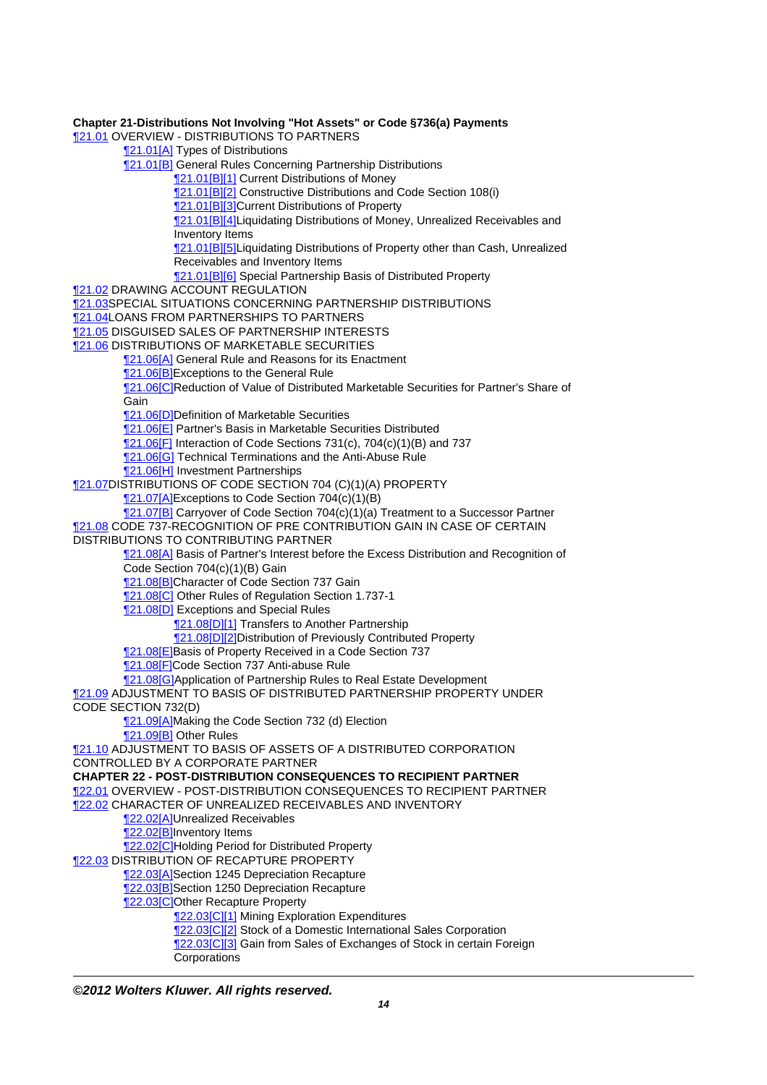**Chapter 21-Distributions Not Involving "Hot Assets" or Code §736(a) Payments 121.01 OVERVIEW - DISTRIBUTIONS TO PARTNERS 121.01[A] Types of Distributions** [¶21.01\[B\]](http://prod.resource.cch.com/resource/scion/citation/pit/21.01%5BB%5D/GLP01?cfu=TAA) General Rules Concerning Partnership Distributions [¶21.01\[B\]\[1\]](http://prod.resource.cch.com/resource/scion/citation/pit/21.01%5BB%5D%5B1%5D/GLP01?cfu=TAA) Current Distributions of Money [¶21.01\[B\]\[2\]](http://prod.resource.cch.com/resource/scion/citation/pit/21.01%5BB%5D%5B2%5D/GLP01?cfu=TAA) Constructive Distributions and Code Section 108(i) [¶21.01\[B\]\[3\]](http://prod.resource.cch.com/resource/scion/citation/pit/21.01%5BB%5D%5B3%5D/GLP01?cfu=TAA)Current Distributions of Property [¶21.01\[B\]\[4\]](http://prod.resource.cch.com/resource/scion/citation/pit/21.01%5BB%5D%5B4%5D/GLP01?cfu=TAA)Liquidating Distributions of Money, Unrealized Receivables and Inventory Items [¶21.01\[B\]\[5\]](http://prod.resource.cch.com/resource/scion/citation/pit/21.01%5BB%5D%5B5%5D/GLP01?cfu=TAA)Liquidating Distributions of Property other than Cash, Unrealized Receivables and Inventory Items [¶21.01\[B\]\[6\]](http://prod.resource.cch.com/resource/scion/citation/pit/21.01%5BB%5D%5B6%5D/GLP01?cfu=TAA) Special Partnership Basis of Distributed Property **121.02 DRAWING ACCOUNT REGULATION** [¶21.03](http://prod.resource.cch.com/resource/scion/citation/pit/21.03/GLP01?cfu=TAA)SPECIAL SITUATIONS CONCERNING PARTNERSHIP DISTRIBUTIONS **121.04LOANS FROM PARTNERSHIPS TO PARTNERS** [¶21.05](http://prod.resource.cch.com/resource/scion/citation/pit/21.05/GLP01?cfu=TAA) DISGUISED SALES OF PARTNERSHIP INTERESTS **121.06 DISTRIBUTIONS OF MARKETABLE SECURITIES** [¶21.06\[A\]](http://prod.resource.cch.com/resource/scion/citation/pit/21.06%5BA%5D/GLP01?cfu=TAA) General Rule and Reasons for its Enactment **121.06[B]Exceptions to the General Rule** [¶21.06\[C\]R](http://prod.resource.cch.com/resource/scion/citation/pit/21.06%5BC%5D/GLP01?cfu=TAA)eduction of Value of Distributed Marketable Securities for Partner's Share of **Gain 121.06[D]Definition of Marketable Securities 121.06[E]** Partner's Basis in Marketable Securities Distributed [¶21.06\[F\]](http://prod.resource.cch.com/resource/scion/citation/pit/21.06%5BF%5D/GLP01?cfu=TAA) Interaction of Code Sections 731(c), 704(c)(1)(B) and 737 **[21.06[G]** Technical Terminations and the Anti-Abuse Rule [¶21.06\[H\]](http://prod.resource.cch.com/resource/scion/citation/pit/21.06%5BH%5D/GLP01?cfu=TAA) Investment Partnerships [¶21.07](http://prod.resource.cch.com/resource/scion/citation/pit/21.07/GLP01?cfu=TAA)DISTRIBUTIONS OF CODE SECTION 704 (C)(1)(A) PROPERTY [¶21.07\[A\]](http://prod.resource.cch.com/resource/scion/citation/pit/21.07%5BA%5D/GLP01?cfu=TAA)Exceptions to Code Section 704(c)(1)(B) [¶21.07\[B\]](http://prod.resource.cch.com/resource/scion/citation/pit/21.07%5BB%5D/GLP01?cfu=TAA) Carryover of Code Section 704(c)(1)(a) Treatment to a Successor Partner [¶21.08](http://prod.resource.cch.com/resource/scion/citation/pit/21.08/GLP01?cfu=TAA) CODE 737-RECOGNITION OF PRE CONTRIBUTION GAIN IN CASE OF CERTAIN DISTRIBUTIONS TO CONTRIBUTING PARTNER [¶21.08\[A\]](http://prod.resource.cch.com/resource/scion/citation/pit/21.08%5BA%5D/GLP01?cfu=TAA) Basis of Partner's Interest before the Excess Distribution and Recognition of Code Section 704(c)(1)(B) Gain [¶21.08\[B\]](http://prod.resource.cch.com/resource/scion/citation/pit/21.08%5BB%5D/GLP01?cfu=TAA)Character of Code Section 737 Gain [¶21.08\[C\]](http://prod.resource.cch.com/resource/scion/citation/pit/21.08%5BC%5D/GLP01?cfu=TAA) Other Rules of Regulation Section 1.737-1 **121.08[D]** Exceptions and Special Rules **[21.08[D][1]** Transfers to Another Partnership [¶21.08\[D\]\[2\]D](http://prod.resource.cch.com/resource/scion/citation/pit/21.08%5BD%5D%5B2%5D/GLP01?cfu=TAA)istribution of Previously Contributed Property [¶21.08\[E\]](http://prod.resource.cch.com/resource/scion/citation/pit/21.08%5BE%5D/GLP01?cfu=TAA)Basis of Property Received in a Code Section 737 [¶21.08\[F\]C](http://prod.resource.cch.com/resource/scion/citation/pit/21.08%5BF%5D/GLP01?cfu=TAA)ode Section 737 Anti-abuse Rule **121.08[G]Application of Partnership Rules to Real Estate Development** [¶21.09](http://prod.resource.cch.com/resource/scion/citation/pit/21.09/GLP01?cfu=TAA) ADJUSTMENT TO BASIS OF DISTRIBUTED PARTNERSHIP PROPERTY UNDER CODE SECTION 732(D) 121.09[A]Making the Code Section 732 (d) Election [¶21.09\[B\]](http://prod.resource.cch.com/resource/scion/citation/pit/21.09%5BB%5D/GLP01?cfu=TAA) Other Rules [¶21.10](http://prod.resource.cch.com/resource/scion/citation/pit/21.10/GLP01?cfu=TAA) ADJUSTMENT TO BASIS OF ASSETS OF A DISTRIBUTED CORPORATION CONTROLLED BY A CORPORATE PARTNER **CHAPTER 22 - POST-DISTRIBUTION CONSEQUENCES TO RECIPIENT PARTNER** [¶22.01](http://prod.resource.cch.com/resource/scion/citation/pit/22.01/GLP01?cfu=TAA) OVERVIEW - POST-DISTRIBUTION CONSEQUENCES TO RECIPIENT PARTNER [¶22.02](http://prod.resource.cch.com/resource/scion/citation/pit/22.02/GLP01?cfu=TAA) CHARACTER OF UNREALIZED RECEIVABLES AND INVENTORY 122.02[A]Unrealized Receivables [¶22.02\[B\]](http://prod.resource.cch.com/resource/scion/citation/pit/22.02%5BB%5D/GLP01?cfu=TAA)Inventory Items [¶22.02\[C\]H](http://prod.resource.cch.com/resource/scion/citation/pit/22.02%5BC%5D/GLP01?cfu=TAA)olding Period for Distributed Property [¶22.03](http://prod.resource.cch.com/resource/scion/citation/pit/22.03/GLP01?cfu=TAA) DISTRIBUTION OF RECAPTURE PROPERTY **122.03[A]Section 1245 Depreciation Recapture** 122.03<sup>[B]</sup>Section 1250 Depreciation Recapture **122.03[C]Other Recapture Property [22.03[C][1]** Mining Exploration Expenditures [¶22.03\[C\]\[2\]](http://prod.resource.cch.com/resource/scion/citation/pit/22.03%5BC%5D%5B2%5D/GLP01?cfu=TAA) Stock of a Domestic International Sales Corporation [¶22.03\[C\]\[3\]](http://prod.resource.cch.com/resource/scion/citation/pit/22.03%5BC%5D%5B3%5D/GLP01?cfu=TAA) Gain from Sales of Exchanges of Stock in certain Foreign **Corporations** 

**©2012 Wolters Kluwer. All rights reserved.**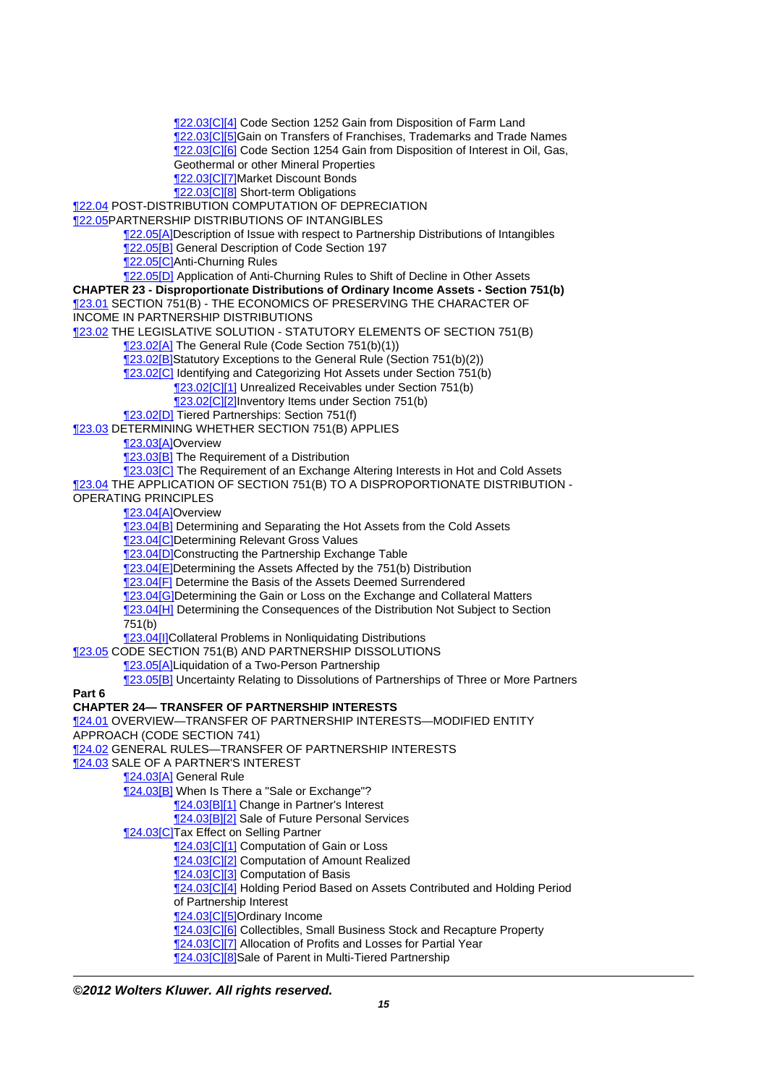[¶22.03\[C\]\[4\]](http://prod.resource.cch.com/resource/scion/citation/pit/22.03%5BC%5D%5B4%5D/GLP01?cfu=TAA) Code Section 1252 Gain from Disposition of Farm Land 122.03 CI5 Gain on Transfers of Franchises, Trademarks and Trade Names [¶22.03\[C\]\[6\]](http://prod.resource.cch.com/resource/scion/citation/pit/22.03%5BC%5D%5B6%5D/GLP01?cfu=TAA) Code Section 1254 Gain from Disposition of Interest in Oil, Gas, Geothermal or other Mineral Properties [¶22.03\[C\]\[7\]M](http://prod.resource.cch.com/resource/scion/citation/pit/22.03%5BC%5D%5B7%5D/GLP01?cfu=TAA)arket Discount Bonds [¶22.03\[C\]\[8\]](http://prod.resource.cch.com/resource/scion/citation/pit/22.03%5BC%5D%5B8%5D/GLP01?cfu=TAA) Short-term Obligations [¶22.04](http://prod.resource.cch.com/resource/scion/citation/pit/22.04/GLP01?cfu=TAA) POST-DISTRIBUTION COMPUTATION OF DEPRECIATION [¶22.05](http://prod.resource.cch.com/resource/scion/citation/pit/22.05/GLP01?cfu=TAA)PARTNERSHIP DISTRIBUTIONS OF INTANGIBLES [¶22.05\[A\]](http://prod.resource.cch.com/resource/scion/citation/pit/22.05%5BA%5D/GLP01?cfu=TAA)Description of Issue with respect to Partnership Distributions of Intangibles [¶22.05\[B\]](http://prod.resource.cch.com/resource/scion/citation/pit/22.05%5BB%5D/GLP01?cfu=TAA) General Description of Code Section 197 [¶22.05\[C\]A](http://prod.resource.cch.com/resource/scion/citation/pit/22.05%5BC%5D/GLP01?cfu=TAA)nti-Churning Rules [¶22.05\[D\]](http://prod.resource.cch.com/resource/scion/citation/pit/22.05%5BD%5D/GLP01?cfu=TAA) Application of Anti-Churning Rules to Shift of Decline in Other Assets **CHAPTER 23 - Disproportionate Distributions of Ordinary Income Assets - Section 751(b)** [¶23.01](http://prod.resource.cch.com/resource/scion/citation/pit/23.01/GLP01?cfu=TAA) SECTION 751(B) - THE ECONOMICS OF PRESERVING THE CHARACTER OF INCOME IN PARTNERSHIP DISTRIBUTIONS [¶23.02](http://prod.resource.cch.com/resource/scion/citation/pit/23.02/GLP01?cfu=TAA) THE LEGISLATIVE SOLUTION - STATUTORY ELEMENTS OF SECTION 751(B) [¶23.02\[A\]](http://prod.resource.cch.com/resource/scion/citation/pit/23.02%5BA%5D/GLP01?cfu=TAA) The General Rule (Code Section 751(b)(1)) [¶23.02\[B\]](http://prod.resource.cch.com/resource/scion/citation/pit/23.02%5BB%5D/GLP01?cfu=TAA)Statutory Exceptions to the General Rule (Section 751(b)(2)) [¶23.02\[C\]](http://prod.resource.cch.com/resource/scion/citation/pit/23.02%5BC%5D/GLP01?cfu=TAA) Identifying and Categorizing Hot Assets under Section 751(b) [¶23.02\[C\]\[1\]](http://prod.resource.cch.com/resource/scion/citation/pit/23.02%5BC%5D%5B1%5D/GLP01?cfu=TAA) Unrealized Receivables under Section 751(b) [¶23.02\[C\]\[2\]I](http://prod.resource.cch.com/resource/scion/citation/pit/23.02%5BC%5D%5B2%5D/GLP01?cfu=TAA)nventory Items under Section 751(b) **123.02[D]** Tiered Partnerships: Section 751(f) [¶23.03](http://prod.resource.cch.com/resource/scion/citation/pit/23.03/GLP01?cfu=TAA) DETERMINING WHETHER SECTION 751(B) APPLIES [¶23.03\[A\]](http://prod.resource.cch.com/resource/scion/citation/pit/23.03%5BA%5D/GLP01?cfu=TAA)Overview **[23.03[B]** The Requirement of a Distribution **[23.03[C]** The Requirement of an Exchange Altering Interests in Hot and Cold Assets [¶23.04](http://prod.resource.cch.com/resource/scion/citation/pit/23.04/GLP01?cfu=TAA) THE APPLICATION OF SECTION 751(B) TO A DISPROPORTIONATE DISTRIBUTION - OPERATING PRINCIPLES 123.04[A]Overview **123.04[B]** Determining and Separating the Hot Assets from the Cold Assets **123.04 CD** Determining Relevant Gross Values [¶23.04\[D\]C](http://prod.resource.cch.com/resource/scion/citation/pit/23.04%5BD%5D/GLP01?cfu=TAA)onstructing the Partnership Exchange Table [¶23.04\[E\]](http://prod.resource.cch.com/resource/scion/citation/pit/23.04%5BE%5D/GLP01?cfu=TAA)Determining the Assets Affected by the 751(b) Distribution [¶23.04\[F\]](http://prod.resource.cch.com/resource/scion/citation/pit/23.04%5BF%5D/GLP01?cfu=TAA) Determine the Basis of the Assets Deemed Surrendered **123.04[G]Determining the Gain or Loss on the Exchange and Collateral Matters** [¶23.04\[H\]](http://prod.resource.cch.com/resource/scion/citation/pit/23.04%5BH%5D/GLP01?cfu=TAA) Determining the Consequences of the Distribution Not Subject to Section 751(b) [¶23.04\[I\]C](http://prod.resource.cch.com/resource/scion/citation/pit/23.04%5BI%5D/GLP01?cfu=TAA)ollateral Problems in Nonliquidating Distributions [¶23.05](http://prod.resource.cch.com/resource/scion/citation/pit/23.05/GLP01?cfu=TAA) CODE SECTION 751(B) AND PARTNERSHIP DISSOLUTIONS [¶23.05\[A\]](http://prod.resource.cch.com/resource/scion/citation/pit/23.05%5BA%5D/GLP01?cfu=TAA)Liquidation of a Two-Person Partnership [¶23.05\[B\]](http://prod.resource.cch.com/resource/scion/citation/pit/23.05%5BB%5D/GLP01?cfu=TAA) Uncertainty Relating to Dissolutions of Partnerships of Three or More Partners **Part 6 CHAPTER 24— TRANSFER OF PARTNERSHIP INTERESTS** [¶24.01](http://prod.resource.cch.com/resource/scion/citation/pit/24.01/GLP01?cfu=TAA) OVERVIEW—TRANSFER OF PARTNERSHIP INTERESTS—MODIFIED ENTITY APPROACH (CODE SECTION 741) [¶24.02](http://prod.resource.cch.com/resource/scion/citation/pit/24.02/GLP01?cfu=TAA) GENERAL RULES—TRANSFER OF PARTNERSHIP INTERESTS [¶24.03](http://prod.resource.cch.com/resource/scion/citation/pit/24.03/GLP01?cfu=TAA) SALE OF A PARTNER'S INTEREST [¶24.03\[A\]](http://prod.resource.cch.com/resource/scion/citation/pit/24.03%5BA%5D/GLP01?cfu=TAA) General Rule [¶24.03\[B\]](http://prod.resource.cch.com/resource/scion/citation/pit/24.03%5BB%5D/GLP01?cfu=TAA) When Is There a "Sale or Exchange"? [¶24.03\[B\]\[1\]](http://prod.resource.cch.com/resource/scion/citation/pit/24.03%5BB%5D%5B1%5D/GLP01?cfu=TAA) Change in Partner's Interest [24.03[B][2] Sale of Future Personal Services [¶24.03\[C\]T](http://prod.resource.cch.com/resource/scion/citation/pit/24.03%5BC%5D/GLP01?cfu=TAA)ax Effect on Selling Partner [¶24.03\[C\]\[1\]](http://prod.resource.cch.com/resource/scion/citation/pit/24.03%5BC%5D%5B1%5D/GLP01?cfu=TAA) Computation of Gain or Loss [¶24.03\[C\]\[2\]](http://prod.resource.cch.com/resource/scion/citation/pit/24.03%5BC%5D%5B2%5D/GLP01?cfu=TAA) Computation of Amount Realized [¶24.03\[C\]\[3\]](http://prod.resource.cch.com/resource/scion/citation/pit/24.03%5BC%5D%5B3%5D/GLP01?cfu=TAA) Computation of Basis [¶24.03\[C\]\[4\]](http://prod.resource.cch.com/resource/scion/citation/pit/24.03%5BC%5D%5B4%5D/GLP01?cfu=TAA) Holding Period Based on Assets Contributed and Holding Period of Partnership Interest [¶24.03\[C\]\[5\]O](http://prod.resource.cch.com/resource/scion/citation/pit/24.03%5BC%5D%5B5%5D/GLP01?cfu=TAA)rdinary Income [¶24.03\[C\]\[6\]](http://prod.resource.cch.com/resource/scion/citation/pit/24.03%5BC%5D%5B6%5D/GLP01?cfu=TAA) Collectibles, Small Business Stock and Recapture Property [¶24.03\[C\]\[7\]](http://prod.resource.cch.com/resource/scion/citation/pit/24.03%5BC%5D%5B7%5D/GLP01?cfu=TAA) Allocation of Profits and Losses for Partial Year [¶24.03\[C\]\[8\]S](http://prod.resource.cch.com/resource/scion/citation/pit/24.03%5BC%5D%5B8%5D/GLP01?cfu=TAA)ale of Parent in Multi-Tiered Partnership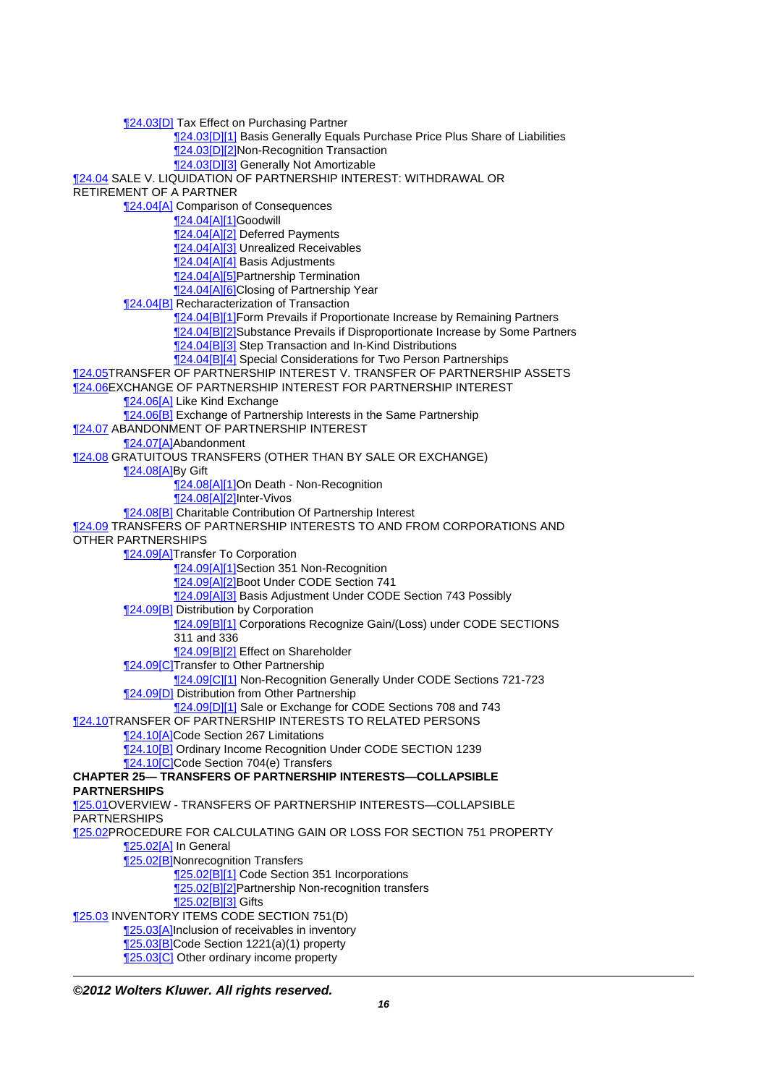[¶24.03\[D\]](http://prod.resource.cch.com/resource/scion/citation/pit/24.03%5BD%5D/GLP01?cfu=TAA) Tax Effect on Purchasing Partner [¶24.03\[D\]\[1\]](http://prod.resource.cch.com/resource/scion/citation/pit/24.03%5BD%5D%5B1%5D/GLP01?cfu=TAA) Basis Generally Equals Purchase Price Plus Share of Liabilities [¶24.03\[D\]\[2\]N](http://prod.resource.cch.com/resource/scion/citation/pit/24.03%5BD%5D%5B2%5D/GLP01?cfu=TAA)on-Recognition Transaction [¶24.03\[D\]\[3\]](http://prod.resource.cch.com/resource/scion/citation/pit/24.03%5BD%5D%5B3%5D/GLP01?cfu=TAA) Generally Not Amortizable [¶24.04](http://prod.resource.cch.com/resource/scion/citation/pit/24.04/GLP01?cfu=TAA) SALE V. LIQUIDATION OF PARTNERSHIP INTEREST: WITHDRAWAL OR RETIREMENT OF A PARTNER **124.04[A] Comparison of Consequences** [¶24.04\[A\]\[1\]](http://prod.resource.cch.com/resource/scion/citation/pit/24.04%5BA%5D%5B1%5D/GLP01?cfu=TAA)Goodwill [¶24.04\[A\]\[2\]](http://prod.resource.cch.com/resource/scion/citation/pit/24.04%5BA%5D%5B2%5D/GLP01?cfu=TAA) Deferred Payments [¶24.04\[A\]\[3\]](http://prod.resource.cch.com/resource/scion/citation/pit/24.04%5BA%5D%5B3%5D/GLP01?cfu=TAA) Unrealized Receivables [¶24.04\[A\]\[4\]](http://prod.resource.cch.com/resource/scion/citation/pit/24.04%5BA%5D%5B4%5D/GLP01?cfu=TAA) Basis Adjustments [¶24.04\[A\]\[5\]](http://prod.resource.cch.com/resource/scion/citation/pit/24.04%5BA%5D%5B5%5D/GLP01?cfu=TAA)Partnership Termination **124.04[A][6]Closing of Partnership Year** [¶24.04\[B\]](http://prod.resource.cch.com/resource/scion/citation/pit/24.04%5BB%5D/GLP01?cfu=TAA) Recharacterization of Transaction 124.04[B][1]Form Prevails if Proportionate Increase by Remaining Partners [¶24.04\[B\]\[2\]](http://prod.resource.cch.com/resource/scion/citation/pit/24.04%5BB%5D%5B2%5D/GLP01?cfu=TAA)Substance Prevails if Disproportionate Increase by Some Partners [¶24.04\[B\]\[3\]](http://prod.resource.cch.com/resource/scion/citation/pit/24.04%5BB%5D%5B3%5D/GLP01?cfu=TAA) Step Transaction and In-Kind Distributions [¶24.04\[B\]\[4\]](http://prod.resource.cch.com/resource/scion/citation/pit/24.04%5BB%5D%5B4%5D/GLP01?cfu=TAA) Special Considerations for Two Person Partnerships [¶24.05](http://prod.resource.cch.com/resource/scion/citation/pit/24.05/GLP01?cfu=TAA)TRANSFER OF PARTNERSHIP INTEREST V. TRANSFER OF PARTNERSHIP ASSETS [¶24.06](http://prod.resource.cch.com/resource/scion/citation/pit/24.06/GLP01?cfu=TAA)EXCHANGE OF PARTNERSHIP INTEREST FOR PARTNERSHIP INTEREST [¶24.06\[A\]](http://prod.resource.cch.com/resource/scion/citation/pit/24.06%5BA%5D/GLP01?cfu=TAA) Like Kind Exchange [24.06<sup>[B]</sup> Exchange of Partnership Interests in the Same Partnership [¶24.07](http://prod.resource.cch.com/resource/scion/citation/pit/24.07/GLP01?cfu=TAA) ABANDONMENT OF PARTNERSHIP INTEREST [¶24.07\[A\]](http://prod.resource.cch.com/resource/scion/citation/pit/24.07%5BA%5D/GLP01?cfu=TAA)Abandonment [¶24.08](http://prod.resource.cch.com/resource/scion/citation/pit/24.08/GLP01?cfu=TAA) GRATUITOUS TRANSFERS (OTHER THAN BY SALE OR EXCHANGE) [¶24.08\[A\]](http://prod.resource.cch.com/resource/scion/citation/pit/24.08%5BA%5D/GLP01?cfu=TAA)By Gift [¶24.08\[A\]\[1\]](http://prod.resource.cch.com/resource/scion/citation/pit/24.08%5BA%5D%5B1%5D/GLP01?cfu=TAA)On Death - Non-Recognition [¶24.08\[A\]\[2\]](http://prod.resource.cch.com/resource/scion/citation/pit/24.08%5BA%5D%5B2%5D/GLP01?cfu=TAA)Inter-Vivos [¶24.08\[B\]](http://prod.resource.cch.com/resource/scion/citation/pit/24.08%5BB%5D/GLP01?cfu=TAA) Charitable Contribution Of Partnership Interest [¶24.09](http://prod.resource.cch.com/resource/scion/citation/pit/24.09/GLP01?cfu=TAA) TRANSFERS OF PARTNERSHIP INTERESTS TO AND FROM CORPORATIONS AND OTHER PARTNERSHIPS 124.09[A]Transfer To Corporation [¶24.09\[A\]\[1\]](http://prod.resource.cch.com/resource/scion/citation/pit/24.09%5BA%5D%5B1%5D/GLP01?cfu=TAA)Section 351 Non-Recognition [¶24.09\[A\]\[2\]](http://prod.resource.cch.com/resource/scion/citation/pit/24.09%5BA%5D%5B2%5D/GLP01?cfu=TAA)Boot Under CODE Section 741 124.09[A][3] Basis Adjustment Under CODE Section 743 Possibly **124.09[B]** Distribution by Corporation [¶24.09\[B\]\[1\]](http://prod.resource.cch.com/resource/scion/citation/pit/24.09%5BB%5D%5B1%5D/GLP01?cfu=TAA) Corporations Recognize Gain/(Loss) under CODE SECTIONS 311 and 336 [¶24.09\[B\]\[2\]](http://prod.resource.cch.com/resource/scion/citation/pit/24.09%5BB%5D%5B2%5D/GLP01?cfu=TAA) Effect on Shareholder [¶24.09\[C\]T](http://prod.resource.cch.com/resource/scion/citation/pit/24.09%5BC%5D/GLP01?cfu=TAA)ransfer to Other Partnership [¶24.09\[C\]\[1\]](http://prod.resource.cch.com/resource/scion/citation/pit/24.09%5BC%5D%5B1%5D/GLP01?cfu=TAA) Non-Recognition Generally Under CODE Sections 721-723 [¶24.09\[D\]](http://prod.resource.cch.com/resource/scion/citation/pit/24.09%5BD%5D/GLP01?cfu=TAA) Distribution from Other Partnership **124.09[D][1] Sale or Exchange for CODE Sections 708 and 743** [¶24.10](http://prod.resource.cch.com/resource/scion/citation/pit/24.10/GLP01?cfu=TAA)TRANSFER OF PARTNERSHIP INTERESTS TO RELATED PERSONS [¶24.10\[A\]](http://prod.resource.cch.com/resource/scion/citation/pit/24.10%5BA%5D/GLP01?cfu=TAA)Code Section 267 Limitations [¶24.10\[B\]](http://prod.resource.cch.com/resource/scion/citation/pit/24.10%5BB%5D/GLP01?cfu=TAA) Ordinary Income Recognition Under CODE SECTION 1239 [¶24.10\[C\]C](http://prod.resource.cch.com/resource/scion/citation/pit/24.10%5BC%5D/GLP01?cfu=TAA)ode Section 704(e) Transfers **CHAPTER 25— TRANSFERS OF PARTNERSHIP INTERESTS—COLLAPSIBLE PARTNERSHIPS** [¶25.01](http://prod.resource.cch.com/resource/scion/citation/pit/25.01/GLP01?cfu=TAA)OVERVIEW - TRANSFERS OF PARTNERSHIP INTERESTS—COLLAPSIBLE PARTNERSHIPS [¶25.02](http://prod.resource.cch.com/resource/scion/citation/pit/25.02/GLP01?cfu=TAA)PROCEDURE FOR CALCULATING GAIN OR LOSS FOR SECTION 751 PROPERTY [¶25.02\[A\]](http://prod.resource.cch.com/resource/scion/citation/pit/25.02%5BA%5D/GLP01?cfu=TAA) In General [¶25.02\[B\]](http://prod.resource.cch.com/resource/scion/citation/pit/25.02%5BB%5D/GLP01?cfu=TAA)Nonrecognition Transfers [25.02[B][1] Code Section 351 Incorporations **125.02[B][2]Partnership Non-recognition transfers** [¶25.02\[B\]\[3\]](http://prod.resource.cch.com/resource/scion/citation/pit/25.02%5BB%5D%5B3%5D/GLP01?cfu=TAA) Gifts [¶25.03](http://prod.resource.cch.com/resource/scion/citation/pit/25.03/GLP01?cfu=TAA) INVENTORY ITEMS CODE SECTION 751(D) [¶25.03\[A\]](http://prod.resource.cch.com/resource/scion/citation/pit/25.03%5BA%5D/GLP01?cfu=TAA)Inclusion of receivables in inventory [¶25.03\[B\]](http://prod.resource.cch.com/resource/scion/citation/pit/25.03%5BB%5D/GLP01?cfu=TAA)Code Section 1221(a)(1) property **125.03 C** Other ordinary income property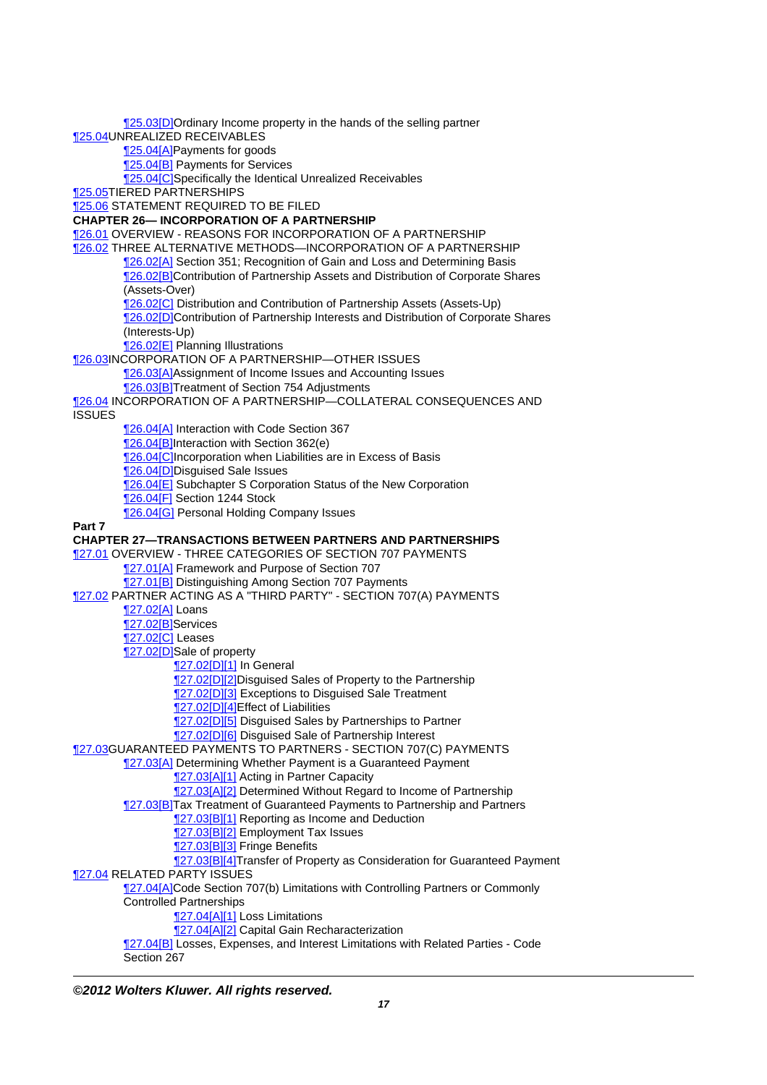[¶25.03\[D\]O](http://prod.resource.cch.com/resource/scion/citation/pit/25.03%5BD%5D/GLP01?cfu=TAA)rdinary Income property in the hands of the selling partner [¶25.04](http://prod.resource.cch.com/resource/scion/citation/pit/25.04/GLP01?cfu=TAA)UNREALIZED RECEIVABLES [¶25.04\[A\]](http://prod.resource.cch.com/resource/scion/citation/pit/25.04%5BA%5D/GLP01?cfu=TAA)Payments for goods [¶25.04\[B\]](http://prod.resource.cch.com/resource/scion/citation/pit/25.04%5BB%5D/GLP01?cfu=TAA) Payments for Services [¶25.04\[C\]S](http://prod.resource.cch.com/resource/scion/citation/pit/25.04%5BC%5D/GLP01?cfu=TAA)pecifically the Identical Unrealized Receivables [¶25.05](http://prod.resource.cch.com/resource/scion/citation/pit/25.05/GLP01?cfu=TAA)TIERED PARTNERSHIPS [¶25.06](http://prod.resource.cch.com/resource/scion/citation/pit/25.06/GLP01?cfu=TAA) STATEMENT REQUIRED TO BE FILED **CHAPTER 26— INCORPORATION OF A PARTNERSHIP** [¶26.01](http://prod.resource.cch.com/resource/scion/citation/pit/26.01/GLP01?cfu=TAA) OVERVIEW - REASONS FOR INCORPORATION OF A PARTNERSHIP [¶26.02](http://prod.resource.cch.com/resource/scion/citation/pit/26.02/GLP01?cfu=TAA) THREE ALTERNATIVE METHODS—INCORPORATION OF A PARTNERSHIP [¶26.02\[A\]](http://prod.resource.cch.com/resource/scion/citation/pit/26.02%5BA%5D/GLP01?cfu=TAA) Section 351; Recognition of Gain and Loss and Determining Basis [¶26.02\[B\]](http://prod.resource.cch.com/resource/scion/citation/pit/26.02%5BB%5D/GLP01?cfu=TAA)Contribution of Partnership Assets and Distribution of Corporate Shares (Assets-Over) [¶26.02\[C\]](http://prod.resource.cch.com/resource/scion/citation/pit/26.02%5BC%5D/GLP01?cfu=TAA) Distribution and Contribution of Partnership Assets (Assets-Up) [¶26.02\[D\]C](http://prod.resource.cch.com/resource/scion/citation/pit/26.02%5BD%5D/GLP01?cfu=TAA)ontribution of Partnership Interests and Distribution of Corporate Shares (Interests-Up) [¶26.02\[E\]](http://prod.resource.cch.com/resource/scion/citation/pit/26.02%5BE%5D/GLP01?cfu=TAA) Planning Illustrations [¶26.03](http://prod.resource.cch.com/resource/scion/citation/pit/26.03/GLP01?cfu=TAA)INCORPORATION OF A PARTNERSHIP—OTHER ISSUES [¶26.03\[A\]](http://prod.resource.cch.com/resource/scion/citation/pit/26.03%5BA%5D/GLP01?cfu=TAA)Assignment of Income Issues and Accounting Issues [¶26.03\[B\]](http://prod.resource.cch.com/resource/scion/citation/pit/26.03%5BB%5D/GLP01?cfu=TAA)Treatment of Section 754 Adjustments [¶26.04](http://prod.resource.cch.com/resource/scion/citation/pit/26.04/GLP01?cfu=TAA) INCORPORATION OF A PARTNERSHIP—COLLATERAL CONSEQUENCES AND **ISSUES** [¶26.04\[A\]](http://prod.resource.cch.com/resource/scion/citation/pit/26.04%5BA%5D/GLP01?cfu=TAA) Interaction with Code Section 367 [¶26.04\[B\]](http://prod.resource.cch.com/resource/scion/citation/pit/26.04%5BB%5D/GLP01?cfu=TAA)Interaction with Section 362(e) **126.04 [C]**Incorporation when Liabilities are in Excess of Basis **126.04 D**Disguised Sale Issues [¶26.04\[E\]](http://prod.resource.cch.com/resource/scion/citation/pit/26.04%5BE%5D/GLP01?cfu=TAA) Subchapter S Corporation Status of the New Corporation [¶26.04\[F\]](http://prod.resource.cch.com/resource/scion/citation/pit/26.04%5BF%5D/GLP01?cfu=TAA) Section 1244 Stock [¶26.04\[G\]](http://prod.resource.cch.com/resource/scion/citation/pit/26.04%5BG%5D/GLP01?cfu=TAA) Personal Holding Company Issues **Part 7 CHAPTER 27—TRANSACTIONS BETWEEN PARTNERS AND PARTNERSHIPS** [¶27.01](http://prod.resource.cch.com/resource/scion/citation/pit/27.01/GLP01?cfu=TAA) OVERVIEW - THREE CATEGORIES OF SECTION 707 PAYMENTS [¶27.01\[A\]](http://prod.resource.cch.com/resource/scion/citation/pit/27.01%5BA%5D/GLP01?cfu=TAA) Framework and Purpose of Section 707 **127.01[B]** Distinguishing Among Section 707 Payments [¶27.02](http://prod.resource.cch.com/resource/scion/citation/pit/27.02/GLP01?cfu=TAA) PARTNER ACTING AS A "THIRD PARTY" - SECTION 707(A) PAYMENTS [¶27.02\[A\]](http://prod.resource.cch.com/resource/scion/citation/pit/27.02%5BA%5D/GLP01?cfu=TAA) Loans [¶27.02\[B\]](http://prod.resource.cch.com/resource/scion/citation/pit/27.02%5BB%5D/GLP01?cfu=TAA)Services [¶27.02\[C\]](http://prod.resource.cch.com/resource/scion/citation/pit/27.02%5BC%5D/GLP01?cfu=TAA) Leases 127.02[D]Sale of property [¶27.02\[D\]\[1\]](http://prod.resource.cch.com/resource/scion/citation/pit/27.02%5BD%5D%5B1%5D/GLP01?cfu=TAA) In General **127.02[D][2]Disguised Sales of Property to the Partnership 127.02[D][3] Exceptions to Disguised Sale Treatment** [¶27.02\[D\]\[4\]E](http://prod.resource.cch.com/resource/scion/citation/pit/27.02%5BD%5D%5B4%5D/GLP01?cfu=TAA)ffect of Liabilities **127.02[D][5] Disguised Sales by Partnerships to Partner 127.02[D][6] Disguised Sale of Partnership Interest** [¶27.03](http://prod.resource.cch.com/resource/scion/citation/pit/27.03/GLP01?cfu=TAA)GUARANTEED PAYMENTS TO PARTNERS - SECTION 707(C) PAYMENTS [¶27.03\[A\]](http://prod.resource.cch.com/resource/scion/citation/pit/27.03%5BA%5D/GLP01?cfu=TAA) Determining Whether Payment is a Guaranteed Payment [¶27.03\[A\]\[1\]](http://prod.resource.cch.com/resource/scion/citation/pit/27.03%5BA%5D%5B1%5D/GLP01?cfu=TAA) Acting in Partner Capacity **127.03[A][2] Determined Without Regard to Income of Partnership** [¶27.03\[B\]](http://prod.resource.cch.com/resource/scion/citation/pit/27.03%5BB%5D/GLP01?cfu=TAA)Tax Treatment of Guaranteed Payments to Partnership and Partners [27.03[B][1] Reporting as Income and Deduction [27.03[B][2] Employment Tax Issues [¶27.03\[B\]\[3\]](http://prod.resource.cch.com/resource/scion/citation/pit/27.03%5BB%5D%5B3%5D/GLP01?cfu=TAA) Fringe Benefits [¶27.03\[B\]\[4\]](http://prod.resource.cch.com/resource/scion/citation/pit/27.03%5BB%5D%5B4%5D/GLP01?cfu=TAA)Transfer of Property as Consideration for Guaranteed Payment [¶27.04](http://prod.resource.cch.com/resource/scion/citation/pit/27.04/GLP01?cfu=TAA) RELATED PARTY ISSUES 127.04[A]Code Section 707(b) Limitations with Controlling Partners or Commonly Controlled Partnerships [¶27.04\[A\]\[1\]](http://prod.resource.cch.com/resource/scion/citation/pit/27.04%5BA%5D%5B1%5D/GLP01?cfu=TAA) Loss Limitations **127.04[A][2]** Capital Gain Recharacterization [¶27.04\[B\]](http://prod.resource.cch.com/resource/scion/citation/pit/27.04%5BB%5D/GLP01?cfu=TAA) Losses, Expenses, and Interest Limitations with Related Parties - Code Section 267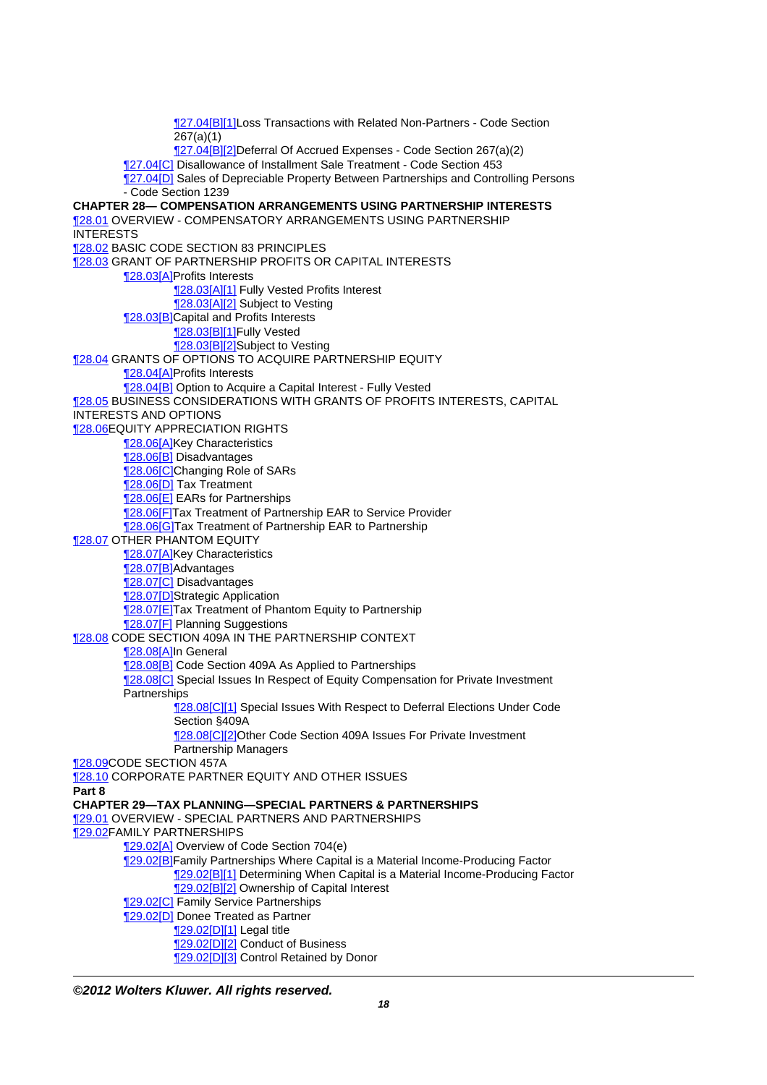[¶27.04\[B\]\[1\]](http://prod.resource.cch.com/resource/scion/citation/pit/27.04%5BB%5D%5B1%5D/GLP01?cfu=TAA)Loss Transactions with Related Non-Partners - Code Section  $267(a)(1)$ [¶27.04\[B\]\[2\]](http://prod.resource.cch.com/resource/scion/citation/pit/27.04%5BB%5D%5B2%5D/GLP01?cfu=TAA)Deferral Of Accrued Expenses - Code Section 267(a)(2) [¶27.04\[C\]](http://prod.resource.cch.com/resource/scion/citation/pit/27.04%5BC%5D/GLP01?cfu=TAA) Disallowance of Installment Sale Treatment - Code Section 453 [¶27.04\[D\]](http://prod.resource.cch.com/resource/scion/citation/pit/27.04%5BD%5D/GLP01?cfu=TAA) Sales of Depreciable Property Between Partnerships and Controlling Persons - Code Section 1239 **CHAPTER 28— COMPENSATION ARRANGEMENTS USING PARTNERSHIP INTERESTS** [¶28.01](http://prod.resource.cch.com/resource/scion/citation/pit/28.01/GLP01?cfu=TAA) OVERVIEW - COMPENSATORY ARRANGEMENTS USING PARTNERSHIP INTERESTS [¶28.02](http://prod.resource.cch.com/resource/scion/citation/pit/28.02/GLP01?cfu=TAA) BASIC CODE SECTION 83 PRINCIPLES [¶28.03](http://prod.resource.cch.com/resource/scion/citation/pit/28.03/GLP01?cfu=TAA) GRANT OF PARTNERSHIP PROFITS OR CAPITAL INTERESTS [¶28.03\[A\]](http://prod.resource.cch.com/resource/scion/citation/pit/28.03%5BA%5D/GLP01?cfu=TAA)Profits Interests [¶28.03\[A\]\[1\]](http://prod.resource.cch.com/resource/scion/citation/pit/28.03%5BA%5D%5B1%5D/GLP01?cfu=TAA) Fully Vested Profits Interest [¶28.03\[A\]\[2\]](http://prod.resource.cch.com/resource/scion/citation/pit/28.03%5BA%5D%5B2%5D/GLP01?cfu=TAA) Subject to Vesting [¶28.03\[B\]](http://prod.resource.cch.com/resource/scion/citation/pit/28.03%5BB%5D/GLP01?cfu=TAA)Capital and Profits Interests [¶28.03\[B\]\[1\]](http://prod.resource.cch.com/resource/scion/citation/pit/28.03%5BB%5D%5B1%5D/GLP01?cfu=TAA)Fully Vested [¶28.03\[B\]\[2\]](http://prod.resource.cch.com/resource/scion/citation/pit/28.03%5BB%5D%5B2%5D/GLP01?cfu=TAA)Subject to Vesting [¶28.04](http://prod.resource.cch.com/resource/scion/citation/pit/28.04/GLP01?cfu=TAA) GRANTS OF OPTIONS TO ACQUIRE PARTNERSHIP EQUITY [¶28.04\[A\]](http://prod.resource.cch.com/resource/scion/citation/pit/28.04%5BA%5D/GLP01?cfu=TAA)Profits Interests [¶28.04\[B\]](http://prod.resource.cch.com/resource/scion/citation/pit/28.04%5BB%5D/GLP01?cfu=TAA) Option to Acquire a Capital Interest - Fully Vested [¶28.05](http://prod.resource.cch.com/resource/scion/citation/pit/28.05/GLP01?cfu=TAA) BUSINESS CONSIDERATIONS WITH GRANTS OF PROFITS INTERESTS, CAPITAL INTERESTS AND OPTIONS [¶28.06](http://prod.resource.cch.com/resource/scion/citation/pit/28.06/GLP01?cfu=TAA)EQUITY APPRECIATION RIGHTS 128.06[A]Key Characteristics [¶28.06\[B\]](http://prod.resource.cch.com/resource/scion/citation/pit/28.06%5BB%5D/GLP01?cfu=TAA) Disadvantages 128.06[C]Changing Role of SARs [¶28.06\[D\]](http://prod.resource.cch.com/resource/scion/citation/pit/28.06%5BD%5D/GLP01?cfu=TAA) Tax Treatment [¶28.06\[E\]](http://prod.resource.cch.com/resource/scion/citation/pit/28.06%5BE%5D/GLP01?cfu=TAA) EARs for Partnerships [¶28.06\[F\]T](http://prod.resource.cch.com/resource/scion/citation/pit/28.06%5BF%5D/GLP01?cfu=TAA)ax Treatment of Partnership EAR to Service Provider **128.06[G]Tax Treatment of Partnership EAR to Partnership 128.07 OTHER PHANTOM EQUITY [28.07[A]Key Characteristics** [¶28.07\[B\]](http://prod.resource.cch.com/resource/scion/citation/pit/28.07%5BB%5D/GLP01?cfu=TAA)Advantages [¶28.07\[C\]](http://prod.resource.cch.com/resource/scion/citation/pit/28.07%5BC%5D/GLP01?cfu=TAA) Disadvantages [¶28.07\[D\]S](http://prod.resource.cch.com/resource/scion/citation/pit/28.07%5BD%5D/GLP01?cfu=TAA)trategic Application [¶28.07\[E\]](http://prod.resource.cch.com/resource/scion/citation/pit/28.07%5BE%5D/GLP01?cfu=TAA)Tax Treatment of Phantom Equity to Partnership [¶28.07\[F\]](http://prod.resource.cch.com/resource/scion/citation/pit/28.07%5BF%5D/GLP01?cfu=TAA) Planning Suggestions [¶28.08](http://prod.resource.cch.com/resource/scion/citation/pit/28.08/GLP01?cfu=TAA) CODE SECTION 409A IN THE PARTNERSHIP CONTEXT [¶28.08\[A\]](http://prod.resource.cch.com/resource/scion/citation/pit/28.08%5BA%5D/GLP01?cfu=TAA)In General [¶28.08\[B\]](http://prod.resource.cch.com/resource/scion/citation/pit/28.08%5BB%5D/GLP01?cfu=TAA) Code Section 409A As Applied to Partnerships [¶28.08\[C\]](http://prod.resource.cch.com/resource/scion/citation/pit/28.08%5BC%5D/GLP01?cfu=TAA) Special Issues In Respect of Equity Compensation for Private Investment **Partnerships** [¶28.08\[C\]\[1\]](http://prod.resource.cch.com/resource/scion/citation/pit/28.08%5BC%5D%5B1%5D/GLP01?cfu=TAA) Special Issues With Respect to Deferral Elections Under Code Section §409A [¶28.08\[C\]\[2\]O](http://prod.resource.cch.com/resource/scion/citation/pit/28.08%5BC%5D%5B2%5D/GLP01?cfu=TAA)ther Code Section 409A Issues For Private Investment Partnership Managers [¶28.09](http://prod.resource.cch.com/resource/scion/citation/pit/28.09/GLP01?cfu=TAA)CODE SECTION 457A [¶28.10](http://prod.resource.cch.com/resource/scion/citation/pit/28.10/GLP01?cfu=TAA) CORPORATE PARTNER EQUITY AND OTHER ISSUES **Part 8 CHAPTER 29—TAX PLANNING—SPECIAL PARTNERS & PARTNERSHIPS** [¶29.01](http://prod.resource.cch.com/resource/scion/citation/pit/29.01/GLP01?cfu=TAA) OVERVIEW - SPECIAL PARTNERS AND PARTNERSHIPS [¶29.02](http://prod.resource.cch.com/resource/scion/citation/pit/29.02/GLP01?cfu=TAA)FAMILY PARTNERSHIPS [¶29.02\[A\]](http://prod.resource.cch.com/resource/scion/citation/pit/29.02%5BA%5D/GLP01?cfu=TAA) Overview of Code Section 704(e) [¶29.02\[B\]](http://prod.resource.cch.com/resource/scion/citation/pit/29.02%5BB%5D/GLP01?cfu=TAA)Family Partnerships Where Capital is a Material Income-Producing Factor [¶29.02\[B\]\[1\]](http://prod.resource.cch.com/resource/scion/citation/pit/29.02%5BB%5D%5B1%5D/GLP01?cfu=TAA) Determining When Capital is a Material Income-Producing Factor [¶29.02\[B\]\[2\]](http://prod.resource.cch.com/resource/scion/citation/pit/29.02%5BB%5D%5B2%5D/GLP01?cfu=TAA) Ownership of Capital Interest **129.02[C]** Family Service Partnerships [¶29.02\[D\]](http://prod.resource.cch.com/resource/scion/citation/pit/29.02%5BD%5D/GLP01?cfu=TAA) Donee Treated as Partner [¶29.02\[D\]\[1\]](http://prod.resource.cch.com/resource/scion/citation/pit/29.02%5BD%5D%5B1%5D/GLP01?cfu=TAA) Legal title [¶29.02\[D\]\[2\]](http://prod.resource.cch.com/resource/scion/citation/pit/29.02%5BD%5D%5B2%5D/GLP01?cfu=TAA) Conduct of Business 129.02[D][3] Control Retained by Donor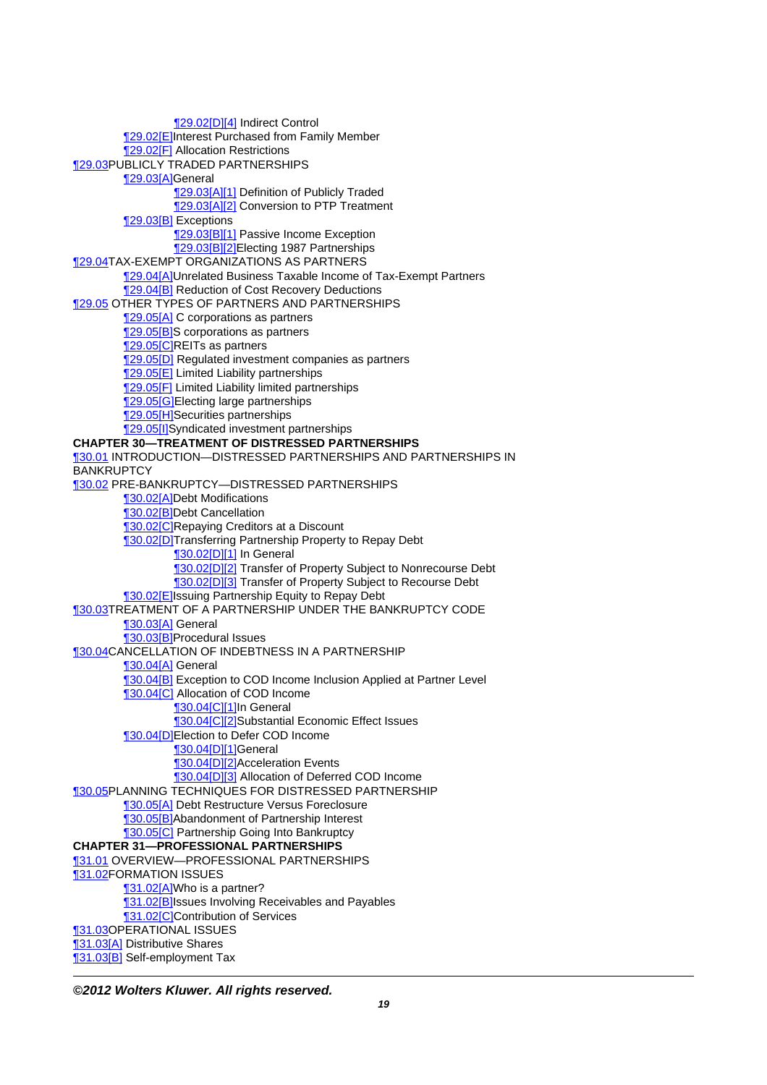[¶29.02\[D\]\[4\]](http://prod.resource.cch.com/resource/scion/citation/pit/29.02%5BD%5D%5B4%5D/GLP01?cfu=TAA) Indirect Control [¶29.02\[E\]](http://prod.resource.cch.com/resource/scion/citation/pit/29.02%5BE%5D/GLP01?cfu=TAA)Interest Purchased from Family Member [¶29.02\[F\]](http://prod.resource.cch.com/resource/scion/citation/pit/29.02%5BF%5D/GLP01?cfu=TAA) Allocation Restrictions [¶29.03](http://prod.resource.cch.com/resource/scion/citation/pit/29.03/GLP01?cfu=TAA)PUBLICLY TRADED PARTNERSHIPS [¶29.03\[A\]](http://prod.resource.cch.com/resource/scion/citation/pit/29.03%5BA%5D/GLP01?cfu=TAA)General [¶29.03\[A\]\[1\]](http://prod.resource.cch.com/resource/scion/citation/pit/29.03%5BA%5D%5B1%5D/GLP01?cfu=TAA) Definition of Publicly Traded [¶29.03\[A\]\[2\]](http://prod.resource.cch.com/resource/scion/citation/pit/29.03%5BA%5D%5B2%5D/GLP01?cfu=TAA) Conversion to PTP Treatment [¶29.03\[B\]](http://prod.resource.cch.com/resource/scion/citation/pit/29.03%5BB%5D/GLP01?cfu=TAA) Exceptions [29.03[B][1] Passive Income Exception [¶29.03\[B\]\[2\]](http://prod.resource.cch.com/resource/scion/citation/pit/29.03%5BB%5D%5B2%5D/GLP01?cfu=TAA)Electing 1987 Partnerships [¶29.04](http://prod.resource.cch.com/resource/scion/citation/pit/29.04/GLP01?cfu=TAA)TAX-EXEMPT ORGANIZATIONS AS PARTNERS [¶29.04\[A\]](http://prod.resource.cch.com/resource/scion/citation/pit/29.04%5BA%5D/GLP01?cfu=TAA)Unrelated Business Taxable Income of Tax-Exempt Partners [¶29.04\[B\]](http://prod.resource.cch.com/resource/scion/citation/pit/29.04%5BB%5D/GLP01?cfu=TAA) Reduction of Cost Recovery Deductions [¶29.05](http://prod.resource.cch.com/resource/scion/citation/pit/29.05/GLP01?cfu=TAA) OTHER TYPES OF PARTNERS AND PARTNERSHIPS 129.05[A] C corporations as partners [¶29.05\[B\]](http://prod.resource.cch.com/resource/scion/citation/pit/29.05%5BB%5D/GLP01?cfu=TAA)S corporations as partners [¶29.05\[C\]R](http://prod.resource.cch.com/resource/scion/citation/pit/29.05%5BC%5D/GLP01?cfu=TAA)EITs as partners [¶29.05\[D\]](http://prod.resource.cch.com/resource/scion/citation/pit/29.05%5BD%5D/GLP01?cfu=TAA) Regulated investment companies as partners [¶29.05\[E\]](http://prod.resource.cch.com/resource/scion/citation/pit/29.05%5BE%5D/GLP01?cfu=TAA) Limited Liability partnerships [¶29.05\[F\]](http://prod.resource.cch.com/resource/scion/citation/pit/29.05%5BF%5D/GLP01?cfu=TAA) Limited Liability limited partnerships [¶29.05\[G\]](http://prod.resource.cch.com/resource/scion/citation/pit/29.05%5BG%5D/GLP01?cfu=TAA)Electing large partnerships [¶29.05\[H\]S](http://prod.resource.cch.com/resource/scion/citation/pit/29.05%5BH%5D/GLP01?cfu=TAA)ecurities partnerships [¶29.05\[I\]S](http://prod.resource.cch.com/resource/scion/citation/pit/29.05%5BI%5D/GLP01?cfu=TAA)yndicated investment partnerships **CHAPTER 30—TREATMENT OF DISTRESSED PARTNERSHIPS** [¶30.01](http://prod.resource.cch.com/resource/scion/citation/pit/30.01/GLP01?cfu=TAA) INTRODUCTION—DISTRESSED PARTNERSHIPS AND PARTNERSHIPS IN **BANKRUPTCY** [¶30.02](http://prod.resource.cch.com/resource/scion/citation/pit/30.02/GLP01?cfu=TAA) PRE-BANKRUPTCY—DISTRESSED PARTNERSHIPS [¶30.02\[A\]](http://prod.resource.cch.com/resource/scion/citation/pit/30.02%5BA%5D/GLP01?cfu=TAA)Debt Modifications [¶30.02\[B\]](http://prod.resource.cch.com/resource/scion/citation/pit/30.02%5BB%5D/GLP01?cfu=TAA)Debt Cancellation **130.02[C]Repaying Creditors at a Discount** [¶30.02\[D\]T](http://prod.resource.cch.com/resource/scion/citation/pit/30.02%5BD%5D/GLP01?cfu=TAA)ransferring Partnership Property to Repay Debt [¶30.02\[D\]\[1\]](http://prod.resource.cch.com/resource/scion/citation/pit/30.02D%5D%5B1%5D/GLP01?cfu=TAA) In General [¶30.02\[D\]\[2\]](http://prod.resource.cch.com/resource/scion/citation/pit/30.02%5BD%5D%5B2%5D/GLP01?cfu=TAA) Transfer of Property Subject to Nonrecourse Debt [¶30.02\[D\]\[3\]](http://prod.resource.cch.com/resource/scion/citation/pit/30.02%5BD%5D%5B3%5D/GLP01?cfu=TAA) Transfer of Property Subject to Recourse Debt **130.02[E]Issuing Partnership Equity to Repay Debt** [¶30.03](http://prod.resource.cch.com/resource/scion/citation/pit/30.03/GLP01?cfu=TAA)TREATMENT OF A PARTNERSHIP UNDER THE BANKRUPTCY CODE [¶30.03\[A\]](http://prod.resource.cch.com/resource/scion/citation/pit/30.03%5BA%5D/GLP01?cfu=TAA) General [¶30.03\[B\]](http://prod.resource.cch.com/resource/scion/citation/pit/30.03%5BB%5D/GLP01?cfu=TAA)Procedural Issues [¶30.04](http://prod.resource.cch.com/resource/scion/citation/pit/30.04/GLP01?cfu=TAA)CANCELLATION OF INDEBTNESS IN A PARTNERSHIP [¶30.04\[A\]](http://prod.resource.cch.com/resource/scion/citation/pit/30.04%5BA%5D/GLP01?cfu=TAA) General **[30.04[B]** Exception to COD Income Inclusion Applied at Partner Level [¶30.04\[C\]](http://prod.resource.cch.com/resource/scion/citation/pit/30.04%5BC%5D/GLP01?cfu=TAA) Allocation of COD Income **130.04[C][1]In General** [¶30.04\[C\]\[2\]S](http://prod.resource.cch.com/resource/scion/citation/pit/30.04%5BC%5D%5B2%5D/GLP01?cfu=TAA)ubstantial Economic Effect Issues [¶30.04\[D\]E](http://prod.resource.cch.com/resource/scion/citation/pit/30.04%5BD%5D/GLP01?cfu=TAA)lection to Defer COD Income [¶30.04\[D\]\[1\]G](http://prod.resource.cch.com/resource/scion/citation/pit/30.04%5BD%5D%5B1%5D/GLP01?cfu=TAA)eneral [¶30.04\[D\]\[2\]A](http://prod.resource.cch.com/resource/scion/citation/pit/30.04%5BD%5D%5B2%5D/GLP01?cfu=TAA)cceleration Events [¶30.04\[D\]\[3\]](http://prod.resource.cch.com/resource/scion/citation/pit/30.04%5BD%5D%5B3%5D/GLP01?cfu=TAA) Allocation of Deferred COD Income [¶30.05](http://prod.resource.cch.com/resource/scion/citation/pit/30.05/GLP01?cfu=TAA)PLANNING TECHNIQUES FOR DISTRESSED PARTNERSHIP [¶30.05\[A\]](http://prod.resource.cch.com/resource/scion/citation/pit/30.05%5BA%5D/GLP01?cfu=TAA) Debt Restructure Versus Foreclosure [¶30.05\[B\]](http://prod.resource.cch.com/resource/scion/citation/pit/30.05%5BB%5D/GLP01?cfu=TAA)Abandonment of Partnership Interest [¶30.05\[C\]](http://prod.resource.cch.com/resource/scion/citation/pit/30.05%5BC%5D/GLP01?cfu=TAA) Partnership Going Into Bankruptcy **CHAPTER 31—PROFESSIONAL PARTNERSHIPS** [¶31.01](http://prod.resource.cch.com/resource/scion/citation/pit/31.01/GLP01?cfu=TAA) OVERVIEW—PROFESSIONAL PARTNERSHIPS [¶31.02](http://prod.resource.cch.com/resource/scion/citation/pit/31.02/GLP01?cfu=TAA)FORMATION ISSUES 131.02[A]Who is a partner? [¶31.02\[B\]](http://prod.resource.cch.com/resource/scion/citation/pit/31.02%5BB%5D/GLP01?cfu=TAA)Issues Involving Receivables and Payables [¶31.02\[C\]C](http://prod.resource.cch.com/resource/scion/citation/pit/31.02%5BC%5D/GLP01?cfu=TAA)ontribution of Services [¶31.03](http://prod.resource.cch.com/resource/scion/citation/pit/31.03/GLP01?cfu=TAA)OPERATIONAL ISSUES [¶31.03\[A\]](http://prod.resource.cch.com/resource/scion/citation/pit/31.03%5BA%5D/GLP01?cfu=TAA) Distributive Shares [¶31.03\[B\]](http://prod.resource.cch.com/resource/scion/citation/pit/31.03%5BB%5D/GLP01?cfu=TAA) Self-employment Tax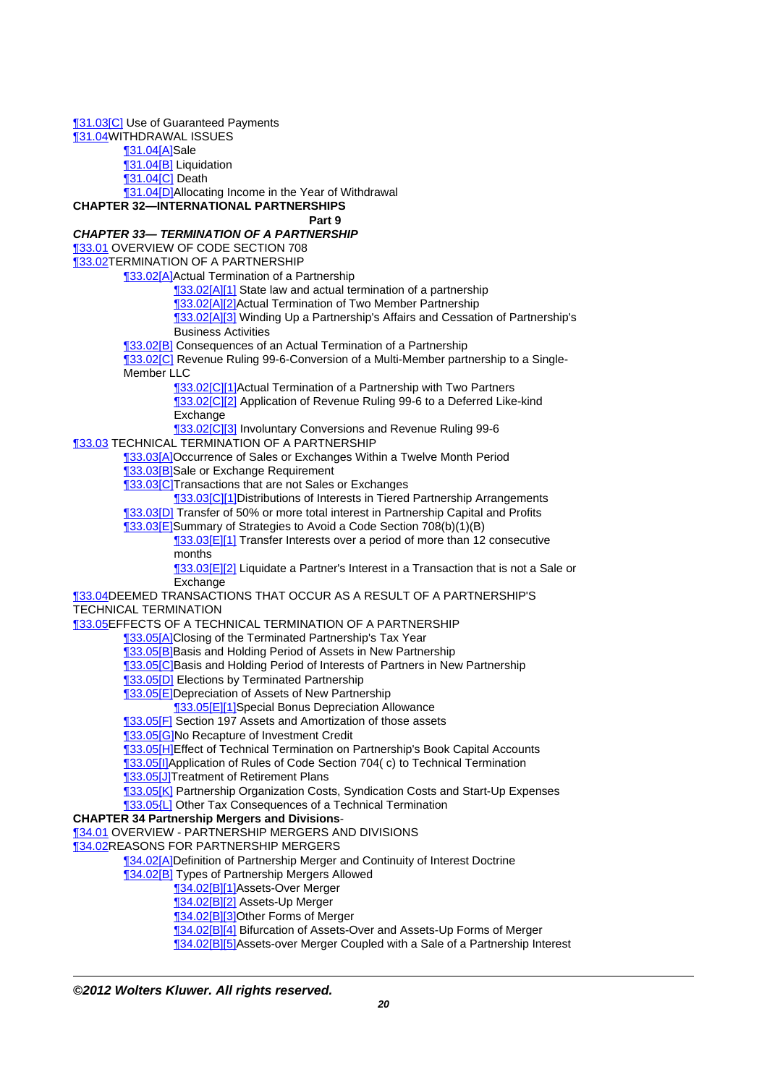[¶31.03\[C\]](http://prod.resource.cch.com/resource/scion/citation/pit/31.03%5BC%5D/GLP01?cfu=TAA) Use of Guaranteed Payments [¶31.04](http://prod.resource.cch.com/resource/scion/citation/pit/31.04/GLP01?cfu=TAA)WITHDRAWAL ISSUES [¶31.04\[A\]](http://prod.resource.cch.com/resource/scion/citation/pit/31.04%5BA%5D/GLP01?cfu=TAA)Sale [¶31.04\[B\]](http://prod.resource.cch.com/resource/scion/citation/pit/31.04%5BB%5D/GLP01?cfu=TAA) Liquidation [¶31.04\[C\]](http://prod.resource.cch.com/resource/scion/citation/pit/31.04%5BC%5D/GLP01?cfu=TAA) Death [¶31.04\[D\]A](http://prod.resource.cch.com/resource/scion/citation/pit/31.04%5BD%5D/GLP01?cfu=TAA)llocating Income in the Year of Withdrawal **CHAPTER 32—INTERNATIONAL PARTNERSHIPS Part 9 CHAPTER 33— TERMINATION OF A PARTNERSHIP** [¶33.01](http://prod.resource.cch.com/resource/scion/citation/pit/33.01/GLP01?cfu=TAA) OVERVIEW OF CODE SECTION 708 [¶33.02](http://prod.resource.cch.com/resource/scion/citation/pit/33.02/GLP01?cfu=TAA)TERMINATION OF A PARTNERSHIP [¶33.02\[A\]](http://prod.resource.cch.com/resource/scion/citation/pit/33.02%5BA%5D/GLP01?cfu=TAA)Actual Termination of a Partnership [¶33.02\[A\]\[1\]](http://prod.resource.cch.com/resource/scion/citation/pit/33.02%5BA%5D%5B1%5D/GLP01?cfu=TAA) State law and actual termination of a partnership [¶33.02\[A\]\[2\]](http://prod.resource.cch.com/resource/scion/citation/pit/33.02%5BA%5D%5B2%5D/GLP01?cfu=TAA)Actual Termination of Two Member Partnership [¶33.02\[A\]\[3\]](http://prod.resource.cch.com/resource/scion/citation/pit/33.02%5BA%5D%5B3%5D/GLP01?cfu=TAA) Winding Up a Partnership's Affairs and Cessation of Partnership's Business Activities [¶33.02\[B\]](http://prod.resource.cch.com/resource/scion/citation/pit/33.02%5BB%5D/GLP01?cfu=TAA) Consequences of an Actual Termination of a Partnership [¶33.02\[C\]](http://prod.resource.cch.com/resource/scion/citation/pit/33.02%5BC%5D/GLP01?cfu=TAA) Revenue Ruling 99-6-Conversion of a Multi-Member partnership to a Single-Member LLC [¶33.02\[C\]\[1\]A](http://prod.resource.cch.com/resource/scion/citation/pit/33.02%5BC%5D%5B1%5D/GLP01?cfu=TAA)ctual Termination of a Partnership with Two Partners [¶33.02\[C\]\[2\]](http://prod.resource.cch.com/resource/scion/citation/pit/33.02%5BC%5D%5B2%5D/GLP01?cfu=TAA) Application of Revenue Ruling 99-6 to a Deferred Like-kind Exchange **133.02[C][3] Involuntary Conversions and Revenue Ruling 99-6 133.03 TECHNICAL TERMINATION OF A PARTNERSHIP** [¶33.03\[A\]](http://prod.resource.cch.com/resource/scion/citation/pit/33.03%5BA%5D/GLP01?cfu=TAA)Occurrence of Sales or Exchanges Within a Twelve Month Period [¶33.03\[B\]](http://prod.resource.cch.com/resource/scion/citation/pit/33.03%5BB%5D/GLP01?cfu=TAA)Sale or Exchange Requirement [¶33.03\[C\]T](http://prod.resource.cch.com/resource/scion/citation/pit/33.03%5BC%5D/GLP01?cfu=TAA)ransactions that are not Sales or Exchanges [¶33.03\[C\]\[1\]D](http://prod.resource.cch.com/resource/scion/citation/pit/33.03%5BC%5D%5B1%5D/GLP01?cfu=TAA)istributions of Interests in Tiered Partnership Arrangements [¶33.03\[D\]](http://prod.resource.cch.com/resource/scion/citation/pit/33.03%5BD%5D/GLP01?cfu=TAA) Transfer of 50% or more total interest in Partnership Capital and Profits [¶33.03\[E\]](http://prod.resource.cch.com/resource/scion/citation/pit/33.03%5BE%5D/GLP01?cfu=TAA)Summary of Strategies to Avoid a Code Section 708(b)(1)(B) **133.03[E][1]** Transfer Interests over a period of more than 12 consecutive months [¶33.03\[E\]\[2\]](http://prod.resource.cch.com/resource/scion/citation/pit/33.03%5BE%5D%5B2%5D/GLP01?cfu=TAA) Liquidate a Partner's Interest in a Transaction that is not a Sale or Exchange [¶33.04](http://prod.resource.cch.com/resource/scion/citation/pit/33.04/GLP01?cfu=TAA)DEEMED TRANSACTIONS THAT OCCUR AS A RESULT OF A PARTNERSHIP'S TECHNICAL TERMINATION [¶33.05](http://prod.resource.cch.com/resource/scion/citation/pit/33.05/GLP01?cfu=TAA)EFFECTS OF A TECHNICAL TERMINATION OF A PARTNERSHIP [¶33.05\[A\]](http://prod.resource.cch.com/resource/scion/citation/pit/33.05%5BA%5D/GLP01?cfu=TAA)Closing of the Terminated Partnership's Tax Year [¶33.05\[B\]](http://prod.resource.cch.com/resource/scion/citation/pit/33.05%5BB%5D/GLP01?cfu=TAA)Basis and Holding Period of Assets in New Partnership [¶33.05\[C\]B](http://prod.resource.cch.com/resource/scion/citation/pit/33.05%5BC%5D/GLP01?cfu=TAA)asis and Holding Period of Interests of Partners in New Partnership **[33.05[D]** Elections by Terminated Partnership [¶33.05\[E\]](http://prod.resource.cch.com/resource/scion/citation/pit/33.05%5BE%5D/GLP01?cfu=TAA)Depreciation of Assets of New Partnership [¶33.05\[E\]\[1\]](http://prod.resource.cch.com/resource/scion/citation/pit/33.05%5BE%5D%5B1%5D/GLP01?cfu=TAA)Special Bonus Depreciation Allowance [¶33.05\[F\]](http://prod.resource.cch.com/resource/scion/citation/pit/33.05%5BF%5D/GLP01?cfu=TAA) Section 197 Assets and Amortization of those assets [¶33.05\[G\]](http://prod.resource.cch.com/resource/scion/citation/pit/33.05%5BG%5D/GLP01?cfu=TAA)No Recapture of Investment Credit [¶33.05\[H\]E](http://prod.resource.cch.com/resource/scion/citation/pit/33.05%5BH%5D/GLP01?cfu=TAA)ffect of Technical Termination on Partnership's Book Capital Accounts [¶33.05\[I\]A](http://prod.resource.cch.com/resource/scion/citation/pit/33.05%5BI%5D/GLP01?cfu=TAA)pplication of Rules of Code Section 704( c) to Technical Termination [¶33.05\[J\]T](http://prod.resource.cch.com/resource/scion/citation/pit/33.05%5BJ%5D/GLP01?cfu=TAA)reatment of Retirement Plans [¶33.05\[K\]](http://prod.resource.cch.com/resource/scion/citation/pit/33.05%5BK%5D/GLP01?cfu=TAA) Partnership Organization Costs, Syndication Costs and Start-Up Expenses **133.05{L]** Other Tax Consequences of a Technical Termination **CHAPTER 34 Partnership Mergers and Divisions**- [¶34.01](http://prod.resource.cch.com/resource/scion/citation/pit/34.01/GLP01?cfu=TAA) OVERVIEW - PARTNERSHIP MERGERS AND DIVISIONS [¶34.02](http://prod.resource.cch.com/resource/scion/citation/pit/34.02/GLP01?cfu=TAA)REASONS FOR PARTNERSHIP MERGERS [¶34.02\[A\]](http://prod.resource.cch.com/resource/scion/citation/pit/34.02%5BA%5D/GLP01?cfu=TAA)Definition of Partnership Merger and Continuity of Interest Doctrine [¶34.02\[B\]](http://prod.resource.cch.com/resource/scion/citation/pit/34.02%5BB%5D/GLP01?cfu=TAA) Types of Partnership Mergers Allowed [¶34.02\[B\]\[1\]](http://prod.resource.cch.com/resource/scion/citation/pit/34.02%5BB%5D%5B1%5D/GLP01?cfu=TAA)Assets-Over Merger [¶34.02\[B\]\[2\]](http://prod.resource.cch.com/resource/scion/citation/pit/34.02%5BB%5D%5B2%5D/GLP01?cfu=TAA) Assets-Up Merger [¶34.02\[B\]\[3\]](http://prod.resource.cch.com/resource/scion/citation/pit/34.02%5BB%5D%5B3%5D/GLP01?cfu=TAA)Other Forms of Merger [¶34.02\[B\]\[4\]](http://prod.resource.cch.com/resource/scion/citation/pit/34.02%5BB%5D%5B4%5D/GLP01?cfu=TAA) Bifurcation of Assets-Over and Assets-Up Forms of Merger [¶34.02\[B\]\[5\]](http://prod.resource.cch.com/resource/scion/citation/pit/34.02%5BB%5D%5B5%5D/GLP01?cfu=TAA)Assets-over Merger Coupled with a Sale of a Partnership Interest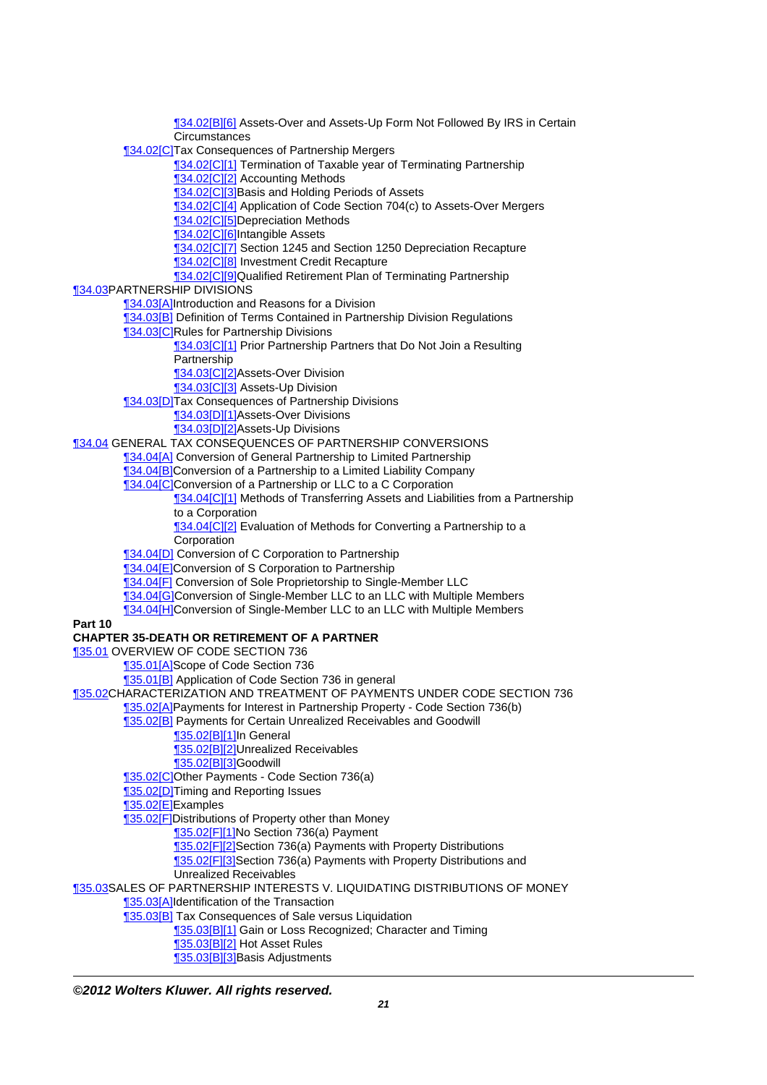[¶34.02\[B\]\[6\]](http://prod.resource.cch.com/resource/scion/citation/pit/34.02%5BB%5D%5B6%5D/GLP01?cfu=TAA) Assets-Over and Assets-Up Form Not Followed By IRS in Certain **Circumstances** [¶34.02\[C\]T](http://prod.resource.cch.com/resource/scion/citation/pit/34.02%5BC%5D/GLP01?cfu=TAA)ax Consequences of Partnership Mergers [¶34.02\[C\]\[1\]](http://prod.resource.cch.com/resource/scion/citation/pit/34.02%5BC%5D%5B1%5D/GLP01?cfu=TAA) Termination of Taxable year of Terminating Partnership [¶34.02\[C\]\[2\]](http://prod.resource.cch.com/resource/scion/citation/pit/34.02%5BC%5D%5B2%5D/GLP01?cfu=TAA) Accounting Methods [¶34.02\[C\]\[3\]B](http://prod.resource.cch.com/resource/scion/citation/pit/34.02%5BC%5D%5B3%5D/GLP01?cfu=TAA)asis and Holding Periods of Assets [¶34.02\[C\]\[4\]](http://prod.resource.cch.com/resource/scion/citation/pit/34.02%5BC%5D%5B4%5D/GLP01?cfu=TAA) Application of Code Section 704(c) to Assets-Over Mergers [¶34.02\[C\]\[5\]D](http://prod.resource.cch.com/resource/scion/citation/pit/34.02%5BC%5D%5B5%5D/GLP01?cfu=TAA)epreciation Methods [¶34.02\[C\]\[6\]I](http://prod.resource.cch.com/resource/scion/citation/pit/34.02%5BC%5D%5B6%5D/GLP01?cfu=TAA)ntangible Assets **134.02[C][7]** Section 1245 and Section 1250 Depreciation Recapture [¶34.02\[C\]\[8\]](http://prod.resource.cch.com/resource/scion/citation/pit/34.02%5BC%5D%5B8%5D/GLP01?cfu=TAA) Investment Credit Recapture [¶34.02\[C\]\[9\]Q](http://prod.resource.cch.com/resource/scion/citation/pit/34.02%5BC%5D%5B9%5D/GLP01?cfu=TAA)ualified Retirement Plan of Terminating Partnership [¶34.03](http://prod.resource.cch.com/resource/scion/citation/pit/34.03/GLP01?cfu=TAA)PARTNERSHIP DIVISIONS [¶34.03\[A\]](http://prod.resource.cch.com/resource/scion/citation/pit/34.03%5BA%5D/GLP01?cfu=TAA)Introduction and Reasons for a Division [¶34.03\[B\]](http://prod.resource.cch.com/resource/scion/citation/pit/34.03%5BB%5D/GLP01?cfu=TAA) Definition of Terms Contained in Partnership Division Regulations [¶34.03\[C\]R](http://prod.resource.cch.com/resource/scion/citation/pit/34.03%5BC%5D/GLP01?cfu=TAA)ules for Partnership Divisions **134.03[C][1] Prior Partnership Partners that Do Not Join a Resulting Partnership** [¶34.03\[C\]\[2\]A](http://prod.resource.cch.com/resource/scion/citation/pit/34.03%5BC%5D%5B2%5D/GLP01?cfu=TAA)ssets-Over Division [¶34.03\[C\]\[3\]](http://prod.resource.cch.com/resource/scion/citation/pit/34.03%5BC%5D%5B3%5D/GLP01?cfu=TAA) Assets-Up Division [¶34.03\[D\]T](http://prod.resource.cch.com/resource/scion/citation/pit/34.03%5BD%5D/GLP01?cfu=TAA)ax Consequences of Partnership Divisions [¶34.03\[D\]\[1\]A](http://prod.resource.cch.com/resource/scion/citation/pit/34.03%5BD%5D%5B1%5D/GLP01?cfu=TAA)ssets-Over Divisions [¶34.03\[D\]\[2\]A](http://prod.resource.cch.com/resource/scion/citation/pit/34.03%5BD%5D%5B2%5D/GLP01?cfu=TAA)ssets-Up Divisions [¶34.04](http://prod.resource.cch.com/resource/scion/citation/pit/34.04/GLP01?cfu=TAA) GENERAL TAX CONSEQUENCES OF PARTNERSHIP CONVERSIONS [¶34.04\[A\]](http://prod.resource.cch.com/resource/scion/citation/pit/34.04%5BA%5D/GLP01?cfu=TAA) Conversion of General Partnership to Limited Partnership [¶34.04\[B\]](http://prod.resource.cch.com/resource/scion/citation/pit/34.04%5BB%5D/GLP01?cfu=TAA)Conversion of a Partnership to a Limited Liability Company [¶34.04\[C\]C](http://prod.resource.cch.com/resource/scion/citation/pit/34.04%5BC%5D/GLP01?cfu=TAA)onversion of a Partnership or LLC to a C Corporation **134.04 CI11** Methods of Transferring Assets and Liabilities from a Partnership to a Corporation 134.04[C][2] Evaluation of Methods for Converting a Partnership to a Corporation [¶34.04\[D\]](http://prod.resource.cch.com/resource/scion/citation/pit/34.04%5BD%5D/GLP01?cfu=TAA) Conversion of C Corporation to Partnership [¶34.04\[E\]](http://prod.resource.cch.com/resource/scion/citation/pit/34.04%5BE%5D/GLP01?cfu=TAA)Conversion of S Corporation to Partnership [¶34.04\[F\]](http://prod.resource.cch.com/resource/scion/citation/pit/34.04%5BF%5D/GLP01?cfu=TAA) Conversion of Sole Proprietorship to Single-Member LLC [¶34.04\[G\]](http://prod.resource.cch.com/resource/scion/citation/pit/34.04%5BG%5D/GLP01?cfu=TAA)Conversion of Single-Member LLC to an LLC with Multiple Members [¶34.04\[H\]C](http://prod.resource.cch.com/resource/scion/citation/pit/34.04%5BH%5D/GLP01?cfu=TAA)onversion of Single-Member LLC to an LLC with Multiple Members **Part 10 CHAPTER 35-DEATH OR RETIREMENT OF A PARTNER** [¶35.01](http://prod.resource.cch.com/resource/scion/citation/pit/35.01/GLP01?cfu=TAA) OVERVIEW OF CODE SECTION 736 [¶35.01\[A\]](http://prod.resource.cch.com/resource/scion/citation/pit/35.01%5BA%5D/GLP01?cfu=TAA)Scope of Code Section 736 [¶35.01\[B\]](http://prod.resource.cch.com/resource/scion/citation/pit/35.01%5BB%5D/GLP01?cfu=TAA) Application of Code Section 736 in general [¶35.02](http://prod.resource.cch.com/resource/scion/citation/pit/35.02/GLP01?cfu=TAA)CHARACTERIZATION AND TREATMENT OF PAYMENTS UNDER CODE SECTION 736 [¶35.02\[A\]](http://prod.resource.cch.com/resource/scion/citation/pit/35.02%5BA%5D/GLP01?cfu=TAA)Payments for Interest in Partnership Property - Code Section 736(b) [¶35.02\[B\]](http://prod.resource.cch.com/resource/scion/citation/pit/35.02%5BB%5D/GLP01?cfu=TAA) Payments for Certain Unrealized Receivables and Goodwill [¶35.02\[B\]\[1\]](http://prod.resource.cch.com/resource/scion/citation/pit/35.02%5BB%5D%5B1%5D/GLP01?cfu=TAA)In General [¶35.02\[B\]\[2\]](http://prod.resource.cch.com/resource/scion/citation/pit/35.02%5BB%5D%5B2%5D/GLP01?cfu=TAA)Unrealized Receivables [¶35.02\[B\]\[3\]](http://prod.resource.cch.com/resource/scion/citation/pit/35.02%5BB%5D%5B3%5D/GLP01?cfu=TAA)Goodwill [¶35.02\[C\]O](http://prod.resource.cch.com/resource/scion/citation/pit/35.02%5BC%5D/GLP01?cfu=TAA)ther Payments - Code Section 736(a) **135.02[D]Timing and Reporting Issues** 135.02[E]Examples [¶35.02\[F\]D](http://prod.resource.cch.com/resource/scion/citation/pit/35.02%5BF%5D/GLP01?cfu=TAA)istributions of Property other than Money [¶35.02\[F\]\[1\]N](http://prod.resource.cch.com/resource/scion/citation/pit/35.02%5BF%5D%5B1%5D/GLP01?cfu=TAA)o Section 736(a) Payment [¶35.02\[F\]\[2\]S](http://prod.resource.cch.com/resource/scion/citation/pit/35.02%5BF%5D%5B2%5D/GLP01?cfu=TAA)ection 736(a) Payments with Property Distributions [¶35.02\[F\]\[3\]S](http://prod.resource.cch.com/resource/scion/citation/pit/35.02%5BF%5D%5B3%5D/GLP01?cfu=TAA)ection 736(a) Payments with Property Distributions and Unrealized Receivables [¶35.03](http://prod.resource.cch.com/resource/scion/citation/pit/35.03/GLP01?cfu=TAA)SALES OF PARTNERSHIP INTERESTS V. LIQUIDATING DISTRIBUTIONS OF MONEY [¶35.03\[A\]](http://prod.resource.cch.com/resource/scion/citation/pit/35.03%5BA%5D/GLP01?cfu=TAA)Identification of the Transaction [¶35.03\[B\]](http://prod.resource.cch.com/resource/scion/citation/pit/35.03%5BB%5D/GLP01?cfu=TAA) Tax Consequences of Sale versus Liquidation [¶35.03\[B\]\[1\]](http://prod.resource.cch.com/resource/scion/citation/pit/35.03%5BB%5D%5B1%5D/GLP01?cfu=TAA) Gain or Loss Recognized; Character and Timing [¶35.03\[B\]\[2\]](http://prod.resource.cch.com/resource/scion/citation/pit/35.03%5BB%5D%5B2%5D/GLP01?cfu=TAA) Hot Asset Rules [¶35.03\[B\]\[3\]](http://prod.resource.cch.com/resource/scion/citation/pit/35.03%5BB%5D%5B3%5D/GLP01?cfu=TAA)Basis Adjustments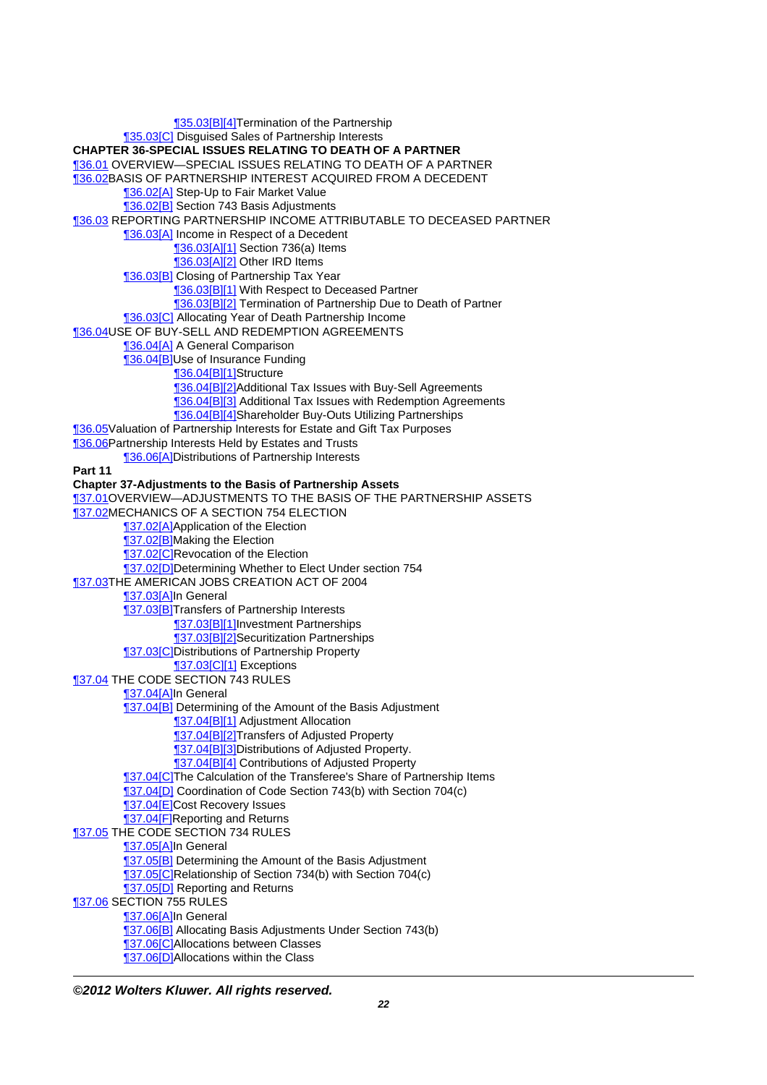[¶35.03\[B\]\[4\]](http://prod.resource.cch.com/resource/scion/citation/pit/35.03%5BB%5D%5B4%5D/GLP01?cfu=TAA)Termination of the Partnership [¶35.03\[C\]](http://prod.resource.cch.com/resource/scion/citation/pit/35.03%5BC%5D/GLP01?cfu=TAA) Disguised Sales of Partnership Interests **CHAPTER 36-SPECIAL ISSUES RELATING TO DEATH OF A PARTNER** [¶36.01](http://prod.resource.cch.com/resource/scion/citation/pit/36.01/GLP01?cfu=TAA) OVERVIEW—SPECIAL ISSUES RELATING TO DEATH OF A PARTNER [¶36.02](http://prod.resource.cch.com/resource/scion/citation/pit/36.02/GLP01?cfu=TAA)BASIS OF PARTNERSHIP INTEREST ACQUIRED FROM A DECEDENT [¶36.02\[A\]](http://prod.resource.cch.com/resource/scion/citation/pit/36.02%5BA%5D/GLP01?cfu=TAA) Step-Up to Fair Market Value [¶36.02\[B\]](http://prod.resource.cch.com/resource/scion/citation/pit/36.02%5BB%5D/GLP01?cfu=TAA) Section 743 Basis Adjustments [¶36.03](http://prod.resource.cch.com/resource/scion/citation/pit/36.03/GLP01?cfu=TAA) REPORTING PARTNERSHIP INCOME ATTRIBUTABLE TO DECEASED PARTNER [¶36.03\[A\]](http://prod.resource.cch.com/resource/scion/citation/pit/36.03%5BA%5D/GLP01?cfu=TAA) Income in Respect of a Decedent [¶36.03\[A\]\[1\]](http://prod.resource.cch.com/resource/scion/citation/pit/36.03%5BA%5D%5B1%5D/GLP01?cfu=TAA) Section 736(a) Items [¶36.03\[A\]\[2\]](http://prod.resource.cch.com/resource/scion/citation/pit/36.03%5BA%5D%5B2%5D/GLP01?cfu=TAA) Other IRD Items [¶36.03\[B\]](http://prod.resource.cch.com/resource/scion/citation/pit/36.03%5BB%5D/GLP01?cfu=TAA) Closing of Partnership Tax Year **[36.03[B][1]** With Respect to Deceased Partner [¶36.03\[B\]\[2\]](http://prod.resource.cch.com/resource/scion/citation/pit/36.03%5BB%5D%5B2%5D/GLP01?cfu=TAA) Termination of Partnership Due to Death of Partner [¶36.03\[C\]](http://prod.resource.cch.com/resource/scion/citation/pit/36.03%5BC%5D/GLP01?cfu=TAA) Allocating Year of Death Partnership Income [¶36.04](http://prod.resource.cch.com/resource/scion/citation/pit/36.04/GLP01?cfu=TAA)USE OF BUY-SELL AND REDEMPTION AGREEMENTS [¶36.04\[A\]](http://prod.resource.cch.com/resource/scion/citation/pit/36.04%5BA%5D/GLP01?cfu=TAA) A General Comparison [¶36.04\[B\]](http://prod.resource.cch.com/resource/scion/citation/pit/36.04%5BB%5D/GLP01?cfu=TAA)Use of Insurance Funding [¶36.04\[B\]\[1\]](http://prod.resource.cch.com/resource/scion/citation/pit/36.04%5BB%5D%5B1%5D/GLP01?cfu=TAA)Structure [¶36.04\[B\]\[2\]](http://prod.resource.cch.com/resource/scion/citation/pit/36.04%5BB%5D%5B2%5D/GLP01?cfu=TAA)Additional Tax Issues with Buy-Sell Agreements [¶36.04\[B\]\[3\]](http://prod.resource.cch.com/resource/scion/citation/pit/36.04%5BB%5D%5B3%5D/GLP01?cfu=TAA) Additional Tax Issues with Redemption Agreements [¶36.04\[B\]\[4\]](http://prod.resource.cch.com/resource/scion/citation/pit/36.04%5BB%5D%5B4%5D/GLP01?cfu=TAA)Shareholder Buy-Outs Utilizing Partnerships [¶36.05](http://prod.resource.cch.com/resource/scion/citation/pit/36.05/GLP01?cfu=TAA)Valuation of Partnership Interests for Estate and Gift Tax Purposes **136.06Partnership Interests Held by Estates and Trusts** [¶36.06\[A\]](http://prod.resource.cch.com/resource/scion/citation/pit/36.06%5BA%5D/GLP01?cfu=TAA)Distributions of Partnership Interests **Part 11 Chapter 37-Adjustments to the Basis of Partnership Assets** [¶37.01](http://prod.resource.cch.com/resource/scion/citation/pit/37.01/GLP01?cfu=TAA)OVERVIEW—ADJUSTMENTS TO THE BASIS OF THE PARTNERSHIP ASSETS **137.02MECHANICS OF A SECTION 754 ELECTION 137.02[A]Application of the Election 137.02[B]**Making the Election **137.02[C]Revocation of the Election** [¶37.02\[D\]D](http://prod.resource.cch.com/resource/scion/citation/pit/37.02%5BD%5D/GLP01?cfu=TAA)etermining Whether to Elect Under section 754 [¶37.03](http://prod.resource.cch.com/resource/scion/citation/pit/37.03/GLP01?cfu=TAA)THE AMERICAN JOBS CREATION ACT OF 2004 [¶37.03\[A\]](http://prod.resource.cch.com/resource/scion/citation/pit/37.03%5BA%5D/GLP01?cfu=TAA)In General **137.03[B]Transfers of Partnership Interests** [¶37.03\[B\]\[1\]](http://prod.resource.cch.com/resource/scion/citation/pit/37.03%5BB%5D%5B1%5D/GLP01?cfu=TAA)Investment Partnerships [¶37.03\[B\]\[2\]](http://prod.resource.cch.com/resource/scion/citation/pit/37.03%5BB%5D%5B2%5D/GLP01?cfu=TAA)Securitization Partnerships [¶37.03\[C\]D](http://prod.resource.cch.com/resource/scion/citation/pit/37.03%5BC%5D/GLP01?cfu=TAA)istributions of Partnership Property [¶37.03\[C\]\[1\]](http://prod.resource.cch.com/resource/scion/citation/pit/37.03%5BC%5D%5B1%5D/GLP01?cfu=TAA) Exceptions **137.04 THE CODE SECTION 743 RULES** [¶37.04\[A\]](http://prod.resource.cch.com/resource/scion/citation/pit/37.04%5BA%5D/GLP01?cfu=TAA)In General [¶37.04\[B\]](http://prod.resource.cch.com/resource/scion/citation/pit/37.04%5BB%5D/GLP01?cfu=TAA) Determining of the Amount of the Basis Adjustment [¶37.04\[B\]\[1\]](http://prod.resource.cch.com/resource/scion/citation/pit/37.04%5BB%5D%5B1%5D/GLP01?cfu=TAA) Adjustment Allocation [¶37.04\[B\]\[2\]](http://prod.resource.cch.com/resource/scion/citation/pit/37.04%5BB%5D%5B2%5D/GLP01?cfu=TAA)Transfers of Adjusted Property [¶37.04\[B\]\[3\]](http://prod.resource.cch.com/resource/scion/citation/pit/37.04%5BB%5D%5B3%5D/GLP01?cfu=TAA)Distributions of Adjusted Property. [¶37.04\[B\]\[4\]](http://prod.resource.cch.com/resource/scion/citation/pit/37.04%5BB%5D%5B4%5D/GLP01?cfu=TAA) Contributions of Adjusted Property **137.04[C]The Calculation of the Transferee's Share of Partnership Items** [¶37.04\[D\]](http://prod.resource.cch.com/resource/scion/citation/pit/37.04%5BD%5D/GLP01?cfu=TAA) Coordination of Code Section 743(b) with Section 704(c) [¶37.04\[E\]](http://prod.resource.cch.com/resource/scion/citation/pit/37.04%5BE%5D/GLP01?cfu=TAA)Cost Recovery Issues **137.04[F]Reporting and Returns 137.05 THE CODE SECTION 734 RULES** [¶37.05\[A\]](http://prod.resource.cch.com/resource/scion/citation/pit/37.05%5BA%5D/GLP01?cfu=TAA)In General [¶37.05\[B\]](http://prod.resource.cch.com/resource/scion/citation/pit/37.05%5BB%5D/GLP01?cfu=TAA) Determining the Amount of the Basis Adjustment [¶37.05\[C\]R](http://prod.resource.cch.com/resource/scion/citation/pit/37.05%5BC%5D/GLP01?cfu=TAA)elationship of Section 734(b) with Section 704(c) **137.05[D] Reporting and Returns 137.06 SECTION 755 RULES** [¶37.06\[A\]](http://prod.resource.cch.com/resource/scion/citation/pit/37.06%5BA%5D/GLP01?cfu=TAA)In General [¶37.06\[B\]](http://prod.resource.cch.com/resource/scion/citation/pit/37.06%5BB%5D/GLP01?cfu=TAA) Allocating Basis Adjustments Under Section 743(b) [¶37.06\[C\]A](http://prod.resource.cch.com/resource/scion/citation/pit/37.06%5BC%5D/GLP01?cfu=TAA)llocations between Classes **137.06[D]Allocations within the Class**